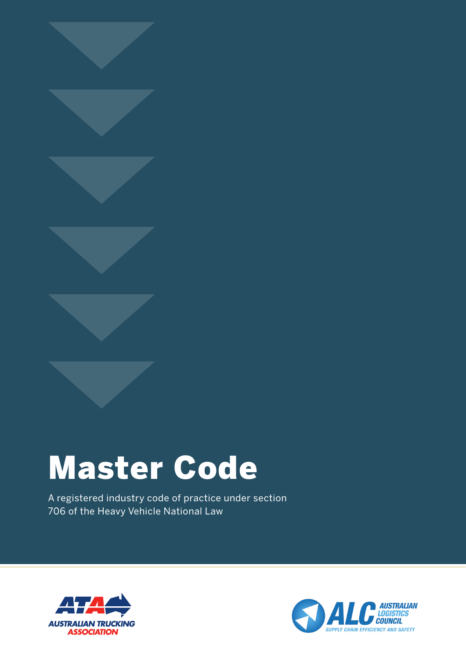# Master Code

A registered industry code of practice under section 706 of the Heavy Vehicle National Law



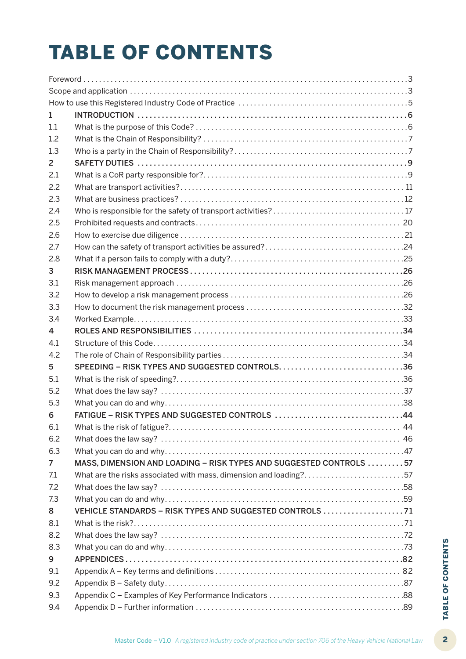## TABLE OF CONTENTS

| 1              |                                                                    |  |
|----------------|--------------------------------------------------------------------|--|
| 1.1            |                                                                    |  |
| 1.2            |                                                                    |  |
| 1.3            |                                                                    |  |
| $\overline{2}$ |                                                                    |  |
| 2.1            |                                                                    |  |
| 2.2            |                                                                    |  |
| 2.3            |                                                                    |  |
| 2.4            |                                                                    |  |
| 2.5            |                                                                    |  |
| 2.6            |                                                                    |  |
| 2.7            |                                                                    |  |
| 2.8            |                                                                    |  |
| 3              |                                                                    |  |
| 3.1            |                                                                    |  |
| 3.2            |                                                                    |  |
| 3.3            |                                                                    |  |
| 3.4            |                                                                    |  |
| 4              |                                                                    |  |
| 4.1            |                                                                    |  |
| 4.2            |                                                                    |  |
| 5              | SPEEDING - RISK TYPES AND SUGGESTED CONTROLS36                     |  |
| 5.1            |                                                                    |  |
| 5.2            |                                                                    |  |
| 5.3            |                                                                    |  |
| 6              | FATIGUE - RISK TYPES AND SUGGESTED CONTROLS 44                     |  |
| 6.1            |                                                                    |  |
| 6.2            |                                                                    |  |
| 6.3            |                                                                    |  |
| $\overline{7}$ | MASS, DIMENSION AND LOADING - RISK TYPES AND SUGGESTED CONTROLS 57 |  |
| 7.1            | What are the risks associated with mass, dimension and loading?57  |  |
| 7.2            |                                                                    |  |
| 7.3            |                                                                    |  |
| 8              | VEHICLE STANDARDS - RISK TYPES AND SUGGESTED CONTROLS 71           |  |
| 8.1            |                                                                    |  |
| 8.2            |                                                                    |  |
| 8.3            |                                                                    |  |
| 9              |                                                                    |  |
| 9.1            |                                                                    |  |
| 9.2            |                                                                    |  |
| 9.3            |                                                                    |  |
| 9.4            |                                                                    |  |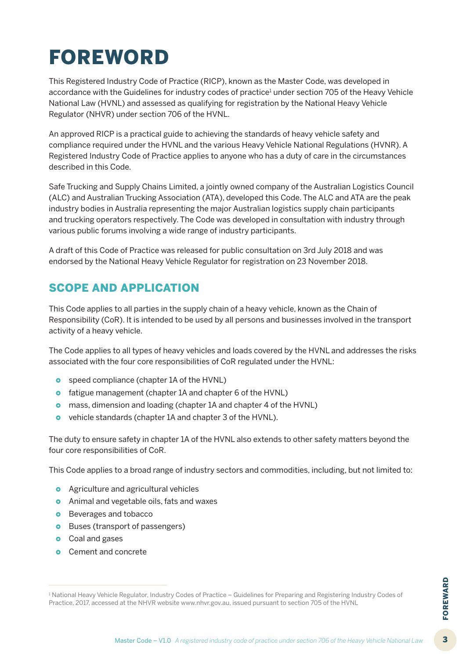## <span id="page-2-0"></span>FOREWORD

This Registered Industry Code of Practice (RICP), known as the Master Code, was developed in accordance with the Guidelines for industry codes of practice $^{\rm l}$  under section 705 of the Heavy Vehicle National Law (HVNL) and assessed as qualifying for registration by the National Heavy Vehicle Regulator (NHVR) under section 706 of the HVNL.

An approved RICP is a practical guide to achieving the standards of heavy vehicle safety and compliance required under the HVNL and the various Heavy Vehicle National Regulations (HVNR). A Registered Industry Code of Practice applies to anyone who has a duty of care in the circumstances described in this Code.

Safe Trucking and Supply Chains Limited, a jointly owned company of the Australian Logistics Council (ALC) and Australian Trucking Association (ATA), developed this Code. The ALC and ATA are the peak industry bodies in Australia representing the major Australian logistics supply chain participants and trucking operators respectively. The Code was developed in consultation with industry through various public forums involving a wide range of industry participants.

A draft of this Code of Practice was released for public consultation on 3rd July 2018 and was endorsed by the National Heavy Vehicle Regulator for registration on 23 November 2018.

## SCOPE AND APPLICATION

This Code applies to all parties in the supply chain of a heavy vehicle, known as the Chain of Responsibility (CoR). It is intended to be used by all persons and businesses involved in the transport activity of a heavy vehicle.

The Code applies to all types of heavy vehicles and loads covered by the HVNL and addresses the risks associated with the four core responsibilities of CoR regulated under the HVNL:

- **o** speed compliance (chapter 1A of the HVNL)
- **o** fatigue management (chapter 1A and chapter 6 of the HVNL)
- **o** mass, dimension and loading (chapter 1A and chapter 4 of the HVNL)
- **o** vehicle standards (chapter 1A and chapter 3 of the HVNL).

The duty to ensure safety in chapter 1A of the HVNL also extends to other safety matters beyond the four core responsibilities of CoR.

This Code applies to a broad range of industry sectors and commodities, including, but not limited to:

- **•** Agriculture and agricultural vehicles
- **•** Animal and vegetable oils, fats and waxes
- **•** Beverages and tobacco
- **•** Buses (transport of passengers)
- **o** Coal and gases
- **•** Cement and concrete

<sup>1</sup> National Heavy Vehicle Regulator, Industry Codes of Practice – Guidelines for Preparing and Registering Industry Codes of Practice, 2017, accessed at the NHVR website www.nhvr.gov.au, issued pursuant to section 705 of the HVNL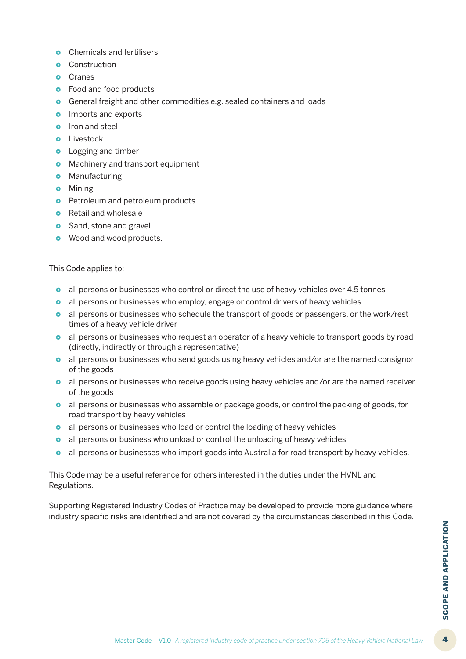- **•** Chemicals and fertilisers
- **o** Construction
- **o** Cranes
- **•** Food and food products
- **•** General freight and other commodities e.g. sealed containers and loads
- **o** Imports and exports
- **o** Iron and steel
- **o** Livestock
- **o** Logging and timber
- **•** Machinery and transport equipment
- **o** Manufacturing
- **o** Mining
- **•** Petroleum and petroleum products
- **o** Retail and wholesale
- **•** Sand, stone and gravel
- **•** Wood and wood products.

This Code applies to:

- **o** all persons or businesses who control or direct the use of heavy vehicles over 4.5 tonnes
- **o** all persons or businesses who employ, engage or control drivers of heavy vehicles
- **o** all persons or businesses who schedule the transport of goods or passengers, or the work/rest times of a heavy vehicle driver
- **•** all persons or businesses who request an operator of a heavy vehicle to transport goods by road (directly, indirectly or through a representative)
- **o** all persons or businesses who send goods using heavy vehicles and/or are the named consignor of the goods
- **o** all persons or businesses who receive goods using heavy vehicles and/or are the named receiver of the goods
- **o** all persons or businesses who assemble or package goods, or control the packing of goods, for road transport by heavy vehicles
- **o** all persons or businesses who load or control the loading of heavy vehicles
- **•** all persons or business who unload or control the unloading of heavy vehicles
- **o** all persons or businesses who import goods into Australia for road transport by heavy vehicles.

This Code may be a useful reference for others interested in the duties under the HVNL and Regulations.

Supporting Registered Industry Codes of Practice may be developed to provide more guidance where industry specific risks are identified and are not covered by the circumstances described in this Code.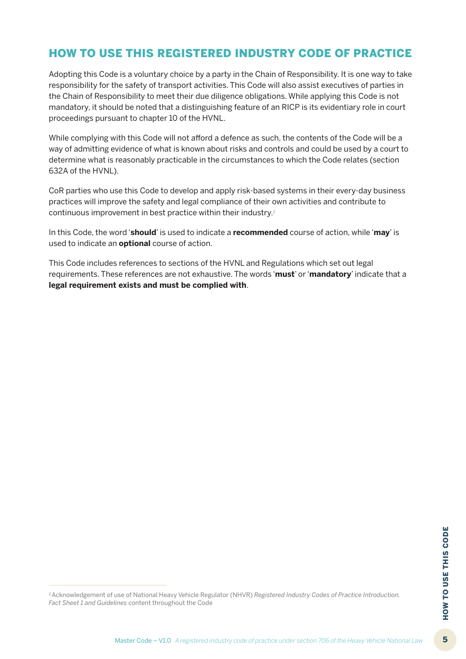## <span id="page-4-0"></span>HOW TO USE THIS REGISTERED INDUSTRY CODE OF PRACTICE

Adopting this Code is a voluntary choice by a party in the Chain of Responsibility. It is one way to take responsibility for the safety of transport activities. This Code will also assist executives of parties in the Chain of Responsibility to meet their due diligence obligations. While applying this Code is not mandatory, it should be noted that a distinguishing feature of an RICP is its evidentiary role in court proceedings pursuant to chapter 10 of the HVNL.

While complying with this Code will not afford a defence as such, the contents of the Code will be a way of admitting evidence of what is known about risks and controls and could be used by a court to determine what is reasonably practicable in the circumstances to which the Code relates (section 632A of the HVNL).

CoR parties who use this Code to develop and apply risk-based systems in their every-day business practices will improve the safety and legal compliance of their own activities and contribute to continuous improvement in best practice within their industry.2

In this Code, the word '**should**' is used to indicate a **recommended** course of action, while '**may**' is used to indicate an **optional** course of action.

This Code includes references to sections of the HVNL and Regulations which set out legal requirements. These references are not exhaustive. The words '**must**' or '**mandatory**' indicate that a **legal requirement exists and must be complied with**.

<sup>2</sup> Acknowledgement of use of National Heavy Vehicle Regulator (NHVR) *Registered Industry Codes of Practice Introduction, Fact Sheet 1 and Guidelines* content throughout the Code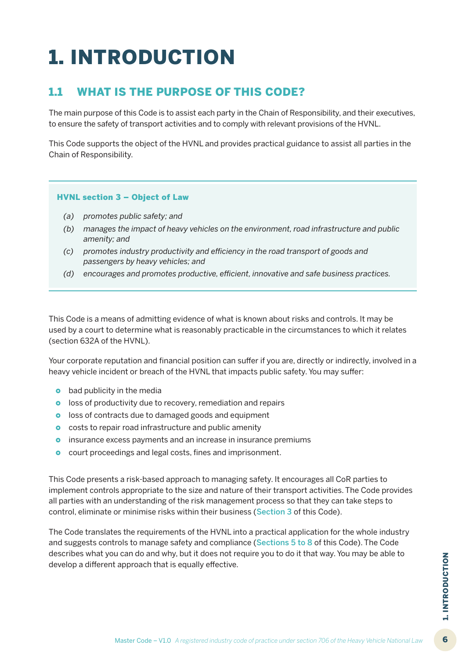## <span id="page-5-0"></span>1. INTRODUCTION

## 1.1 WHAT IS THE PURPOSE OF THIS CODE?

The main purpose of this Code is to assist each party in the Chain of Responsibility, and their executives, to ensure the safety of transport activities and to comply with relevant provisions of the HVNL.

This Code supports the object of the HVNL and provides practical guidance to assist all parties in the Chain of Responsibility.

#### HVNL section 3 – Object of Law

- *(a) promotes public safety; and*
- *(b) manages the impact of heavy vehicles on the environment, road infrastructure and public amenity; and*
- *(c) promotes industry productivity and efficiency in the road transport of goods and passengers by heavy vehicles; and*
- *(d) encourages and promotes productive, efficient, innovative and safe business practices.*

This Code is a means of admitting evidence of what is known about risks and controls. It may be used by a court to determine what is reasonably practicable in the circumstances to which it relates (section 632A of the HVNL).

Your corporate reputation and financial position can suffer if you are, directly or indirectly, involved in a heavy vehicle incident or breach of the HVNL that impacts public safety. You may suffer:

- **o** bad publicity in the media
- **o** loss of productivity due to recovery, remediation and repairs
- **o** loss of contracts due to damaged goods and equipment
- **o** costs to repair road infrastructure and public amenity
- **o** insurance excess payments and an increase in insurance premiums
- **o** court proceedings and legal costs, fines and imprisonment.

This Code presents a risk-based approach to managing safety. It encourages all CoR parties to implement controls appropriate to the size and nature of their transport activities. The Code provides all parties with an understanding of the risk management process so that they can take steps to control, eliminate or minimise risks within their business ([Section 3](#page-25-0) of this Code).

The Code translates the requirements of the HVNL into a practical application for the whole industry and suggests controls to manage safety and compliance ([Sections 5 to 8](#page-35-0) of this Code). The Code describes what you can do and why, but it does not require you to do it that way. You may be able to develop a different approach that is equally effective.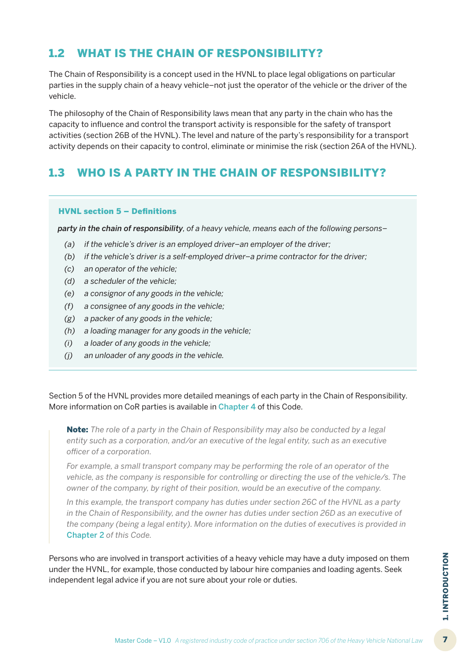## <span id="page-6-0"></span>1.2 WHAT IS THE CHAIN OF RESPONSIBILITY?

The Chain of Responsibility is a concept used in the HVNL to place legal obligations on particular parties in the supply chain of a heavy vehicle–not just the operator of the vehicle or the driver of the vehicle.

The philosophy of the Chain of Responsibility laws mean that any party in the chain who has the capacity to influence and control the transport activity is responsible for the safety of transport activities (section 26B of the HVNL). The level and nature of the party's responsibility for a transport activity depends on their capacity to control, eliminate or minimise the risk (section 26A of the HVNL).

## 1.3 WHO IS A PARTY IN THE CHAIN OF RESPONSIBILITY?

#### HVNL section 5 – Definitions

*party in the chain of responsibility, of a heavy vehicle, means each of the following persons–*

- *(a) if the vehicle's driver is an employed driver–an employer of the driver;*
- *(b) if the vehicle's driver is a self-employed driver–a prime contractor for the driver;*
- *(c) an operator of the vehicle;*
- *(d) a scheduler of the vehicle;*
- *(e) a consignor of any goods in the vehicle;*
- *(f) a consignee of any goods in the vehicle;*
- *(g) a packer of any goods in the vehicle;*
- *(h) a loading manager for any goods in the vehicle;*
- *(i) a loader of any goods in the vehicle;*
- *(j) an unloader of any goods in the vehicle.*

Section 5 of the HVNL provides more detailed meanings of each party in the Chain of Responsibility. More information on CoR parties is available in [Chapter 4](#page-33-0) of this Code.

**Note:** The role of a party in the Chain of Responsibility may also be conducted by a legal *entity such as a corporation, and/or an executive of the legal entity, such as an executive officer of a corporation.*

*For example, a small transport company may be performing the role of an operator of the vehicle, as the company is responsible for controlling or directing the use of the vehicle/s. The owner of the company, by right of their position, would be an executive of the company.*

*In this example, the transport company has duties under section 26C of the HVNL as a party in the Chain of Responsibility, and the owner has duties under section 26D as an executive of the company (being a legal entity). More information on the duties of executives is provided in*  [Chapter 2](#page-8-0) *of this Code.*

Persons who are involved in transport activities of a heavy vehicle may have a duty imposed on them under the HVNL, for example, those conducted by labour hire companies and loading agents. Seek independent legal advice if you are not sure about your role or duties.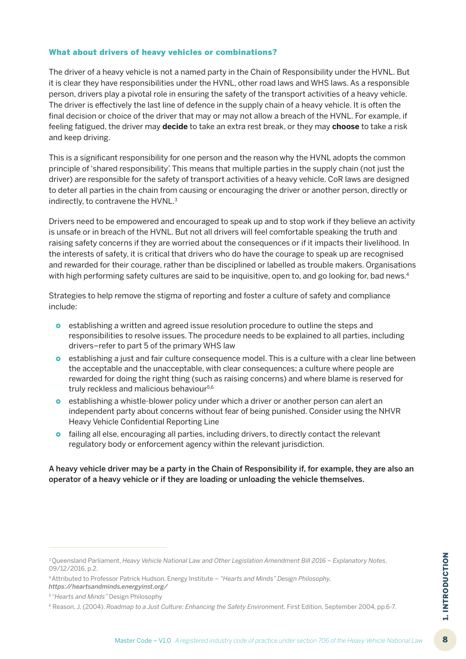#### What about drivers of heavy vehicles or combinations?

The driver of a heavy vehicle is not a named party in the Chain of Responsibility under the HVNL. But it is clear they have responsibilities under the HVNL, other road laws and WHS laws. As a responsible person, drivers play a pivotal role in ensuring the safety of the transport activities of a heavy vehicle. The driver is effectively the last line of defence in the supply chain of a heavy vehicle. It is often the final decision or choice of the driver that may or may not allow a breach of the HVNL. For example, if feeling fatigued, the driver may **decide** to take an extra rest break, or they may **choose** to take a risk and keep driving.

This is a significant responsibility for one person and the reason why the HVNL adopts the common principle of 'shared responsibility'. This means that multiple parties in the supply chain (not just the driver) are responsible for the safety of transport activities of a heavy vehicle. CoR laws are designed to deter all parties in the chain from causing or encouraging the driver or another person, directly or indirectly, to contravene the HVNL. 3

Drivers need to be empowered and encouraged to speak up and to stop work if they believe an activity is unsafe or in breach of the HVNL. But not all drivers will feel comfortable speaking the truth and raising safety concerns if they are worried about the consequences or if it impacts their livelihood. In the interests of safety, it is critical that drivers who do have the courage to speak up are recognised and rewarded for their courage, rather than be disciplined or labelled as trouble makers. Organisations with high performing safety cultures are said to be inquisitive, open to, and go looking for, bad news. 4

Strategies to help remove the stigma of reporting and foster a culture of safety and compliance include:

- **•** establishing a written and agreed issue resolution procedure to outline the steps and responsibilities to resolve issues. The procedure needs to be explained to all parties, including drivers–refer to part 5 of the primary WHS law
- **o** establishing a just and fair culture consequence model. This is a culture with a clear line between the acceptable and the unacceptable, with clear consequences; a culture where people are rewarded for doing the right thing (such as raising concerns) and where blame is reserved for truly reckless and malicious behaviour<sup>5,6</sup>
- **•** establishing a whistle-blower policy under which a driver or another person can alert an independent party about concerns without fear of being punished. Consider using the NHVR Heavy Vehicle Confidential Reporting Line
- **o** failing all else, encouraging all parties, including drivers, to directly contact the relevant regulatory body or enforcement agency within the relevant jurisdiction.

#### A heavy vehicle driver may be a party in the Chain of Responsibility if, for example, they are also an operator of a heavy vehicle or if they are loading or unloading the vehicle themselves.

Master Code – V1.0 *A registered industry code of practice under section 706 of the Heavy Vehicle National Law*<br>Master Code – V1.0 *A registered industry code of practice under section 706 of the Heavy Vehicle National Law* 3 Queensland Parliament, *Heavy Vehicle National Law and Other Legislation Amendment Bill 2016 – Explanatory Notes*, 09/12/2016, p.2.

<sup>4</sup> Attributed to Professor Patrick Hudson, Energy Institute – *"Hearts and Minds" Design Philosophy,*

*https://heartsandminds.energyinst.org/*

<sup>5</sup>*"Hearts and Minds"* Design Philosophy

<sup>6</sup> Reason, J. (2004). *Roadmap to a Just Culture: Enhancing the Safety Environment,* First Edition, September 2004, pp.6-7.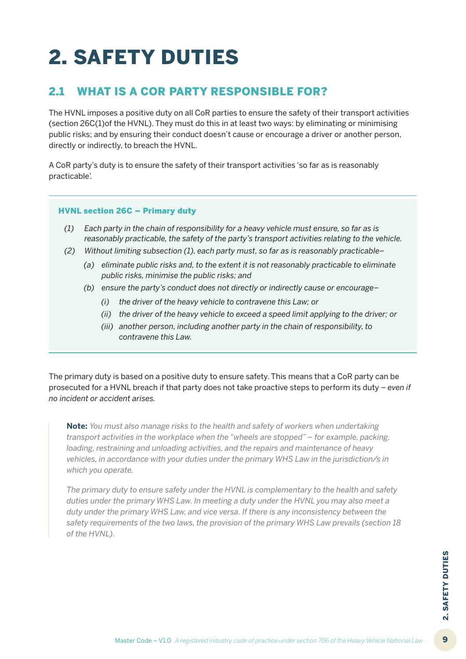## <span id="page-8-0"></span>2. SAFETY DUTIES

## 2.1 WHAT IS A COR PARTY RESPONSIBLE FOR?

The HVNL imposes a positive duty on all CoR parties to ensure the safety of their transport activities (section 26C(1)of the HVNL). They must do this in at least two ways: by eliminating or minimising public risks; and by ensuring their conduct doesn't cause or encourage a driver or another person, directly or indirectly, to breach the HVNL.

A CoR party's duty is to ensure the safety of their transport activities 'so far as is reasonably practicable'.

#### HVNL section 26C – Primary duty

- *(1) Each party in the chain of responsibility for a heavy vehicle must ensure, so far as is reasonably practicable, the safety of the party's transport activities relating to the vehicle.*
- *(2) Without limiting subsection (1), each party must, so far as is reasonably practicable–*
	- *(a) eliminate public risks and, to the extent it is not reasonably practicable to eliminate public risks, minimise the public risks; and*
	- *(b) ensure the party's conduct does not directly or indirectly cause or encourage–*
		- *(i) the driver of the heavy vehicle to contravene this Law; or*
		- *(ii) the driver of the heavy vehicle to exceed a speed limit applying to the driver; or*
		- *(iii) another person, including another party in the chain of responsibility, to contravene this Law.*

The primary duty is based on a positive duty to ensure safety. This means that a CoR party can be prosecuted for a HVNL breach if that party does not take proactive steps to perform its duty – *even if no incident or accident arises.*

**Note:** *You must also manage risks to the health and safety of workers when undertaking transport activities in the workplace when the "wheels are stopped" – for example, packing, loading, restraining and unloading activities, and the repairs and maintenance of heavy vehicles, in accordance with your duties under the primary WHS Law in the jurisdiction/s in which you operate.* 

*The primary duty to ensure safety under the HVNL is complementary to the health and safety duties under the primary WHS Law. In meeting a duty under the HVNL you may also meet a duty under the primary WHS Law, and vice versa. If there is any inconsistency between the safety requirements of the two laws, the provision of the primary WHS Law prevails (section 18 of the HVNL).*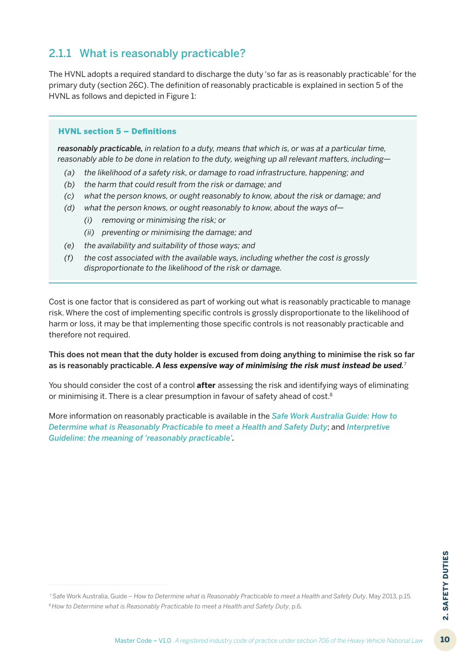## <span id="page-9-0"></span>2.1.1 What is reasonably practicable?

The HVNL adopts a required standard to discharge the duty 'so far as is reasonably practicable' for the primary duty (section 26C). The definition of reasonably practicable is explained in section 5 of the HVNL as follows and depicted in Figure 1:

#### HVNL section 5 – Definitions

*reasonably practicable, in relation to a duty, means that which is, or was at a particular time, reasonably able to be done in relation to the duty, weighing up all relevant matters, including—*

- *(a) the likelihood of a safety risk, or damage to road infrastructure, happening; and*
- *(b) the harm that could result from the risk or damage; and*
- *(c) what the person knows, or ought reasonably to know, about the risk or damage; and*
- *(d) what the person knows, or ought reasonably to know, about the ways of—*
	- *(i) removing or minimising the risk; or*
	- *(ii) preventing or minimising the damage; and*
- *(e) the availability and suitability of those ways; and*
- *(f) the cost associated with the available ways, including whether the cost is grossly disproportionate to the likelihood of the risk or damage.*

Cost is one factor that is considered as part of working out what is reasonably practicable to manage risk. Where the cost of implementing specific controls is grossly disproportionate to the likelihood of harm or loss, it may be that implementing those specific controls is not reasonably practicable and therefore not required.

#### This does not mean that the duty holder is excused from doing anything to minimise the risk so far as is reasonably practicable. *A less expensive way of minimising the risk must instead be used.* 7

You should consider the cost of a control **after** assessing the risk and identifying ways of eliminating or minimising it. There is a clear presumption in favour of safety ahead of  $\mathrm{cost.}^\mathrm{s}$ 

More information on reasonably practicable is available in the *[Safe Work Australia Guide: How to](https://www.safeworkaustralia.gov.au/doc/how-determine-what-reasonably-practicable-meet-health-and-safety-duty)  [Determine what is Reasonably Practicable to meet a Health and Safety Duty](https://www.safeworkaustralia.gov.au/doc/how-determine-what-reasonably-practicable-meet-health-and-safety-duty)*; and *[Interpretive](https://www.safeworkaustralia.gov.au/doc/interpretive-guideline-model-work-health-and-safety-act-meaning-reasonably-practicable)  [Guideline: the meaning of 'reasonably practicable'.](https://www.safeworkaustralia.gov.au/doc/interpretive-guideline-model-work-health-and-safety-act-meaning-reasonably-practicable)*

 <sup>7</sup> Safe Work Australia, Guide – *How to Determine what is Reasonably Practicable to meet a Health and Safety Duty*, May 2013, p.15. <sup>8</sup>*How to Determine what is Reasonably Practicable to meet a Health and Safety Duty*, p.6.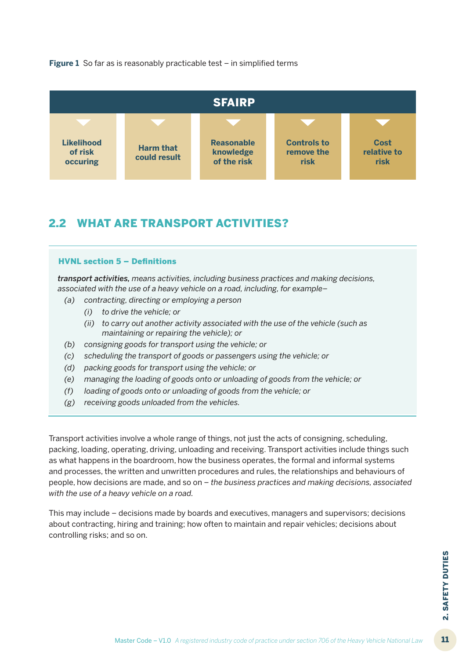<span id="page-10-0"></span>**Figure 1** So far as is reasonably practicable test – in simplified terms



### 2.2 WHAT ARE TRANSPORT ACTIVITIES?

#### HVNL section 5 – Definitions

*transport activities, means activities, including business practices and making decisions, associated with the use of a heavy vehicle on a road, including, for example–*

- *(a) contracting, directing or employing a person*
	- *(i) to drive the vehicle; or*
	- *(ii) to carry out another activity associated with the use of the vehicle (such as maintaining or repairing the vehicle); or*
- *(b) consigning goods for transport using the vehicle; or*
- *(c) scheduling the transport of goods or passengers using the vehicle; or*
- *(d) packing goods for transport using the vehicle; or*
- *(e) managing the loading of goods onto or unloading of goods from the vehicle; or*
- *(f) loading of goods onto or unloading of goods from the vehicle; or*
- *(g) receiving goods unloaded from the vehicles.*

Transport activities involve a whole range of things, not just the acts of consigning, scheduling, packing, loading, operating, driving, unloading and receiving. Transport activities include things such as what happens in the boardroom, how the business operates, the formal and informal systems and processes, the written and unwritten procedures and rules, the relationships and behaviours of people, how decisions are made, and so on – *the business practices and making decisions, associated with the use of a heavy vehicle on a road.*

This may include – decisions made by boards and executives, managers and supervisors; decisions about contracting, hiring and training; how often to maintain and repair vehicles; decisions about controlling risks; and so on.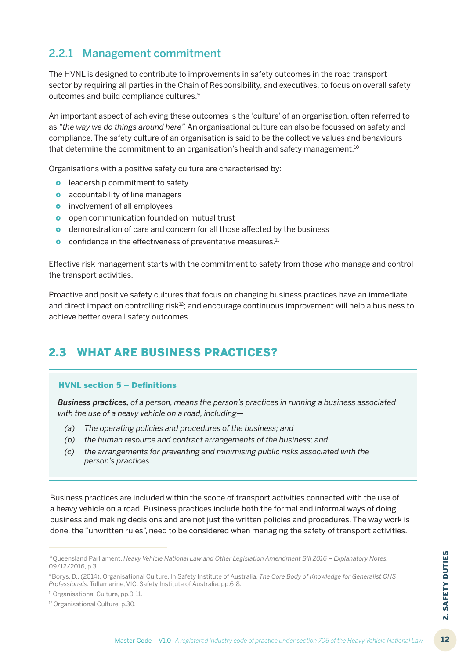## <span id="page-11-0"></span>2.2.1 Management commitment

The HVNL is designed to contribute to improvements in safety outcomes in the road transport sector by requiring all parties in the Chain of Responsibility, and executives, to focus on overall safety outcomes and build compliance cultures. 9

An important aspect of achieving these outcomes is the 'culture' of an organisation, often referred to as *"the way we do things around here".* An organisational culture can also be focussed on safety and compliance. The safety culture of an organisation is said to be the collective values and behaviours that determine the commitment to an organisation's health and safety management. $^{10}$ 

Organisations with a positive safety culture are characterised by:

- **o** leadership commitment to safety
- **o** accountability of line managers
- **o** involvement of all employees
- o open communication founded on mutual trust
- **•** demonstration of care and concern for all those affected by the business
- $\bullet$  confidence in the effectiveness of preventative measures.<sup>11</sup>

Effective risk management starts with the commitment to safety from those who manage and control the transport activities.

Proactive and positive safety cultures that focus on changing business practices have an immediate and direct impact on controlling risk<sup>12</sup>; and encourage continuous improvement will help a business to achieve better overall safety outcomes.

## 2.3 WHAT ARE BUSINESS PRACTICES?

#### HVNL section 5 – Definitions

*Business practices, of a person, means the person's practices in running a business associated with the use of a heavy vehicle on a road, including—*

- *(a) The operating policies and procedures of the business; and*
- *(b) the human resource and contract arrangements of the business; and*
- *(c) the arrangements for preventing and minimising public risks associated with the person's practices.*

Business practices are included within the scope of transport activities connected with the use of a heavy vehicle on a road. Business practices include both the formal and informal ways of doing business and making decisions and are not just the written policies and procedures. The way work is done, the "unwritten rules", need to be considered when managing the safety of transport activities.

 <sup>9</sup> Queensland Parliament, *Heavy Vehicle National Law and Other Legislation Amendment Bill 2016 – Explanatory Notes,* 09/12/2016, p.3.

Master Code – V1.0 *A registered industry code of practice under section 706 of the Heavy Vehicle National Culture.*<br>Master Code – V1.0 *A registered industry code of practice under section 706 of the Heavy Vehicle Nationa* 8 Borys. D., (2014). Organisational Culture. In Safety Institute of Australia, *The Core Body of Knowledge for Generalist OHS Professionals*. Tullamarine, VIC. Safety Institute of Australia, pp.6-8.

<sup>&</sup>lt;sup>11</sup> Organisational Culture, pp.9-11.

<sup>12</sup> Organisational Culture, p.30.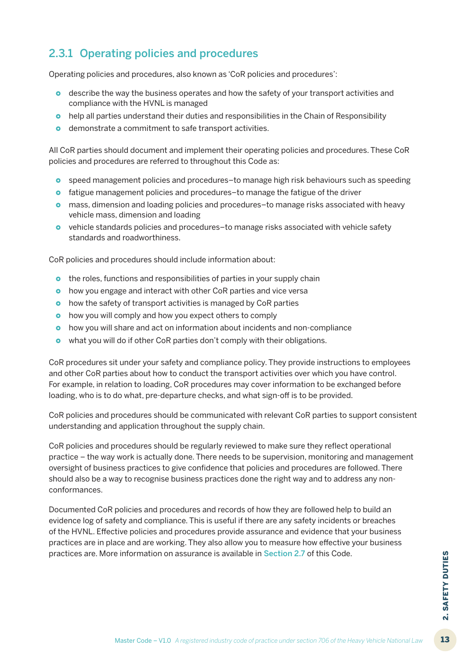## 2.3.1 Operating policies and procedures

Operating policies and procedures, also known as 'CoR policies and procedures':

- **•** describe the way the business operates and how the safety of your transport activities and compliance with the HVNL is managed
- **o** help all parties understand their duties and responsibilities in the Chain of Responsibility
- **o** demonstrate a commitment to safe transport activities.

All CoR parties should document and implement their operating policies and procedures. These CoR policies and procedures are referred to throughout this Code as:

- o speed management policies and procedures-to manage high risk behaviours such as speeding
- **o** fatigue management policies and procedures-to manage the fatigue of the driver
- **o** mass, dimension and loading policies and procedures–to manage risks associated with heavy vehicle mass, dimension and loading
- **o** vehicle standards policies and procedures–to manage risks associated with vehicle safety standards and roadworthiness.

CoR policies and procedures should include information about:

- **o** the roles, functions and responsibilities of parties in your supply chain
- **o** how you engage and interact with other CoR parties and vice versa
- **o** how the safety of transport activities is managed by CoR parties
- **o** how you will comply and how you expect others to comply
- **•** how you will share and act on information about incidents and non-compliance
- **•** what you will do if other CoR parties don't comply with their obligations.

CoR procedures sit under your safety and compliance policy. They provide instructions to employees and other CoR parties about how to conduct the transport activities over which you have control. For example, in relation to loading, CoR procedures may cover information to be exchanged before loading, who is to do what, pre-departure checks, and what sign-off is to be provided.

CoR policies and procedures should be communicated with relevant CoR parties to support consistent understanding and application throughout the supply chain.

CoR policies and procedures should be regularly reviewed to make sure they reflect operational practice – the way work is actually done. There needs to be supervision, monitoring and management oversight of business practices to give confidence that policies and procedures are followed. There should also be a way to recognise business practices done the right way and to address any nonconformances.

Documented CoR policies and procedures and records of how they are followed help to build an evidence log of safety and compliance. This is useful if there are any safety incidents or breaches of the HVNL. Effective policies and procedures provide assurance and evidence that your business practices are in place and are working. They also allow you to measure how effective your business practices are. More information on assurance is available in [Section 2.7](#page-23-0) of this Code.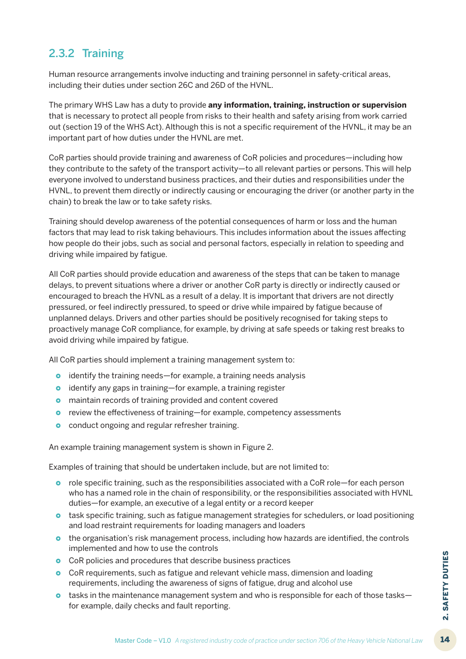## 2.3.2 Training

Human resource arrangements involve inducting and training personnel in safety-critical areas, including their duties under section 26C and 26D of the HVNL.

The primary WHS Law has a duty to provide **any information, training, instruction or supervision** that is necessary to protect all people from risks to their health and safety arising from work carried out (section 19 of the WHS Act). Although this is not a specific requirement of the HVNL, it may be an important part of how duties under the HVNL are met.

CoR parties should provide training and awareness of CoR policies and procedures—including how they contribute to the safety of the transport activity—to all relevant parties or persons. This will help everyone involved to understand business practices, and their duties and responsibilities under the HVNL, to prevent them directly or indirectly causing or encouraging the driver (or another party in the chain) to break the law or to take safety risks.

Training should develop awareness of the potential consequences of harm or loss and the human factors that may lead to risk taking behaviours. This includes information about the issues affecting how people do their jobs, such as social and personal factors, especially in relation to speeding and driving while impaired by fatigue.

All CoR parties should provide education and awareness of the steps that can be taken to manage delays, to prevent situations where a driver or another CoR party is directly or indirectly caused or encouraged to breach the HVNL as a result of a delay. It is important that drivers are not directly pressured, or feel indirectly pressured, to speed or drive while impaired by fatigue because of unplanned delays. Drivers and other parties should be positively recognised for taking steps to proactively manage CoR compliance, for example, by driving at safe speeds or taking rest breaks to avoid driving while impaired by fatigue.

All CoR parties should implement a training management system to:

- $\bullet$  identify the training needs—for example, a training needs analysis
- **o** identify any gaps in training—for example, a training register
- **o** maintain records of training provided and content covered
- **•** review the effectiveness of training—for example, competency assessments
- **•** conduct ongoing and regular refresher training.

An example training management system is shown in Figure 2.

Examples of training that should be undertaken include, but are not limited to:

- **o** role specific training, such as the responsibilities associated with a CoR role—for each person who has a named role in the chain of responsibility, or the responsibilities associated with HVNL duties—for example, an executive of a legal entity or a record keeper
- **o** task specific training, such as fatigue management strategies for schedulers, or load positioning and load restraint requirements for loading managers and loaders
- **o** the organisation's risk management process, including how hazards are identified, the controls implemented and how to use the controls
- **•** CoR policies and procedures that describe business practices
- **•** CoR requirements, such as fatigue and relevant vehicle mass, dimension and loading requirements, including the awareness of signs of fatigue, drug and alcohol use
- **o** tasks in the maintenance management system and who is responsible for each of those tasks for example, daily checks and fault reporting.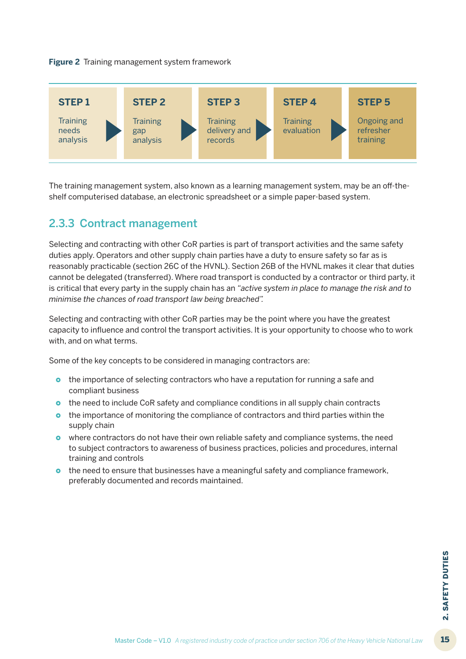**Figure 2** Training management system framework



The training management system, also known as a learning management system, may be an off-theshelf computerised database, an electronic spreadsheet or a simple paper-based system.

## 2.3.3 Contract management

Selecting and contracting with other CoR parties is part of transport activities and the same safety duties apply. Operators and other supply chain parties have a duty to ensure safety so far as is reasonably practicable (section 26C of the HVNL). Section 26B of the HVNL makes it clear that duties cannot be delegated (transferred). Where road transport is conducted by a contractor or third party, it is critical that every party in the supply chain has an *"active system in place to manage the risk and to minimise the chances of road transport law being breached".*

Selecting and contracting with other CoR parties may be the point where you have the greatest capacity to influence and control the transport activities. It is your opportunity to choose who to work with, and on what terms.

Some of the key concepts to be considered in managing contractors are:

- **•** the importance of selecting contractors who have a reputation for running a safe and compliant business
- **•** the need to include CoR safety and compliance conditions in all supply chain contracts
- **•** the importance of monitoring the compliance of contractors and third parties within the supply chain
- **•** where contractors do not have their own reliable safety and compliance systems, the need to subject contractors to awareness of business practices, policies and procedures, internal training and controls
- **o** the need to ensure that businesses have a meaningful safety and compliance framework, preferably documented and records maintained.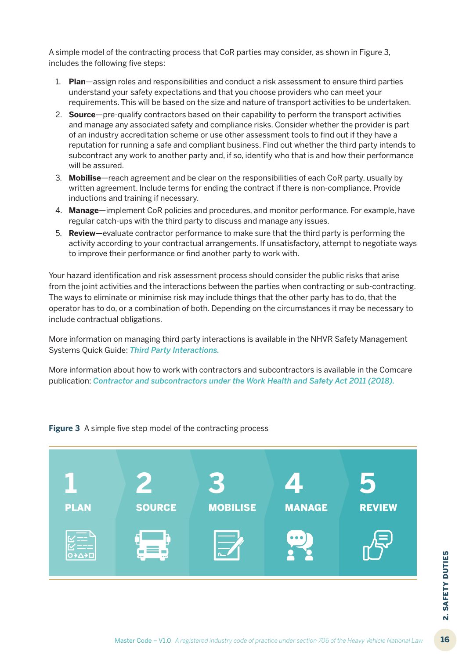A simple model of the contracting process that CoR parties may consider, as shown in Figure 3, includes the following five steps:

- 1. **Plan**—assign roles and responsibilities and conduct a risk assessment to ensure third parties understand your safety expectations and that you choose providers who can meet your requirements. This will be based on the size and nature of transport activities to be undertaken.
- 2. **Source**—pre-qualify contractors based on their capability to perform the transport activities and manage any associated safety and compliance risks. Consider whether the provider is part of an industry accreditation scheme or use other assessment tools to find out if they have a reputation for running a safe and compliant business. Find out whether the third party intends to subcontract any work to another party and, if so, identify who that is and how their performance will be assured.
- 3. **Mobilise**—reach agreement and be clear on the responsibilities of each CoR party, usually by written agreement. Include terms for ending the contract if there is non-compliance. Provide inductions and training if necessary.
- 4. **Manage**—implement CoR policies and procedures, and monitor performance. For example, have regular catch-ups with the third party to discuss and manage any issues.
- 5. **Review**—evaluate contractor performance to make sure that the third party is performing the activity according to your contractual arrangements. If unsatisfactory, attempt to negotiate ways to improve their performance or find another party to work with.

Your hazard identification and risk assessment process should consider the public risks that arise from the joint activities and the interactions between the parties when contracting or sub-contracting. The ways to eliminate or minimise risk may include things that the other party has to do, that the operator has to do, or a combination of both. Depending on the circumstances it may be necessary to include contractual obligations.

More information on managing third party interactions is available in the NHVR Safety Management Systems Quick Guide: *[Third Party Interactions.](https://www.nhvr.gov.au/safety-accreditation-compliance/safety-management-systems/safety-policy-and-documentation)*

More information about how to work with contractors and subcontractors is available in the Comcare publication: *[Contractor and subcontractors under the Work Health and Safety Act 2011 \(2018\).](http://www.comcare.gov.au/Forms_and_Publications/publications/services/laws_and_regulations/laws_and_regulations/contr_subcont_under_whs_act_2011)*



**Figure 3** A simple five step model of the contracting process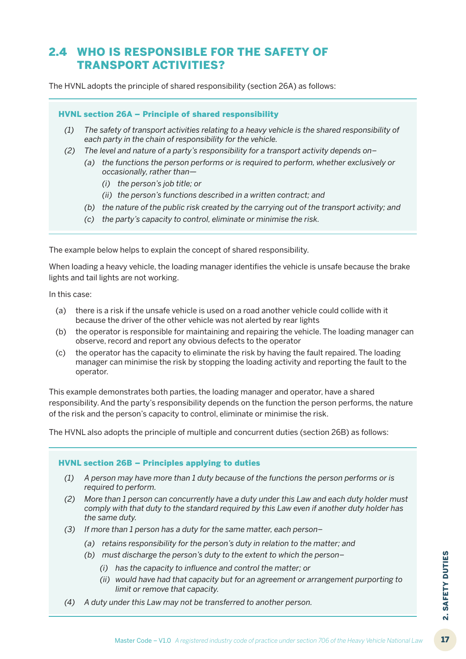## <span id="page-16-0"></span>2.4 WHO IS RESPONSIBLE FOR THE SAFETY OF TRANSPORT ACTIVITIES?

The HVNL adopts the principle of shared responsibility (section 26A) as follows:

#### HVNL section 26A – Principle of shared responsibility

- *(1) The safety of transport activities relating to a heavy vehicle is the shared responsibility of each party in the chain of responsibility for the vehicle.*
- *(2) The level and nature of a party's responsibility for a transport activity depends on–*
	- *(a) the functions the person performs or is required to perform, whether exclusively or occasionally, rather than—*
		- *(i) the person's job title; or*
		- *(ii) the person's functions described in a written contract; and*
	- *(b) the nature of the public risk created by the carrying out of the transport activity; and*
	- *(c) the party's capacity to control, eliminate or minimise the risk.*

The example below helps to explain the concept of shared responsibility.

When loading a heavy vehicle, the loading manager identifies the vehicle is unsafe because the brake lights and tail lights are not working.

In this case:

- (a) there is a risk if the unsafe vehicle is used on a road another vehicle could collide with it because the driver of the other vehicle was not alerted by rear lights
- (b) the operator is responsible for maintaining and repairing the vehicle. The loading manager can observe, record and report any obvious defects to the operator
- (c) the operator has the capacity to eliminate the risk by having the fault repaired. The loading manager can minimise the risk by stopping the loading activity and reporting the fault to the operator.

This example demonstrates both parties, the loading manager and operator, have a shared responsibility. And the party's responsibility depends on the function the person performs, the nature of the risk and the person's capacity to control, eliminate or minimise the risk.

The HVNL also adopts the principle of multiple and concurrent duties (section 26B) as follows:

#### HVNL section 26B – Principles applying to duties

- *(1) A person may have more than 1 duty because of the functions the person performs or is required to perform.*
- *(2) More than 1 person can concurrently have a duty under this Law and each duty holder must comply with that duty to the standard required by this Law even if another duty holder has the same duty.*
- *(3) If more than 1 person has a duty for the same matter, each person–*
	- *(a) retains responsibility for the person's duty in relation to the matter; and*
	- *(b) must discharge the person's duty to the extent to which the person–*
		- *(i) has the capacity to influence and control the matter; or*
		- Master Code V1.0 *A registered industry code of practice under section 706 of the Heavy Vehicle National Law*<br>Master Code V1.0 *A registered industry code of practice under section 706 of the Heavy Vehicle National Law (ii) would have had that capacity but for an agreement or arrangement purporting to limit or remove that capacity.*
- *(4) A duty under this Law may not be transferred to another person.*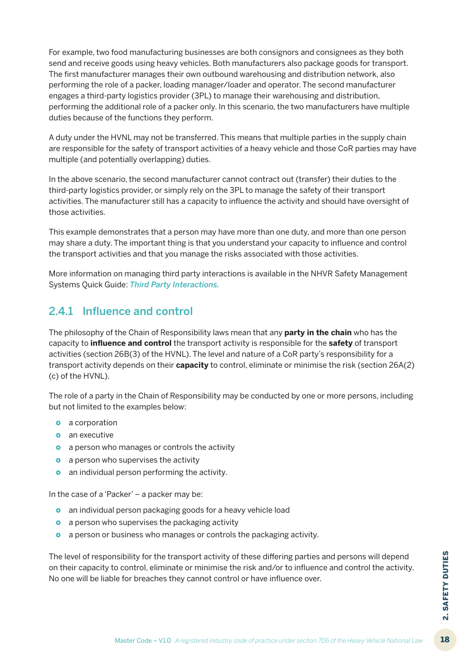For example, two food manufacturing businesses are both consignors and consignees as they both send and receive goods using heavy vehicles. Both manufacturers also package goods for transport. The first manufacturer manages their own outbound warehousing and distribution network, also performing the role of a packer, loading manager/loader and operator. The second manufacturer engages a third-party logistics provider (3PL) to manage their warehousing and distribution, performing the additional role of a packer only. In this scenario, the two manufacturers have multiple duties because of the functions they perform.

A duty under the HVNL may not be transferred. This means that multiple parties in the supply chain are responsible for the safety of transport activities of a heavy vehicle and those CoR parties may have multiple (and potentially overlapping) duties.

In the above scenario, the second manufacturer cannot contract out (transfer) their duties to the third-party logistics provider, or simply rely on the 3PL to manage the safety of their transport activities. The manufacturer still has a capacity to influence the activity and should have oversight of those activities.

This example demonstrates that a person may have more than one duty, and more than one person may share a duty. The important thing is that you understand your capacity to influence and control the transport activities and that you manage the risks associated with those activities.

More information on managing third party interactions is available in the NHVR Safety Management Systems Quick Guide: *[Third Party Interactions.](https://www.nhvr.gov.au/safety-accreditation-compliance/safety-management-systems/safety-policy-and-documentation)*

### 2.4.1 Influence and control

The philosophy of the Chain of Responsibility laws mean that any **party in the chain** who has the capacity to **influence and control** the transport activity is responsible for the **safety** of transport activities (section 26B(3) of the HVNL). The level and nature of a CoR party's responsibility for a transport activity depends on their **capacity** to control, eliminate or minimise the risk (section 26A(2) (c) of the HVNL).

The role of a party in the Chain of Responsibility may be conducted by one or more persons, including but not limited to the examples below:

- **o** a corporation
- **o** an executive
- **•** a person who manages or controls the activity
- **o** a person who supervises the activity
- **•** an individual person performing the activity.

In the case of a 'Packer' – a packer may be:

- **o** an individual person packaging goods for a heavy vehicle load
- **•** a person who supervises the packaging activity
- **•** a person or business who manages or controls the packaging activity.

Master Code – V1.0 *A registered industry code of practice under section 706 of the Heavy Vehicle National Law*<br>Master Code – V1.0 *A registered industry code of practice under section 706 of the Heavy Vehicle National Law* The level of responsibility for the transport activity of these differing parties and persons will depend on their capacity to control, eliminate or minimise the risk and/or to influence and control the activity. No one will be liable for breaches they cannot control or have influence over.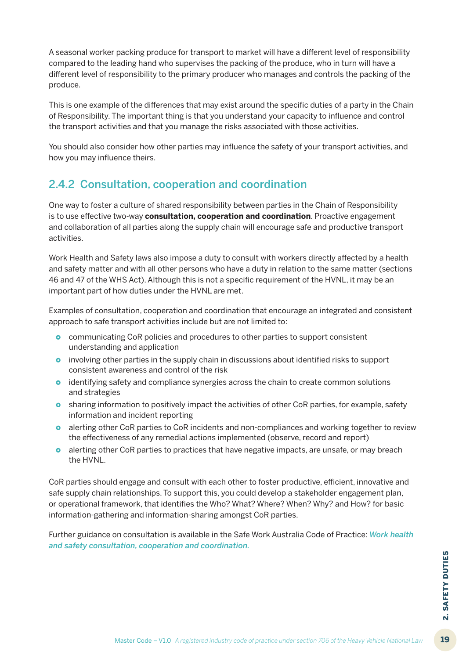<span id="page-18-0"></span>A seasonal worker packing produce for transport to market will have a different level of responsibility compared to the leading hand who supervises the packing of the produce, who in turn will have a different level of responsibility to the primary producer who manages and controls the packing of the produce.

This is one example of the differences that may exist around the specific duties of a party in the Chain of Responsibility. The important thing is that you understand your capacity to influence and control the transport activities and that you manage the risks associated with those activities.

You should also consider how other parties may influence the safety of your transport activities, and how you may influence theirs.

## 2.4.2 Consultation, cooperation and coordination

One way to foster a culture of shared responsibility between parties in the Chain of Responsibility is to use effective two-way **consultation, cooperation and coordination**. Proactive engagement and collaboration of all parties along the supply chain will encourage safe and productive transport activities.

Work Health and Safety laws also impose a duty to consult with workers directly affected by a health and safety matter and with all other persons who have a duty in relation to the same matter (sections 46 and 47 of the WHS Act). Although this is not a specific requirement of the HVNL, it may be an important part of how duties under the HVNL are met.

Examples of consultation, cooperation and coordination that encourage an integrated and consistent approach to safe transport activities include but are not limited to:

- **•** communicating CoR policies and procedures to other parties to support consistent understanding and application
- **•** involving other parties in the supply chain in discussions about identified risks to support consistent awareness and control of the risk
- **•** identifying safety and compliance synergies across the chain to create common solutions and strategies
- **o** sharing information to positively impact the activities of other CoR parties, for example, safety information and incident reporting
- **o** alerting other CoR parties to CoR incidents and non-compliances and working together to review the effectiveness of any remedial actions implemented (observe, record and report)
- **o** alerting other CoR parties to practices that have negative impacts, are unsafe, or may breach the HVNL.

CoR parties should engage and consult with each other to foster productive, efficient, innovative and safe supply chain relationships. To support this, you could develop a stakeholder engagement plan, or operational framework, that identifies the Who? What? Where? When? Why? and How? for basic information-gathering and information-sharing amongst CoR parties.

Further guidance on consultation is available in the Safe Work Australia Code of Practice: *[Work health](https://www.safeworkaustralia.gov.au/doc/model-code-practice-work-health-and-safety-consultation-cooperation-and-coordination)  [and safety consultation, cooperation and coordination.](https://www.safeworkaustralia.gov.au/doc/model-code-practice-work-health-and-safety-consultation-cooperation-and-coordination)*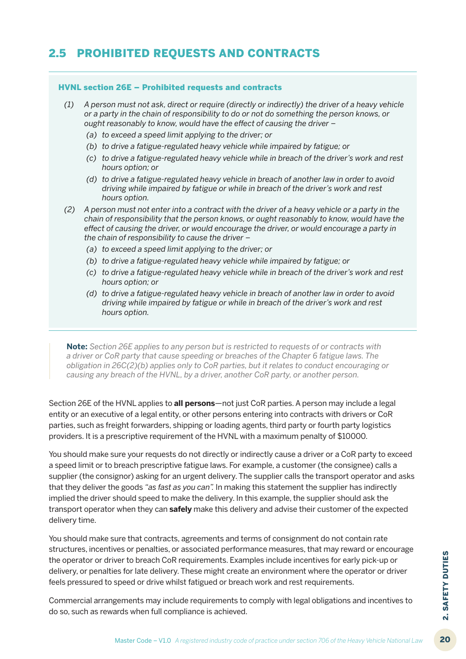## <span id="page-19-0"></span>2.5 PROHIBITED REQUESTS AND CONTRACTS

#### HVNL section 26E – Prohibited requests and contracts

- *(1) A person must not ask, direct or require (directly or indirectly) the driver of a heavy vehicle or a party in the chain of responsibility to do or not do something the person knows, or ought reasonably to know, would have the effect of causing the driver –*
	- *(a) to exceed a speed limit applying to the driver; or*
	- *(b) to drive a fatigue-regulated heavy vehicle while impaired by fatigue; or*
	- *(c) to drive a fatigue-regulated heavy vehicle while in breach of the driver's work and rest hours option; or*
	- *(d) to drive a fatigue-regulated heavy vehicle in breach of another law in order to avoid driving while impaired by fatigue or while in breach of the driver's work and rest hours option.*
- *(2) A person must not enter into a contract with the driver of a heavy vehicle or a party in the chain of responsibility that the person knows, or ought reasonably to know, would have the effect of causing the driver, or would encourage the driver, or would encourage a party in the chain of responsibility to cause the driver –*
	- *(a) to exceed a speed limit applying to the driver; or*
	- *(b) to drive a fatigue-regulated heavy vehicle while impaired by fatigue; or*
	- *(c) to drive a fatigue-regulated heavy vehicle while in breach of the driver's work and rest hours option; or*
	- *(d) to drive a fatigue-regulated heavy vehicle in breach of another law in order to avoid driving while impaired by fatigue or while in breach of the driver's work and rest hours option.*

**Note:** *Section 26E applies to any person but is restricted to requests of or contracts with a driver or CoR party that cause speeding or breaches of the Chapter 6 fatigue laws. The obligation in 26C(2)(b) applies only to CoR parties, but it relates to conduct encouraging or causing any breach of the HVNL, by a driver, another CoR party, or another person.*

Section 26E of the HVNL applies to **all persons**—not just CoR parties. A person may include a legal entity or an executive of a legal entity, or other persons entering into contracts with drivers or CoR parties, such as freight forwarders, shipping or loading agents, third party or fourth party logistics providers. It is a prescriptive requirement of the HVNL with a maximum penalty of \$10000.

You should make sure your requests do not directly or indirectly cause a driver or a CoR party to exceed a speed limit or to breach prescriptive fatigue laws. For example, a customer (the consignee) calls a supplier (the consignor) asking for an urgent delivery. The supplier calls the transport operator and asks that they deliver the goods *"as fast as you can".* In making this statement the supplier has indirectly implied the driver should speed to make the delivery. In this example, the supplier should ask the transport operator when they can **safely** make this delivery and advise their customer of the expected delivery time.

You should make sure that contracts, agreements and terms of consignment do not contain rate structures, incentives or penalties, or associated performance measures, that may reward or encourage the operator or driver to breach CoR requirements. Examples include incentives for early pick-up or delivery, or penalties for late delivery. These might create an environment where the operator or driver feels pressured to speed or drive whilst fatigued or breach work and rest requirements.

Commercial arrangements may include requirements to comply with legal obligations and incentives to do so, such as rewards when full compliance is achieved.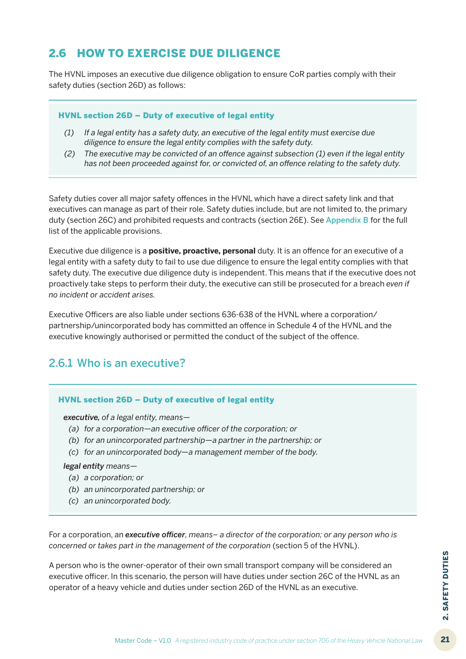## <span id="page-20-0"></span>2.6 HOW TO EXERCISE DUE DILIGENCE

The HVNL imposes an executive due diligence obligation to ensure CoR parties comply with their safety duties (section 26D) as follows:

#### HVNL section 26D – Duty of executive of legal entity

- *(1) If a legal entity has a safety duty, an executive of the legal entity must exercise due diligence to ensure the legal entity complies with the safety duty.*
- *(2) The executive may be convicted of an offence against subsection (1) even if the legal entity has not been proceeded against for, or convicted of, an offence relating to the safety duty.*

Safety duties cover all major safety offences in the HVNL which have a direct safety link and that executives can manage as part of their role. Safety duties include, but are not limited to, the primary duty (section 26C) and prohibited requests and contracts (section 26E). See [Appendix B](#page-86-0) for the full list of the applicable provisions.

Executive due diligence is a **positive, proactive, personal** duty. It is an offence for an executive of a legal entity with a safety duty to fail to use due diligence to ensure the legal entity complies with that safety duty. The executive due diligence duty is independent. This means that if the executive does not proactively take steps to perform their duty, the executive can still be prosecuted for a breach *even if no incident or accident arises.*

Executive Officers are also liable under sections 636-638 of the HVNL where a corporation/ partnership/unincorporated body has committed an offence in Schedule 4 of the HVNL and the executive knowingly authorised or permitted the conduct of the subject of the offence.

### 2.6.1 Who is an executive?

#### HVNL section 26D – Duty of executive of legal entity

*executive, of a legal entity, means—*

- *(a) for a corporation—an executive officer of the corporation; or*
- *(b) for an unincorporated partnership—a partner in the partnership; or*
- *(c) for an unincorporated body—a management member of the body.*

#### *legal entity means—*

- *(a) a corporation; or*
- *(b) an unincorporated partnership; or*
- *(c) an unincorporated body.*

For a corporation, an *executive officer, means– a director of the corporation; or any person who is concerned or takes part in the management of the corporation* (section 5 of the HVNL).

A person who is the owner-operator of their own small transport company will be considered an executive officer. In this scenario, the person will have duties under section 26C of the HVNL as an operator of a heavy vehicle and duties under section 26D of the HVNL as an executive.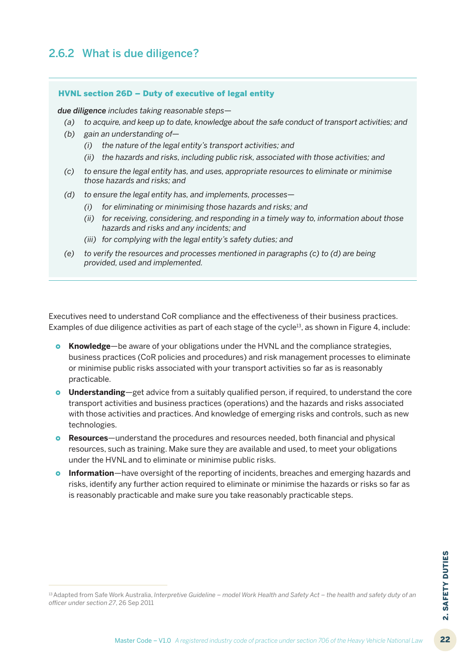### 2.6.2 What is due diligence?

#### HVNL section 26D – Duty of executive of legal entity

*due diligence includes taking reasonable steps—*

- *(a) to acquire, and keep up to date, knowledge about the safe conduct of transport activities; and*
- *(b) gain an understanding of—*
	- *(i) the nature of the legal entity's transport activities; and*
	- *(ii) the hazards and risks, including public risk, associated with those activities; and*
- *(c) to ensure the legal entity has, and uses, appropriate resources to eliminate or minimise those hazards and risks; and*
- *(d) to ensure the legal entity has, and implements, processes—*
	- *(i) for eliminating or minimising those hazards and risks; and*
	- *(ii) for receiving, considering, and responding in a timely way to, information about those hazards and risks and any incidents; and*
	- *(iii) for complying with the legal entity's safety duties; and*
- *(e) to verify the resources and processes mentioned in paragraphs (c) to (d) are being provided, used and implemented.*

Executives need to understand CoR compliance and the effectiveness of their business practices. Examples of due diligence activities as part of each stage of the cycle<sup>13</sup>, as shown in Figure 4, include:

- **o** Knowledge—be aware of your obligations under the HVNL and the compliance strategies, business practices (CoR policies and procedures) and risk management processes to eliminate or minimise public risks associated with your transport activities so far as is reasonably practicable.
- **o** Understanding—get advice from a suitably qualified person, if required, to understand the core transport activities and business practices (operations) and the hazards and risks associated with those activities and practices. And knowledge of emerging risks and controls, such as new technologies.
- **Resources**—understand the procedures and resources needed, both financial and physical resources, such as training. Make sure they are available and used, to meet your obligations under the HVNL and to eliminate or minimise public risks.
- **o** Information—have oversight of the reporting of incidents, breaches and emerging hazards and risks, identify any further action required to eliminate or minimise the hazards or risks so far as is reasonably practicable and make sure you take reasonably practicable steps.

<sup>13</sup> Adapted from Safe Work Australia, *Interpretive Guideline – model Work Health and Safety Act – the health and safety duty of an officer under section 27*, 26 Sep 2011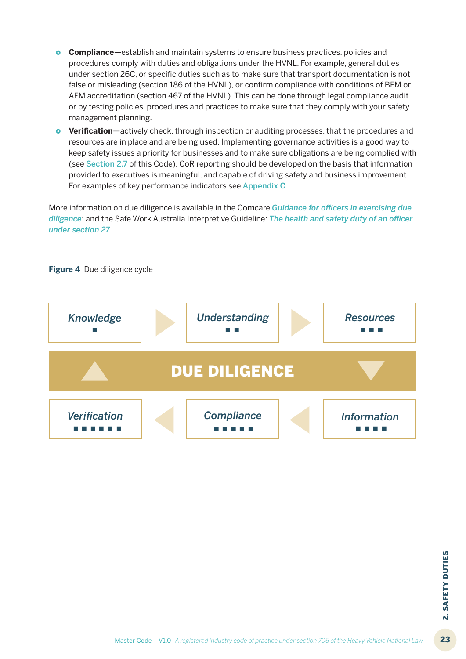- **Compliance**—establish and maintain systems to ensure business practices, policies and procedures comply with duties and obligations under the HVNL. For example, general duties under section 26C, or specific duties such as to make sure that transport documentation is not false or misleading (section 186 of the HVNL), or confirm compliance with conditions of BFM or AFM accreditation (section 467 of the HVNL). This can be done through legal compliance audit or by testing policies, procedures and practices to make sure that they comply with your safety management planning.
- **•** Verification—actively check, through inspection or auditing processes, that the procedures and resources are in place and are being used. Implementing governance activities is a good way to keep safety issues a priority for businesses and to make sure obligations are being complied with (see [Section 2.7](#page-23-0) of this Code). CoR reporting should be developed on the basis that information provided to executives is meaningful, and capable of driving safety and business improvement. For examples of key performance indicators see [Appendix C](#page-87-0).

More information on due diligence is available in the Comcare *[Guidance for officers in exercising due](https://www.comcare.gov.au/Forms_and_Publications/publications/services/safety_and_prevention/safety_and_prevention/due_diligience)  [diligence](https://www.comcare.gov.au/Forms_and_Publications/publications/services/safety_and_prevention/safety_and_prevention/due_diligience)*; and the Safe Work Australia Interpretive Guideline: *[The health and safety duty of an officer](https://www.safeworkaustralia.gov.au/doc/interpretive-guideline-model-work-health-and-safety-act-health-and-safety-duty-officer-under)  [under section 27](https://www.safeworkaustralia.gov.au/doc/interpretive-guideline-model-work-health-and-safety-act-health-and-safety-duty-officer-under)*.



#### **Figure 4** Due diligence cycle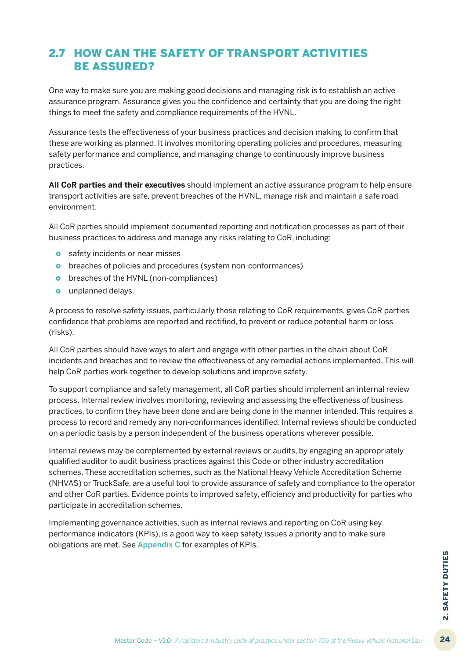## <span id="page-23-0"></span>2.7 HOW CAN THE SAFETY OF TRANSPORT ACTIVITIES BE ASSURED?

One way to make sure you are making good decisions and managing risk is to establish an active assurance program. Assurance gives you the confidence and certainty that you are doing the right things to meet the safety and compliance requirements of the HVNL.

Assurance tests the effectiveness of your business practices and decision making to confirm that these are working as planned. It involves monitoring operating policies and procedures, measuring safety performance and compliance, and managing change to continuously improve business practices.

**All CoR parties and their executives** should implement an active assurance program to help ensure transport activities are safe, prevent breaches of the HVNL, manage risk and maintain a safe road environment.

All CoR parties should implement documented reporting and notification processes as part of their business practices to address and manage any risks relating to CoR, including:

- **o** safety incidents or near misses
- **o** breaches of policies and procedures (system non-conformances)
- **o** breaches of the HVNL (non-compliances)
- **o** unplanned delays.

A process to resolve safety issues, particularly those relating to CoR requirements, gives CoR parties confidence that problems are reported and rectified, to prevent or reduce potential harm or loss (risks).

All CoR parties should have ways to alert and engage with other parties in the chain about CoR incidents and breaches and to review the effectiveness of any remedial actions implemented. This will help CoR parties work together to develop solutions and improve safety.

To support compliance and safety management, all CoR parties should implement an internal review process. Internal review involves monitoring, reviewing and assessing the effectiveness of business practices, to confirm they have been done and are being done in the manner intended. This requires a process to record and remedy any non-conformances identified. Internal reviews should be conducted on a periodic basis by a person independent of the business operations wherever possible.

Internal reviews may be complemented by external reviews or audits, by engaging an appropriately qualified auditor to audit business practices against this Code or other industry accreditation schemes. These accreditation schemes, such as the National Heavy Vehicle Accreditation Scheme (NHVAS) or TruckSafe, are a useful tool to provide assurance of safety and compliance to the operator and other CoR parties. Evidence points to improved safety, efficiency and productivity for parties who participate in accreditation schemes.

Implementing governance activities, such as internal reviews and reporting on CoR using key performance indicators (KPIs), is a good way to keep safety issues a priority and to make sure obligations are met. See **[Appendix C](#page-87-0)** for examples of KPIs.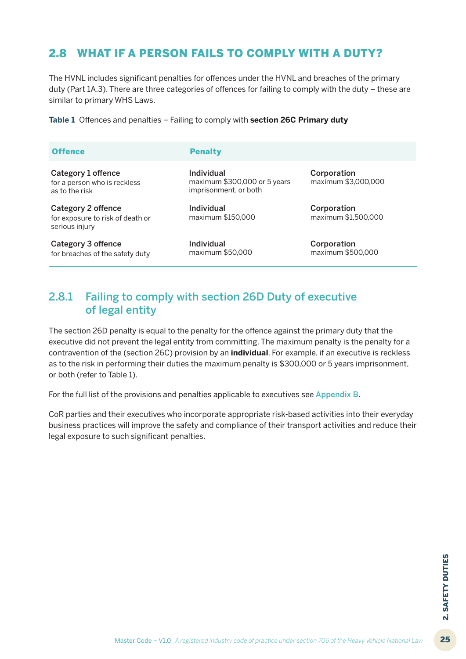## <span id="page-24-0"></span>2.8 WHAT IF A PERSON FAILS TO COMPLY WITH A DUTY?

The HVNL includes significant penalties for offences under the HVNL and breaches of the primary duty (Part 1A.3). There are three categories of offences for failing to comply with the duty – these are similar to primary WHS Laws.

**Table 1** Offences and penalties – Failing to comply with **section 26C Primary duty**

#### Offence **Penalty**

Category 1 offence for a person who is reckless as to the risk

#### Category 2 offence for exposure to risk of death or serious injury

Category 3 offence for breaches of the safety duty

Individual maximum \$300,000 or 5 years imprisonment, or both

Individual maximum \$150,000

Individual maximum \$50,000 Corporation maximum \$3,000,000

Corporation maximum \$1,500,000

Corporation maximum \$500,000

### 2.8.1 Failing to comply with section 26D Duty of executive of legal entity

The section 26D penalty is equal to the penalty for the offence against the primary duty that the executive did not prevent the legal entity from committing. The maximum penalty is the penalty for a contravention of the (section 26C) provision by an **individual**. For example, if an executive is reckless as to the risk in performing their duties the maximum penalty is \$300,000 or 5 years imprisonment, or both (refer to Table 1).

For the full list of the provisions and penalties applicable to executives see [Appendix B](#page-86-0).

CoR parties and their executives who incorporate appropriate risk-based activities into their everyday business practices will improve the safety and compliance of their transport activities and reduce their legal exposure to such significant penalties.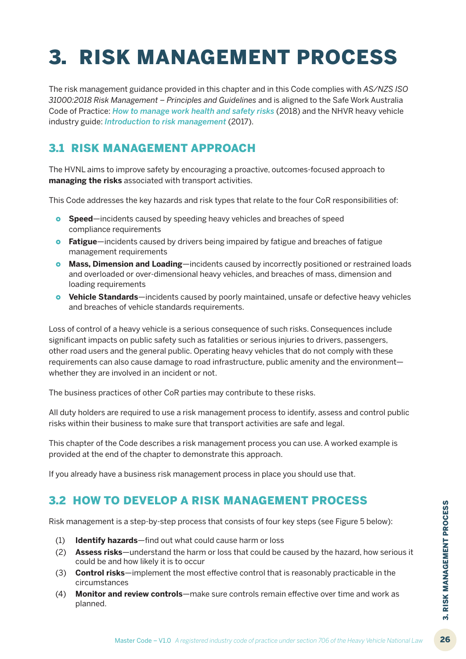## <span id="page-25-0"></span>3. RISK MANAGEMENT PROCESS

The risk management guidance provided in this chapter and in this Code complies with *AS/NZS ISO 31000:2018 Risk Management – Principles and Guidelines* and is aligned to the Safe Work Australia Code of Practice: *[How to manage work health and safety risks](https://www.safeworkaustralia.gov.au/doc/model-code-practice-how-manage-work-health-and-safety-risks)* (2018) and the NHVR heavy vehicle industry guide: *[Introduction to risk management](https://www.nhvr.gov.au/files/201709-0707-introduction-to-risk-management.pdf)* (2017).

## 3.1 RISK MANAGEMENT APPROACH

The HVNL aims to improve safety by encouraging a proactive, outcomes-focused approach to **managing the risks** associated with transport activities.

This Code addresses the key hazards and risk types that relate to the four CoR responsibilities of:

- **• Speed**—incidents caused by speeding heavy vehicles and breaches of speed compliance requirements
- **o** Fatigue—incidents caused by drivers being impaired by fatigue and breaches of fatigue management requirements
- **Mass, Dimension and Loading**—incidents caused by incorrectly positioned or restrained loads and overloaded or over-dimensional heavy vehicles, and breaches of mass, dimension and loading requirements
- **Vehicle Standards**—incidents caused by poorly maintained, unsafe or defective heavy vehicles and breaches of vehicle standards requirements.

Loss of control of a heavy vehicle is a serious consequence of such risks. Consequences include significant impacts on public safety such as fatalities or serious injuries to drivers, passengers, other road users and the general public. Operating heavy vehicles that do not comply with these requirements can also cause damage to road infrastructure, public amenity and the environment whether they are involved in an incident or not.

The business practices of other CoR parties may contribute to these risks.

All duty holders are required to use a risk management process to identify, assess and control public risks within their business to make sure that transport activities are safe and legal.

This chapter of the Code describes a risk management process you can use. A worked example is provided at the end of the chapter to demonstrate this approach.

If you already have a business risk management process in place you should use that.

## 3.2 HOW TO DEVELOP A RISK MANAGEMENT PROCESS

Risk management is a step-by-step process that consists of four key steps (see Figure 5 below):

- (1) **Identify hazards**—find out what could cause harm or loss
- (2) **Assess risks**—understand the harm or loss that could be caused by the hazard, how serious it could be and how likely it is to occur
- (3) **Control risks**—implement the most effective control that is reasonably practicable in the circumstances
- (4) **Monitor and review controls**—make sure controls remain effective over time and work as planned.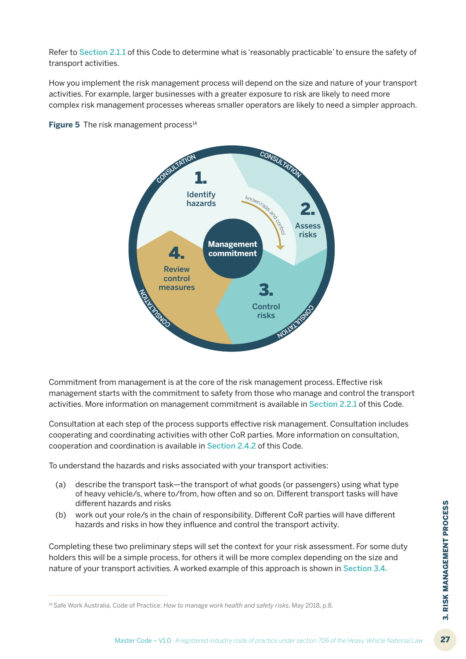Refer to [Section 2.1.1](#page-9-0) of this Code to determine what is 'reasonably practicable' to ensure the safety of transport activities.

How you implement the risk management process will depend on the size and nature of your transport activities. For example, larger businesses with a greater exposure to risk are likely to need more complex risk management processes whereas smaller operators are likely to need a simpler approach.





Commitment from management is at the core of the risk management process. Effective risk management starts with the commitment to safety from those who manage and control the transport activities. More information on management commitment is available in [Section 2.2.1](#page-11-0) of this Code.

Consultation at each step of the process supports effective risk management. Consultation includes cooperating and coordinating activities with other CoR parties. More information on consultation, cooperation and coordination is available in [Section 2.4.2](#page-18-0) of this Code.

To understand the hazards and risks associated with your transport activities:

- (a) describe the transport task—the transport of what goods (or passengers) using what type of heavy vehicle/s, where to/from, how often and so on. Different transport tasks will have different hazards and risks
- (b) work out your role/s in the chain of responsibility. Different CoR parties will have different hazards and risks in how they influence and control the transport activity.

Completing these two preliminary steps will set the context for your risk assessment. For some duty holders this will be a simple process, for others it will be more complex depending on the size and nature of your transport activities. A worked example of this approach is shown in [Section 3.4](#page-32-0).

<sup>14</sup> Safe Work Australia, Code of Practice: *How to manage work health and safety risks*, May 2018, p.8.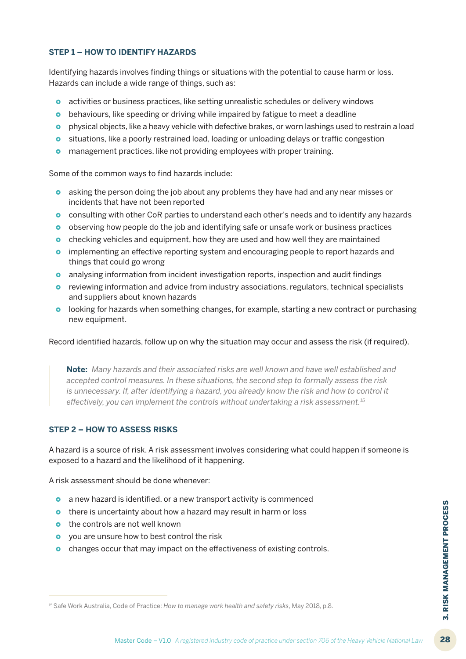#### <span id="page-27-0"></span>**STEP 1 – HOW TO IDENTIFY HAZARDS**

Identifying hazards involves finding things or situations with the potential to cause harm or loss. Hazards can include a wide range of things, such as:

- **o** activities or business practices, like setting unrealistic schedules or delivery windows
- **•** behaviours, like speeding or driving while impaired by fatigue to meet a deadline
- **o** physical objects, like a heavy vehicle with defective brakes, or worn lashings used to restrain a load
- **o** situations, like a poorly restrained load, loading or unloading delays or traffic congestion
- **•** management practices, like not providing employees with proper training.

Some of the common ways to find hazards include:

- **o** asking the person doing the job about any problems they have had and any near misses or incidents that have not been reported
- **o** consulting with other CoR parties to understand each other's needs and to identify any hazards
- o observing how people do the job and identifying safe or unsafe work or business practices
- $\bullet$  checking vehicles and equipment, how they are used and how well they are maintained
- **o** implementing an effective reporting system and encouraging people to report hazards and things that could go wrong
- **•** analysing information from incident investigation reports, inspection and audit findings
- **o** reviewing information and advice from industry associations, regulators, technical specialists and suppliers about known hazards
- **•** looking for hazards when something changes, for example, starting a new contract or purchasing new equipment.

Record identified hazards, follow up on why the situation may occur and assess the risk (if required).

**Note:** *Many hazards and their associated risks are well known and have well established and accepted control measures. In these situations, the second step to formally assess the risk*  is unnecessary. If, after identifying a hazard, you already know the risk and how to control it *effectively, you can implement the controls without undertaking a risk assessment.15*

#### **STEP 2 – HOW TO ASSESS RISKS**

A hazard is a source of risk. A risk assessment involves considering what could happen if someone is exposed to a hazard and the likelihood of it happening.

A risk assessment should be done whenever:

- **o** a new hazard is identified, or a new transport activity is commenced
- **o** there is uncertainty about how a hazard may result in harm or loss
- **o** the controls are not well known
- **o** vou are unsure how to best control the risk
- **•** changes occur that may impact on the effectiveness of existing controls.

<sup>15</sup> Safe Work Australia, Code of Practice: *How to manage work health and safety risks*, May 2018, p.8.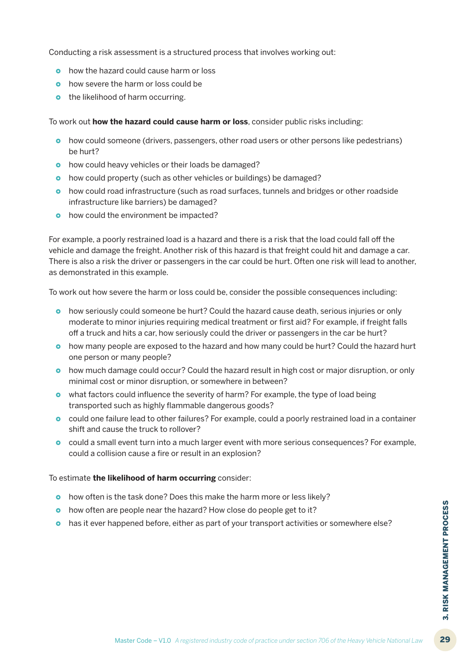Conducting a risk assessment is a structured process that involves working out:

- **o** how the hazard could cause harm or loss
- **o** how severe the harm or loss could be
- **o** the likelihood of harm occurring.

To work out **how the hazard could cause harm or loss**, consider public risks including:

- **•** how could someone (drivers, passengers, other road users or other persons like pedestrians) be hurt?
- **o** how could heavy vehicles or their loads be damaged?
- **o** how could property (such as other vehicles or buildings) be damaged?
- **o** how could road infrastructure (such as road surfaces, tunnels and bridges or other roadside infrastructure like barriers) be damaged?
- **o** how could the environment be impacted?

For example, a poorly restrained load is a hazard and there is a risk that the load could fall off the vehicle and damage the freight. Another risk of this hazard is that freight could hit and damage a car. There is also a risk the driver or passengers in the car could be hurt. Often one risk will lead to another, as demonstrated in this example.

To work out how severe the harm or loss could be, consider the possible consequences including:

- **•** how seriously could someone be hurt? Could the hazard cause death, serious injuries or only moderate to minor injuries requiring medical treatment or first aid? For example, if freight falls off a truck and hits a car, how seriously could the driver or passengers in the car be hurt?
- o how many people are exposed to the hazard and how many could be hurt? Could the hazard hurt one person or many people?
- **•** how much damage could occur? Could the hazard result in high cost or major disruption, or only minimal cost or minor disruption, or somewhere in between?
- **o** what factors could influence the severity of harm? For example, the type of load being transported such as highly flammable dangerous goods?
- **o** could one failure lead to other failures? For example, could a poorly restrained load in a container shift and cause the truck to rollover?
- **o** could a small event turn into a much larger event with more serious consequences? For example, could a collision cause a fire or result in an explosion?

#### To estimate **the likelihood of harm occurring** consider:

- **o** how often is the task done? Does this make the harm more or less likely?
- **•** how often are people near the hazard? How close do people get to it?
- e people near the hazard? How close do people get to it?<br>A propened before, either as part of your transport activities or somewhere else?<br>A registered industry code of practice under section 706 of the Heavy Vehicle Natio **o** has it ever happened before, either as part of your transport activities or somewhere else?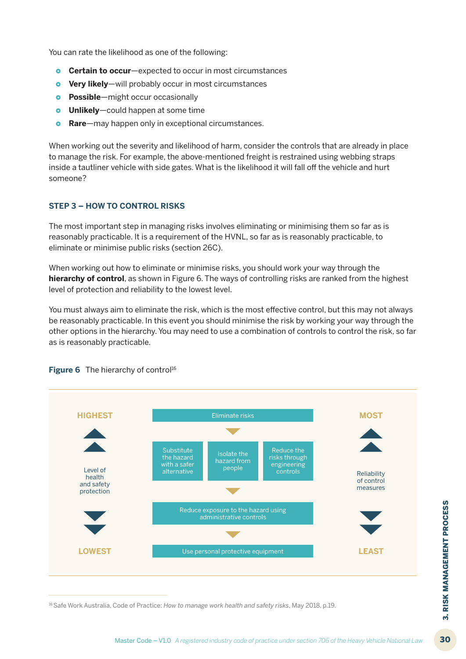<span id="page-29-0"></span>You can rate the likelihood as one of the following:

- **o** Certain to occur—expected to occur in most circumstances
- **Very likely**—will probably occur in most circumstances
- **Possible**—might occur occasionally
- **Unlikely**—could happen at some time
- **o** Rare—may happen only in exceptional circumstances.

When working out the severity and likelihood of harm, consider the controls that are already in place to manage the risk. For example, the above-mentioned freight is restrained using webbing straps inside a tautliner vehicle with side gates. What is the likelihood it will fall off the vehicle and hurt someone?

#### **STEP 3 – HOW TO CONTROL RISKS**

The most important step in managing risks involves eliminating or minimising them so far as is reasonably practicable. It is a requirement of the HVNL, so far as is reasonably practicable, to eliminate or minimise public risks (section 26C).

When working out how to eliminate or minimise risks, you should work your way through the **hierarchy of control**, as shown in Figure 6. The ways of controlling risks are ranked from the highest level of protection and reliability to the lowest level.

You must always aim to eliminate the risk, which is the most effective control, but this may not always be reasonably practicable. In this event you should minimise the risk by working your way through the other options in the hierarchy. You may need to use a combination of controls to control the risk, so far as is reasonably practicable.



#### **Figure 6** The hierarchy of control<sup>16</sup>

16 Safe Work Australia, Code of Practice: *How to manage work health and safety risks*, May 2018, p.19.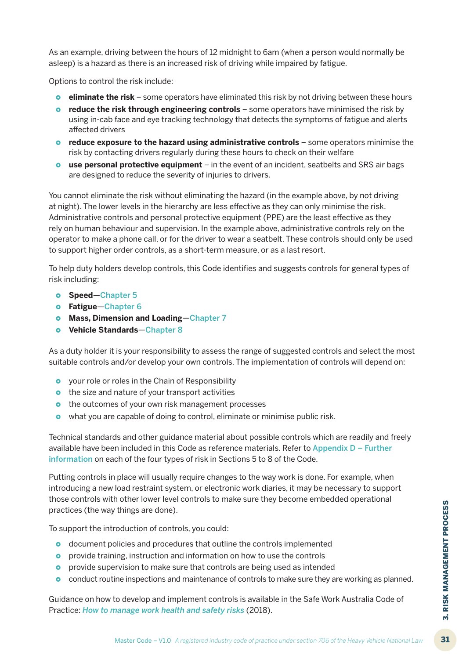As an example, driving between the hours of 12 midnight to 6am (when a person would normally be asleep) is a hazard as there is an increased risk of driving while impaired by fatigue.

Options to control the risk include:

- **e** eliminate the risk some operators have eliminated this risk by not driving between these hours
- **o** reduce the risk through engineering controls some operators have minimised the risk by using in-cab face and eye tracking technology that detects the symptoms of fatigue and alerts affected drivers
- **o** reduce exposure to the hazard using administrative controls some operators minimise the risk by contacting drivers regularly during these hours to check on their welfare
- **o** use personal protective equipment in the event of an incident, seatbelts and SRS air bags are designed to reduce the severity of injuries to drivers.

You cannot eliminate the risk without eliminating the hazard (in the example above, by not driving at night). The lower levels in the hierarchy are less effective as they can only minimise the risk. Administrative controls and personal protective equipment (PPE) are the least effective as they rely on human behaviour and supervision. In the example above, administrative controls rely on the operator to make a phone call, or for the driver to wear a seatbelt. These controls should only be used to support higher order controls, as a short-term measure, or as a last resort.

To help duty holders develop controls, this Code identifies and suggests controls for general types of risk including:

- **o** Speed-[Chapter 5](#page-35-0)
- **o** Fatigue-[Chapter 6](#page-43-0)
- **o** Mass, Dimension and Loading-[Chapter 7](#page-56-0)
- **o** Vehicle Standards-[Chapter 8](#page-70-0)

As a duty holder it is your responsibility to assess the range of suggested controls and select the most suitable controls and/or develop your own controls. The implementation of controls will depend on:

- **•** your role or roles in the Chain of Responsibility
- **o** the size and nature of your transport activities
- o the outcomes of your own risk management processes
- **•** what you are capable of doing to control, eliminate or minimise public risk.

Technical standards and other guidance material about possible controls which are readily and freely available have been included in this Code as reference materials. Refer to [Appendix D – Further](#page-88-0)  [information](#page-88-0) on each of the four types of risk in Sections 5 to 8 of the Code.

Putting controls in place will usually require changes to the way work is done. For example, when introducing a new load restraint system, or electronic work diaries, it may be necessary to support those controls with other lower level controls to make sure they become embedded operational practices (the way things are done).

To support the introduction of controls, you could:

- **•** document policies and procedures that outline the controls implemented
- **o** provide training, instruction and information on how to use the controls
- **•** provide supervision to make sure that controls are being used as intended
- **•** conduct routine inspections and maintenance of controls to make sure they are working as planned.

Guidance on how to develop and implement controls is available in the Safe Work Australia Code of Practice: *[How to manage work health and safety risks](https://www.safeworkaustralia.gov.au/doc/model-code-practice-how-manage-work-health-and-safety-risks)* (2018).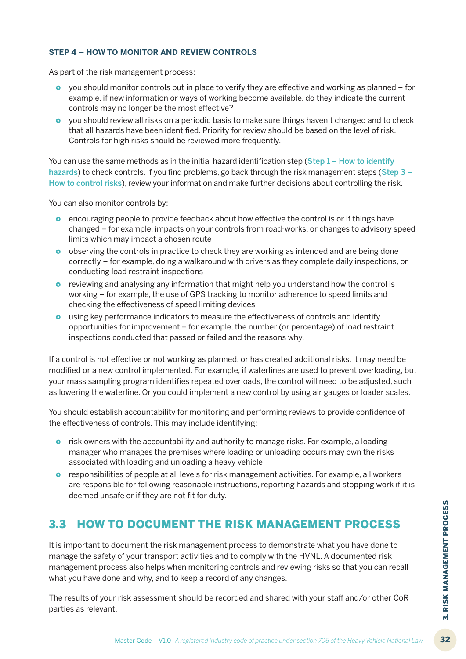#### <span id="page-31-0"></span>**STEP 4 – HOW TO MONITOR AND REVIEW CONTROLS**

As part of the risk management process:

- $\bullet$  you should monitor controls put in place to verify they are effective and working as planned for example, if new information or ways of working become available, do they indicate the current controls may no longer be the most effective?
- **o** you should review all risks on a periodic basis to make sure things haven't changed and to check that all hazards have been identified. Priority for review should be based on the level of risk. Controls for high risks should be reviewed more frequently.

You can use the same methods as in the initial hazard identification step (Step  $1 -$  How to identify [hazards](#page-27-0)) to check controls. If you find problems, go back through the risk management steps (Step 3 – [How to control risks](#page-29-0)), review your information and make further decisions about controlling the risk.

You can also monitor controls by:

- **•** encouraging people to provide feedback about how effective the control is or if things have changed – for example, impacts on your controls from road-works, or changes to advisory speed limits which may impact a chosen route
- o observing the controls in practice to check they are working as intended and are being done correctly – for example, doing a walkaround with drivers as they complete daily inspections, or conducting load restraint inspections
- **•** reviewing and analysing any information that might help you understand how the control is working – for example, the use of GPS tracking to monitor adherence to speed limits and checking the effectiveness of speed limiting devices
- **•** using key performance indicators to measure the effectiveness of controls and identify opportunities for improvement – for example, the number (or percentage) of load restraint inspections conducted that passed or failed and the reasons why.

If a control is not effective or not working as planned, or has created additional risks, it may need be modified or a new control implemented. For example, if waterlines are used to prevent overloading, but your mass sampling program identifies repeated overloads, the control will need to be adjusted, such as lowering the waterline. Or you could implement a new control by using air gauges or loader scales.

You should establish accountability for monitoring and performing reviews to provide confidence of the effectiveness of controls. This may include identifying:

- **o** risk owners with the accountability and authority to manage risks. For example, a loading manager who manages the premises where loading or unloading occurs may own the risks associated with loading and unloading a heavy vehicle
- **o** responsibilities of people at all levels for risk management activities. For example, all workers are responsible for following reasonable instructions, reporting hazards and stopping work if it is deemed unsafe or if they are not fit for duty.

## 3.3 HOW TO DOCUMENT THE RISK MANAGEMENT PROCESS

Master Code – V1.0 *A registered industry code of practice under section 706 of the Heavy Vehicle National Law*<br>Master Code – V1.0 *A registered industry code of practice under section 706 of the Heavy Vehicle National Law* It is important to document the risk management process to demonstrate what you have done to manage the safety of your transport activities and to comply with the HVNL. A documented risk management process also helps when monitoring controls and reviewing risks so that you can recall what you have done and why, and to keep a record of any changes.

The results of your risk assessment should be recorded and shared with your staff and/or other CoR parties as relevant.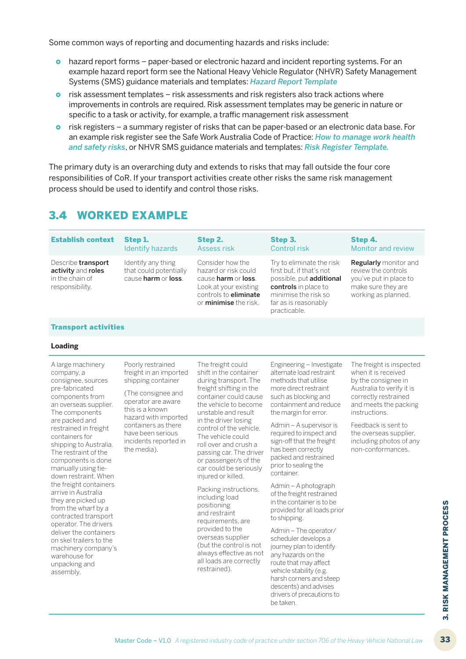<span id="page-32-0"></span>Some common ways of reporting and documenting hazards and risks include:

- **o** hazard report forms paper-based or electronic hazard and incident reporting systems. For an example hazard report form see the National Heavy Vehicle Regulator (NHVR) Safety Management Systems (SMS) guidance materials and templates: *[Hazard Report Template](https://www.nhvr.gov.au/safety-accreditation-compliance/safety-management-systems/safety-risk-management)*
- $\bullet$  risk assessment templates risk assessments and risk registers also track actions where improvements in controls are required. Risk assessment templates may be generic in nature or specific to a task or activity, for example, a traffic management risk assessment
- $\bullet$  risk registers a summary register of risks that can be paper-based or an electronic data base. For an example risk register see the Safe Work Australia Code of Practice: *[How to manage work health](https://www.safeworkaustralia.gov.au/doc/model-code-practice-how-manage-work-health-and-safety-risks)  [and safety risks](https://www.safeworkaustralia.gov.au/doc/model-code-practice-how-manage-work-health-and-safety-risks)*, or NHVR SMS guidance materials and templates: *[Risk Register Template](https://www.nhvr.gov.au/safety-accreditation-compliance/safety-management-systems/safety-risk-management).*

The primary duty is an overarching duty and extends to risks that may fall outside the four core responsibilities of CoR. If your transport activities create other risks the same risk management process should be used to identify and control those risks.

## 3.4 WORKED EXAMPLE

| <b>Establish context</b>                                                                                                                                                                                                                                                                                                  | Step 1.                                                                                                                                                                                                                                      | Step 2.                                                                                                                                                                                                                                                                                                                                                                       | Step 3.                                                                                                                                                                                                                                                                                                                                                   | Step 4.                                                                                                                                                                                                                                                                |  |  |  |  |  |  |
|---------------------------------------------------------------------------------------------------------------------------------------------------------------------------------------------------------------------------------------------------------------------------------------------------------------------------|----------------------------------------------------------------------------------------------------------------------------------------------------------------------------------------------------------------------------------------------|-------------------------------------------------------------------------------------------------------------------------------------------------------------------------------------------------------------------------------------------------------------------------------------------------------------------------------------------------------------------------------|-----------------------------------------------------------------------------------------------------------------------------------------------------------------------------------------------------------------------------------------------------------------------------------------------------------------------------------------------------------|------------------------------------------------------------------------------------------------------------------------------------------------------------------------------------------------------------------------------------------------------------------------|--|--|--|--|--|--|
|                                                                                                                                                                                                                                                                                                                           | <b>Identify hazards</b>                                                                                                                                                                                                                      | Assess risk                                                                                                                                                                                                                                                                                                                                                                   | <b>Control risk</b>                                                                                                                                                                                                                                                                                                                                       | <b>Monitor and review</b>                                                                                                                                                                                                                                              |  |  |  |  |  |  |
| Describe transport<br>activity and roles<br>in the chain of<br>responsibility.                                                                                                                                                                                                                                            | Identify any thing<br>that could potentially<br>cause harm or loss.                                                                                                                                                                          | Consider how the<br>hazard or risk could<br>cause harm or loss.<br>Look at your existing<br>controls to <i>eliminate</i><br>or <b>minimise</b> the risk.                                                                                                                                                                                                                      | Try to eliminate the risk<br>first but, if that's not<br>possible, put additional<br>controls in place to<br>minimise the risk so<br>far as is reasonably<br>practicable.                                                                                                                                                                                 | Regularly monitor and<br>review the controls<br>you've put in place to<br>make sure they are<br>working as planned.                                                                                                                                                    |  |  |  |  |  |  |
|                                                                                                                                                                                                                                                                                                                           | <b>Transport activities</b>                                                                                                                                                                                                                  |                                                                                                                                                                                                                                                                                                                                                                               |                                                                                                                                                                                                                                                                                                                                                           |                                                                                                                                                                                                                                                                        |  |  |  |  |  |  |
| <b>Loading</b>                                                                                                                                                                                                                                                                                                            |                                                                                                                                                                                                                                              |                                                                                                                                                                                                                                                                                                                                                                               |                                                                                                                                                                                                                                                                                                                                                           |                                                                                                                                                                                                                                                                        |  |  |  |  |  |  |
| A large machinery<br>company, a<br>consignee, sources<br>pre-fabricated<br>components from<br>an overseas supplier.<br>The components<br>are packed and<br>restrained in freight<br>containers for<br>shipping to Australia.<br>The restraint of the<br>components is done<br>manually using tie-<br>down restraint. When | Poorly restrained<br>freight in an imported<br>shipping container<br>(The consignee and<br>operator are aware<br>this is a known<br>hazard with imported<br>containers as there<br>have been serious<br>incidents reported in<br>the media). | The freight could<br>shift in the container<br>during transport. The<br>freight shifting in the<br>container could cause<br>the vehicle to become<br>unstable and result<br>in the driver losing<br>control of the vehicle.<br>The vehicle could<br>roll over and crush a<br>passing car. The driver<br>or passenger/s of the<br>car could be seriously<br>injured or killed. | Engineering - Investigate<br>alternate load restraint<br>methods that utilise<br>more direct restraint<br>such as blocking and<br>containment and reduce<br>the margin for error.<br>Admin - A supervisor is<br>required to inspect and<br>sign-off that the freight<br>has been correctly<br>packed and restrained<br>prior to sealing the<br>container. | The freight is inspected<br>when it is received<br>by the consignee in<br>Australia to verify it is<br>correctly restrained<br>and meets the packing<br>instructions.<br>Feedback is sent to<br>the overseas supplier,<br>including photos of any<br>non-conformances. |  |  |  |  |  |  |
| the freight containers<br>arrive in Australia<br>they are picked up<br>from the wharf by a<br>contracted transport<br>operator. The drivers<br>deliver the containers<br>on skel trailers to the<br>machinery company's<br>warehouse for<br>unpacking and<br>assembly.                                                    |                                                                                                                                                                                                                                              | Packing instructions,<br>including load<br>positioning<br>and restraint<br>requirements, are<br>provided to the<br>overseas supplier<br>(but the control is not<br>always effective as not<br>all loads are correctly<br>restrained).                                                                                                                                         | Admin - A photograph<br>of the freight restrained<br>in the container is to be<br>provided for all loads prior<br>to shipping.<br>Admin - The operator/<br>scheduler develops a<br>journey plan to identify<br>any hazards on the<br>route that may affect<br>vehicle stability (e.g.<br>harsh corners and steep                                          |                                                                                                                                                                                                                                                                        |  |  |  |  |  |  |

be taken.

descents) and advises drivers of precautions to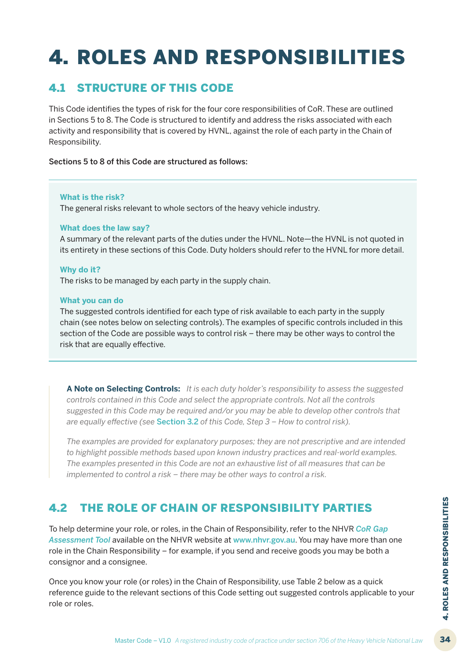## <span id="page-33-0"></span>4. ROLES AND RESPONSIBILITIES

## 4.1 STRUCTURE OF THIS CODE

This Code identifies the types of risk for the four core responsibilities of CoR. These are outlined in Sections 5 to 8. The Code is structured to identify and address the risks associated with each activity and responsibility that is covered by HVNL, against the role of each party in the Chain of Responsibility.

Sections 5 to 8 of this Code are structured as follows:

#### **What is the risk?**

The general risks relevant to whole sectors of the heavy vehicle industry.

#### **What does the law say?**

A summary of the relevant parts of the duties under the HVNL. Note—the HVNL is not quoted in its entirety in these sections of this Code. Duty holders should refer to the HVNL for more detail.

#### **Why do it?**

The risks to be managed by each party in the supply chain.

#### **What you can do**

The suggested controls identified for each type of risk available to each party in the supply chain (see notes below on selecting controls). The examples of specific controls included in this section of the Code are possible ways to control risk – there may be other ways to control the risk that are equally effective.

**A Note on Selecting Controls:** *It is each duty holder's responsibility to assess the suggested controls contained in this Code and select the appropriate controls. Not all the controls suggested in this Code may be required and/or you may be able to develop other controls that are equally effective (see* [Section 3.2](#page-25-0) *of this Code, Step 3 – How to control risk).*

*The examples are provided for explanatory purposes; they are not prescriptive and are intended to highlight possible methods based upon known industry practices and real-world examples. The examples presented in this Code are not an exhaustive list of all measures that can be implemented to control a risk – there may be other ways to control a risk.*

## 4.2 THE ROLE OF CHAIN OF RESPONSIBILITY PARTIES

To help determine your role, or roles, in the Chain of Responsibility, refer to the NHVR *[CoR Gap](https://www.nhvr.gov.au/safety-accreditation-compliance/chain-of-responsibility/cor-gap-assessment-tool)  [Assessment Tool](https://www.nhvr.gov.au/safety-accreditation-compliance/chain-of-responsibility/cor-gap-assessment-tool)* available on the NHVR website at [www.nhvr.gov.au](https://www.nhvr.gov.au/). You may have more than one role in the Chain Responsibility – for example, if you send and receive goods you may be both a consignor and a consignee.

Once you know your role (or roles) in the Chain of Responsibility, use Table 2 below as a quick reference guide to the relevant sections of this Code setting out suggested controls applicable to your role or roles.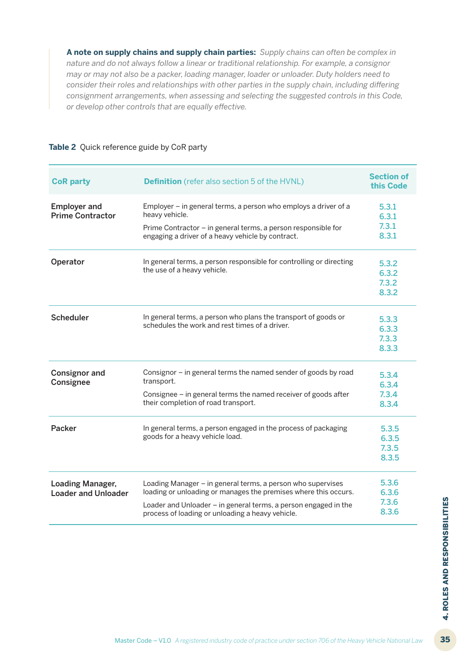**A note on supply chains and supply chain parties:** *Supply chains can often be complex in nature and do not always follow a linear or traditional relationship. For example, a consignor may or may not also be a packer, loading manager, loader or unloader. Duty holders need to consider their roles and relationships with other parties in the supply chain, including differing consignment arrangements, when assessing and selecting the suggested controls in this Code, or develop other controls that are equally effective.*

| <b>CoR party</b>                               | <b>Definition</b> (refer also section 5 of the HVNL)                                                                                                                                                                                                  | <b>Section of</b><br>this Code   |
|------------------------------------------------|-------------------------------------------------------------------------------------------------------------------------------------------------------------------------------------------------------------------------------------------------------|----------------------------------|
| <b>Employer and</b><br><b>Prime Contractor</b> | Employer - in general terms, a person who employs a driver of a<br>heavy vehicle.                                                                                                                                                                     | 5.3.1<br>6.3.1                   |
|                                                | Prime Contractor - in general terms, a person responsible for<br>engaging a driver of a heavy vehicle by contract.                                                                                                                                    | 7.3.1<br>8.3.1                   |
| Operator                                       | In general terms, a person responsible for controlling or directing<br>the use of a heavy vehicle.                                                                                                                                                    | 5.3.2<br>6.3.2<br>7.3.2<br>8.3.2 |
| <b>Scheduler</b>                               | In general terms, a person who plans the transport of goods or<br>schedules the work and rest times of a driver.                                                                                                                                      | 5.3.3<br>6.3.3<br>7.3.3<br>8.3.3 |
| <b>Consignor and</b><br>Consignee              | Consignor - in general terms the named sender of goods by road<br>transport.                                                                                                                                                                          | 5.3.4<br>6.3.4                   |
|                                                | Consignee - in general terms the named receiver of goods after<br>their completion of road transport.                                                                                                                                                 | 7.3.4<br>8.3.4                   |
| Packer                                         | In general terms, a person engaged in the process of packaging<br>goods for a heavy vehicle load.                                                                                                                                                     | 5.3.5<br>6.3.5<br>7.3.5<br>8.3.5 |
| Loading Manager,<br><b>Loader and Unloader</b> | Loading Manager - in general terms, a person who supervises<br>loading or unloading or manages the premises where this occurs.<br>Loader and Unloader - in general terms, a person engaged in the<br>process of loading or unloading a heavy vehicle. | 5.3.6<br>6.3.6<br>7.3.6<br>8.3.6 |

#### **Table 2** Quick reference guide by CoR party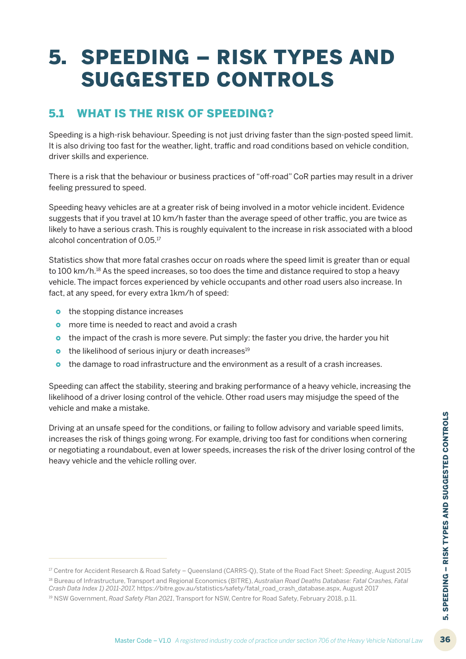## <span id="page-35-0"></span>5. SPEEDING – RISK TYPES AND SUGGESTED CONTROLS

## 5.1 WHAT IS THE RISK OF SPEEDING?

Speeding is a high-risk behaviour. Speeding is not just driving faster than the sign-posted speed limit. It is also driving too fast for the weather, light, traffic and road conditions based on vehicle condition, driver skills and experience.

There is a risk that the behaviour or business practices of "off-road" CoR parties may result in a driver feeling pressured to speed.

Speeding heavy vehicles are at a greater risk of being involved in a motor vehicle incident. Evidence suggests that if you travel at 10 km/h faster than the average speed of other traffic, you are twice as likely to have a serious crash. This is roughly equivalent to the increase in risk associated with a blood alcohol concentration of 0.05. 17

Statistics show that more fatal crashes occur on roads where the speed limit is greater than or equal to 100 km/h. 18 As the speed increases, so too does the time and distance required to stop a heavy vehicle. The impact forces experienced by vehicle occupants and other road users also increase. In fact, at any speed, for every extra 1km/h of speed:

- **o** the stopping distance increases
- **o** more time is needed to react and avoid a crash
- **•** the impact of the crash is more severe. Put simply: the faster you drive, the harder you hit
- **o** the likelihood of serious injury or death increases<sup>19</sup>
- **•** the damage to road infrastructure and the environment as a result of a crash increases.

Speeding can affect the stability, steering and braking performance of a heavy vehicle, increasing the likelihood of a driver losing control of the vehicle. Other road users may misjudge the speed of the vehicle and make a mistake.

Driving at an unsafe speed for the conditions, or failing to follow advisory and variable speed limits, increases the risk of things going wrong. For example, driving too fast for conditions when cornering or negotiating a roundabout, even at lower speeds, increases the risk of the driver losing control of the heavy vehicle and the vehicle rolling over.

<sup>17</sup> Centre for Accident Research & Road Safety – Queensland (CARRS-Q), State of the Road Fact Sheet: *Speeding*, August 2015 18 Bureau of Infrastructure, Transport and Regional Economics (BITRE), *Australian Road Deaths Database: Fatal Crashes, Fatal* 

*Crash Data Index 1) 2011-2017,* https://bitre.gov.au/statistics/safety/fatal\_road\_crash\_database.aspx, August 2017

<sup>19</sup> NSW Government, *Road Safety Plan 2021*, Transport for NSW, Centre for Road Safety, February 2018, p.11.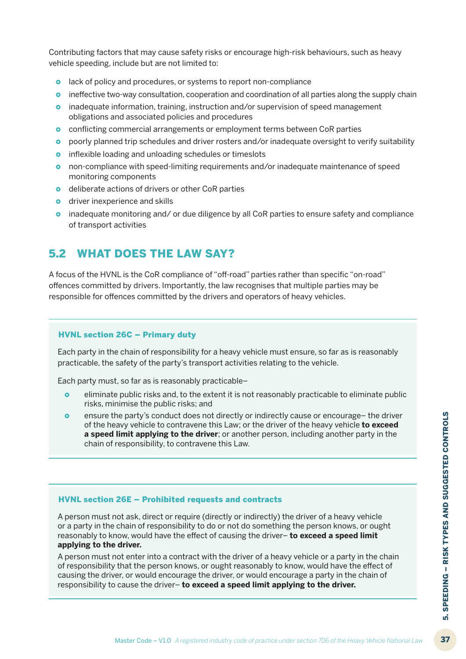Contributing factors that may cause safety risks or encourage high-risk behaviours, such as heavy vehicle speeding, include but are not limited to:

- **o** lack of policy and procedures, or systems to report non-compliance
- $\bullet$  ineffective two-way consultation, cooperation and coordination of all parties along the supply chain
- **o** inadequate information, training, instruction and/or supervision of speed management obligations and associated policies and procedures
- **•** conflicting commercial arrangements or employment terms between CoR parties
- **o** poorly planned trip schedules and driver rosters and/or inadequate oversight to verify suitability
- **o** inflexible loading and unloading schedules or timeslots
- **o** non-compliance with speed-limiting requirements and/or inadequate maintenance of speed monitoring components
- **o** deliberate actions of drivers or other CoR parties
- **o** driver inexperience and skills
- o inadequate monitoring and/ or due diligence by all CoR parties to ensure safety and compliance of transport activities

### 5.2 WHAT DOES THE LAW SAY?

A focus of the HVNL is the CoR compliance of "off-road" parties rather than specific "on-road" offences committed by drivers. Importantly, the law recognises that multiple parties may be responsible for offences committed by the drivers and operators of heavy vehicles.

#### HVNL section 26C – Primary duty

Each party in the chain of responsibility for a heavy vehicle must ensure, so far as is reasonably practicable, the safety of the party's transport activities relating to the vehicle.

Each party must, so far as is reasonably practicable–

- $\bullet$  eliminate public risks and, to the extent it is not reasonably practicable to eliminate public risks, minimise the public risks; and
- **•** ensure the party's conduct does not directly or indirectly cause or encourage– the driver of the heavy vehicle to contravene this Law; or the driver of the heavy vehicle **to exceed a speed limit applying to the driver**; or another person, including another party in the chain of responsibility, to contravene this Law.

#### HVNL section 26E – Prohibited requests and contracts

A person must not ask, direct or require (directly or indirectly) the driver of a heavy vehicle or a party in the chain of responsibility to do or not do something the person knows, or ought reasonably to know, would have the effect of causing the driver– **to exceed a speed limit applying to the driver.**

A person must not enter into a contract with the driver of a heavy vehicle or a party in the chain of responsibility that the person knows, or ought reasonably to know, would have the effect of causing the driver, or would encourage the driver, or would encourage a party in the chain of responsibility to cause the driver– **to exceed a speed limit applying to the driver.**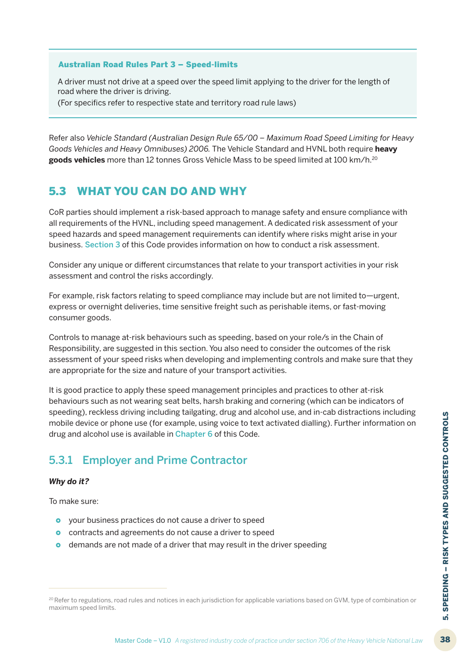#### Australian Road Rules Part 3 – Speed-limits

A driver must not drive at a speed over the speed limit applying to the driver for the length of road where the driver is driving.

(For specifics refer to respective state and territory road rule laws)

Refer also *Vehicle Standard (Australian Design Rule 65/00 – Maximum Road Speed Limiting for Heavy Goods Vehicles and Heavy Omnibuses) 2006.* The Vehicle Standard and HVNL both require **heavy goods vehicles** more than 12 tonnes Gross Vehicle Mass to be speed limited at 100 km/h. 20

### 5.3 WHAT YOU CAN DO AND WHY

CoR parties should implement a risk-based approach to manage safety and ensure compliance with all requirements of the HVNL, including speed management. A dedicated risk assessment of your speed hazards and speed management requirements can identify where risks might arise in your business. [Section 3](#page-25-0) of this Code provides information on how to conduct a risk assessment.

Consider any unique or different circumstances that relate to your transport activities in your risk assessment and control the risks accordingly.

For example, risk factors relating to speed compliance may include but are not limited to—urgent, express or overnight deliveries, time sensitive freight such as perishable items, or fast-moving consumer goods.

Controls to manage at-risk behaviours such as speeding, based on your role/s in the Chain of Responsibility, are suggested in this section. You also need to consider the outcomes of the risk assessment of your speed risks when developing and implementing controls and make sure that they are appropriate for the size and nature of your transport activities.

It is good practice to apply these speed management principles and practices to other at-risk behaviours such as not wearing seat belts, harsh braking and cornering (which can be indicators of speeding), reckless driving including tailgating, drug and alcohol use, and in-cab distractions including mobile device or phone use (for example, using voice to text activated dialling). Further information on drug and alcohol use is available in [Chapter 6](#page-43-0) of this Code.

### 5.3.1 Employer and Prime Contractor

#### *Why do it?*

- **•** your business practices do not cause a driver to speed
- **o** contracts and agreements do not cause a driver to speed
- **o** demands are not made of a driver that may result in the driver speeding

<sup>5.</sup> SPEEDING - RISK TYPES AND SUGGESTED CONTROLS 5. SPEEDING – RISK TYPES AND SUGGESTED CONTROLS

<sup>&</sup>lt;sup>20</sup> Refer to regulations, road rules and notices in each jurisdiction for applicable variations based on GVM, type of combination or maximum speed limits.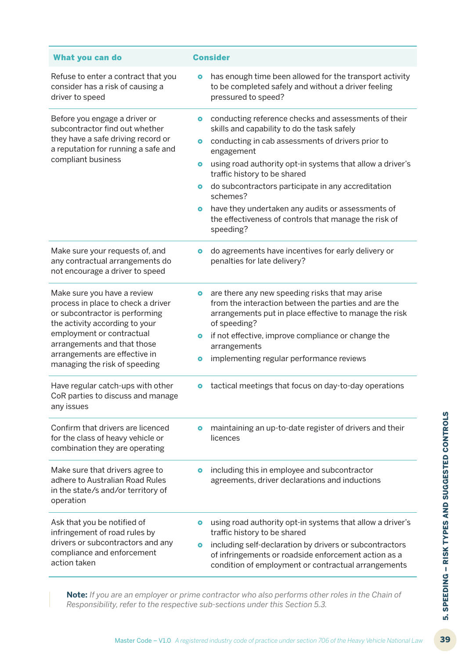| What you can do                                                                                                                                                                                                                                                     | <b>Consider</b>                                                                                                                                                                                                                                                                                                                                                                                                                                                                                                                   |
|---------------------------------------------------------------------------------------------------------------------------------------------------------------------------------------------------------------------------------------------------------------------|-----------------------------------------------------------------------------------------------------------------------------------------------------------------------------------------------------------------------------------------------------------------------------------------------------------------------------------------------------------------------------------------------------------------------------------------------------------------------------------------------------------------------------------|
| Refuse to enter a contract that you<br>consider has a risk of causing a<br>driver to speed                                                                                                                                                                          | has enough time been allowed for the transport activity<br>$\bullet$<br>to be completed safely and without a driver feeling<br>pressured to speed?                                                                                                                                                                                                                                                                                                                                                                                |
| Before you engage a driver or<br>subcontractor find out whether<br>they have a safe driving record or<br>a reputation for running a safe and<br>compliant business                                                                                                  | conducting reference checks and assessments of their<br>$\bullet$<br>skills and capability to do the task safely<br>conducting in cab assessments of drivers prior to<br>$\bullet$<br>engagement<br>using road authority opt-in systems that allow a driver's<br>$\bullet$<br>traffic history to be shared<br>do subcontractors participate in any accreditation<br>$\bullet$<br>schemes?<br>have they undertaken any audits or assessments of<br>$\bullet$<br>the effectiveness of controls that manage the risk of<br>speeding? |
| Make sure your requests of, and<br>any contractual arrangements do<br>not encourage a driver to speed                                                                                                                                                               | do agreements have incentives for early delivery or<br>$\bullet$<br>penalties for late delivery?                                                                                                                                                                                                                                                                                                                                                                                                                                  |
| Make sure you have a review<br>process in place to check a driver<br>or subcontractor is performing<br>the activity according to your<br>employment or contractual<br>arrangements and that those<br>arrangements are effective in<br>managing the risk of speeding | are there any new speeding risks that may arise<br>O<br>from the interaction between the parties and are the<br>arrangements put in place effective to manage the risk<br>of speeding?<br>if not effective, improve compliance or change the<br>$\bullet$<br>arrangements<br>implementing regular performance reviews<br>O                                                                                                                                                                                                        |
| Have regular catch-ups with other<br>CoR parties to discuss and manage<br>any issues                                                                                                                                                                                | tactical meetings that focus on day-to-day operations<br>O                                                                                                                                                                                                                                                                                                                                                                                                                                                                        |
| Confirm that drivers are licenced<br>for the class of heavy vehicle or<br>combination they are operating                                                                                                                                                            | maintaining an up-to-date register of drivers and their<br>O<br>licences                                                                                                                                                                                                                                                                                                                                                                                                                                                          |
| Make sure that drivers agree to<br>adhere to Australian Road Rules<br>in the state/s and/or territory of<br>operation                                                                                                                                               | including this in employee and subcontractor<br>$\bullet$<br>agreements, driver declarations and inductions                                                                                                                                                                                                                                                                                                                                                                                                                       |
| Ask that you be notified of<br>infringement of road rules by<br>drivers or subcontractors and any<br>compliance and enforcement<br>action taken                                                                                                                     | using road authority opt-in systems that allow a driver's<br>0<br>traffic history to be shared<br>including self-declaration by drivers or subcontractors<br>$\bullet$<br>of infringements or roadside enforcement action as a<br>condition of employment or contractual arrangements                                                                                                                                                                                                                                             |
|                                                                                                                                                                                                                                                                     | Note: If you are an employer or prime contractor who also performs other roles in the Chain of<br>Responsibility, refer to the respective sub-sections under this Section 5.3.<br>Master Code - V1.0 A registered industry code of practice under section 706 of the Heavy Vehicle National Law                                                                                                                                                                                                                                   |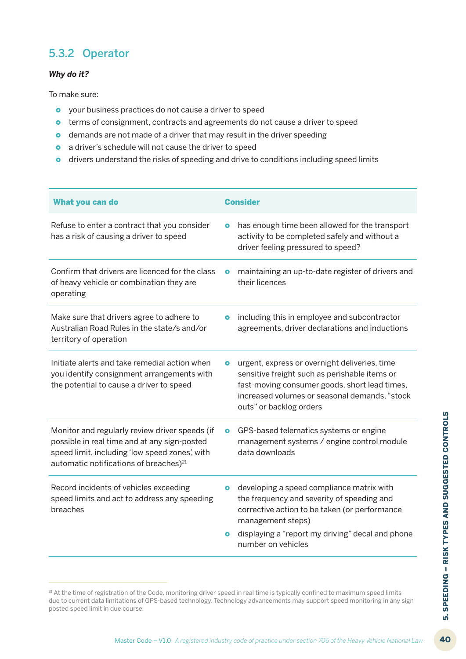### 5.3.2 Operator

#### *Why do it?*

- **o** your business practices do not cause a driver to speed
- **o** terms of consignment, contracts and agreements do not cause a driver to speed
- **•** demands are not made of a driver that may result in the driver speeding
- **o** a driver's schedule will not cause the driver to speed
- **o** drivers understand the risks of speeding and drive to conditions including speed limits

| has enough time been allowed for the transport<br>$\bullet$<br>activity to be completed safely and without a<br>driver feeling pressured to speed?<br>maintaining an up-to-date register of drivers and<br>O<br>their licences<br>including this in employee and subcontractor<br>O<br>agreements, driver declarations and inductions<br>urgent, express or overnight deliveries, time<br>۰<br>sensitive freight such as perishable items or<br>fast-moving consumer goods, short lead times,<br>increased volumes or seasonal demands, "stock<br>outs" or backlog orders<br>GPS-based telematics systems or engine<br>$\bullet$<br>management systems / engine control module<br>data downloads<br>developing a speed compliance matrix with<br>$\bullet$<br>the frequency and severity of speeding and<br>corrective action to be taken (or performance<br>management steps)<br>displaying a "report my driving" decal and phone<br>number on vehicles<br><sup>21</sup> At the time of registration of the Code, monitoring driver speed in real time is typically confined to maximum speed limits<br>due to current data limitations of GPS-based technology. Technology advancements may support speed monitoring in any sign | What you can do                                                                                                                                                                                        | <b>Consider</b> |
|------------------------------------------------------------------------------------------------------------------------------------------------------------------------------------------------------------------------------------------------------------------------------------------------------------------------------------------------------------------------------------------------------------------------------------------------------------------------------------------------------------------------------------------------------------------------------------------------------------------------------------------------------------------------------------------------------------------------------------------------------------------------------------------------------------------------------------------------------------------------------------------------------------------------------------------------------------------------------------------------------------------------------------------------------------------------------------------------------------------------------------------------------------------------------------------------------------------------------------|--------------------------------------------------------------------------------------------------------------------------------------------------------------------------------------------------------|-----------------|
|                                                                                                                                                                                                                                                                                                                                                                                                                                                                                                                                                                                                                                                                                                                                                                                                                                                                                                                                                                                                                                                                                                                                                                                                                                    | Refuse to enter a contract that you consider<br>has a risk of causing a driver to speed                                                                                                                |                 |
|                                                                                                                                                                                                                                                                                                                                                                                                                                                                                                                                                                                                                                                                                                                                                                                                                                                                                                                                                                                                                                                                                                                                                                                                                                    | Confirm that drivers are licenced for the class<br>of heavy vehicle or combination they are<br>operating                                                                                               |                 |
|                                                                                                                                                                                                                                                                                                                                                                                                                                                                                                                                                                                                                                                                                                                                                                                                                                                                                                                                                                                                                                                                                                                                                                                                                                    | Make sure that drivers agree to adhere to<br>Australian Road Rules in the state/s and/or<br>territory of operation                                                                                     |                 |
|                                                                                                                                                                                                                                                                                                                                                                                                                                                                                                                                                                                                                                                                                                                                                                                                                                                                                                                                                                                                                                                                                                                                                                                                                                    | Initiate alerts and take remedial action when<br>you identify consignment arrangements with<br>the potential to cause a driver to speed                                                                |                 |
|                                                                                                                                                                                                                                                                                                                                                                                                                                                                                                                                                                                                                                                                                                                                                                                                                                                                                                                                                                                                                                                                                                                                                                                                                                    | Monitor and regularly review driver speeds (if<br>possible in real time and at any sign-posted<br>speed limit, including 'low speed zones', with<br>automatic notifications of breaches) <sup>21</sup> |                 |
|                                                                                                                                                                                                                                                                                                                                                                                                                                                                                                                                                                                                                                                                                                                                                                                                                                                                                                                                                                                                                                                                                                                                                                                                                                    | Record incidents of vehicles exceeding<br>speed limits and act to address any speeding<br>breaches                                                                                                     |                 |
|                                                                                                                                                                                                                                                                                                                                                                                                                                                                                                                                                                                                                                                                                                                                                                                                                                                                                                                                                                                                                                                                                                                                                                                                                                    |                                                                                                                                                                                                        |                 |
| Master Code - V1.0 A registered industry code of practice under section 706 of the Heavy Vehicle National Law                                                                                                                                                                                                                                                                                                                                                                                                                                                                                                                                                                                                                                                                                                                                                                                                                                                                                                                                                                                                                                                                                                                      | posted speed limit in due course.                                                                                                                                                                      |                 |

<sup>&</sup>lt;sup>21</sup> At the time of registration of the Code, monitoring driver speed in real time is typically confined to maximum speed limits due to current data limitations of GPS-based technology. Technology advancements may support speed monitoring in any sign posted speed limit in due course.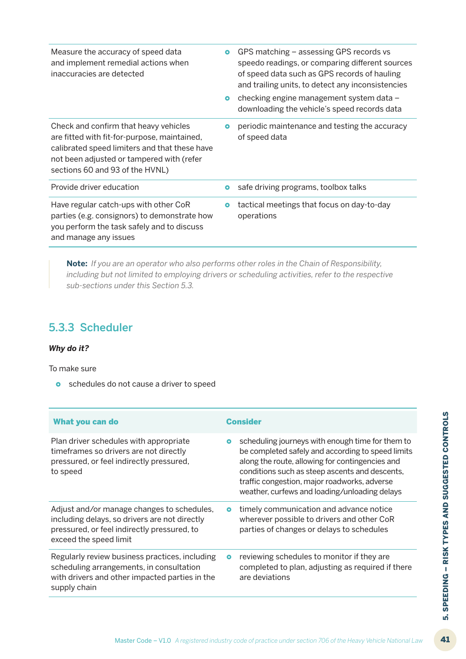| Measure the accuracy of speed data<br>and implement remedial actions when<br>inaccuracies are detected                                                                                                                 | $\bullet$<br>$\bullet$ | GPS matching - assessing GPS records vs<br>speedo readings, or comparing different sources<br>of speed data such as GPS records of hauling<br>and trailing units, to detect any inconsistencies<br>checking engine management system data -<br>downloading the vehicle's speed records data |
|------------------------------------------------------------------------------------------------------------------------------------------------------------------------------------------------------------------------|------------------------|---------------------------------------------------------------------------------------------------------------------------------------------------------------------------------------------------------------------------------------------------------------------------------------------|
| Check and confirm that heavy vehicles<br>are fitted with fit-for-purpose, maintained,<br>calibrated speed limiters and that these have<br>not been adjusted or tampered with (refer<br>sections 60 and 93 of the HVNL) | $\bullet$              | periodic maintenance and testing the accuracy<br>of speed data                                                                                                                                                                                                                              |
| Provide driver education                                                                                                                                                                                               | $\bullet$              | safe driving programs, toolbox talks                                                                                                                                                                                                                                                        |
| Have regular catch-ups with other CoR<br>parties (e.g. consignors) to demonstrate how<br>you perform the task safely and to discuss<br>and manage any issues                                                           | $\bullet$              | tactical meetings that focus on day-to-day<br>operations                                                                                                                                                                                                                                    |

**Note:** *If you are an operator who also performs other roles in the Chain of Responsibility, including but not limited to employing drivers or scheduling activities, refer to the respective sub-sections under this Section 5.3.*

### 5.3.3 Scheduler

#### *Why do it?*

To make sure

**o** schedules do not cause a driver to speed

| What you can do                                                                                                                                                      |           | <b>Consider</b>                                                                                                                                                                                                                                                                                             |
|----------------------------------------------------------------------------------------------------------------------------------------------------------------------|-----------|-------------------------------------------------------------------------------------------------------------------------------------------------------------------------------------------------------------------------------------------------------------------------------------------------------------|
| Plan driver schedules with appropriate<br>timeframes so drivers are not directly<br>pressured, or feel indirectly pressured,<br>to speed                             | $\bullet$ | scheduling journeys with enough time for them to<br>be completed safely and according to speed limits<br>along the route, allowing for contingencies and<br>conditions such as steep ascents and descents,<br>traffic congestion, major roadworks, adverse<br>weather, curfews and loading/unloading delays |
| Adjust and/or manage changes to schedules,<br>including delays, so drivers are not directly<br>pressured, or feel indirectly pressured, to<br>exceed the speed limit | $\bullet$ | timely communication and advance notice<br>wherever possible to drivers and other CoR<br>parties of changes or delays to schedules                                                                                                                                                                          |
| Regularly review business practices, including<br>scheduling arrangements, in consultation<br>with drivers and other impacted parties in the<br>supply chain         | O         | reviewing schedules to monitor if they are<br>completed to plan, adjusting as required if there<br>are deviations                                                                                                                                                                                           |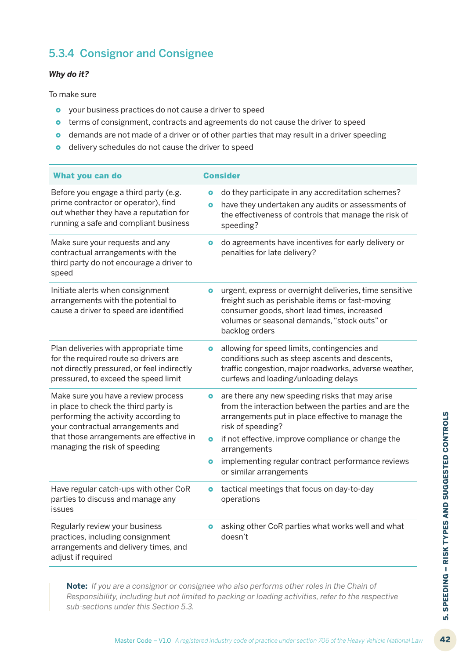### 5.3.4 Consignor and Consignee

#### *Why do it?*

To make sure

- **o** your business practices do not cause a driver to speed
- **o** terms of consignment, contracts and agreements do not cause the driver to speed
- **o** demands are not made of a driver or of other parties that may result in a driver speeding
- **o** delivery schedules do not cause the driver to speed

| What you can do                                                                                                                                                                                      | <b>Consider</b>                                                                                                                                                                                                                                           |
|------------------------------------------------------------------------------------------------------------------------------------------------------------------------------------------------------|-----------------------------------------------------------------------------------------------------------------------------------------------------------------------------------------------------------------------------------------------------------|
| Before you engage a third party (e.g.<br>prime contractor or operator), find<br>out whether they have a reputation for<br>running a safe and compliant business                                      | do they participate in any accreditation schemes?<br>$\bullet$<br>have they undertaken any audits or assessments of<br>۰<br>the effectiveness of controls that manage the risk of<br>speeding?                                                            |
| Make sure your requests and any<br>contractual arrangements with the<br>third party do not encourage a driver to<br>speed                                                                            | do agreements have incentives for early delivery or<br>$\bullet$<br>penalties for late delivery?                                                                                                                                                          |
| Initiate alerts when consignment<br>arrangements with the potential to<br>cause a driver to speed are identified                                                                                     | urgent, express or overnight deliveries, time sensitive<br>$\bullet$<br>freight such as perishable items or fast-moving<br>consumer goods, short lead times, increased<br>volumes or seasonal demands, "stock outs" or<br>backlog orders                  |
| Plan deliveries with appropriate time<br>for the required route so drivers are<br>not directly pressured, or feel indirectly<br>pressured, to exceed the speed limit                                 | allowing for speed limits, contingencies and<br>O<br>conditions such as steep ascents and descents,<br>traffic congestion, major roadworks, adverse weather,<br>curfews and loading/unloading delays                                                      |
| Make sure you have a review process<br>in place to check the third party is<br>performing the activity according to<br>your contractual arrangements and<br>that those arrangements are effective in | are there any new speeding risks that may arise<br>O<br>from the interaction between the parties and are the<br>arrangements put in place effective to manage the<br>risk of speeding?<br>if not effective, improve compliance or change the<br>$\bullet$ |
| managing the risk of speeding                                                                                                                                                                        | arrangements<br>implementing regular contract performance reviews<br>$\bullet$<br>or similar arrangements                                                                                                                                                 |
| Have regular catch-ups with other CoR<br>parties to discuss and manage any<br><b>issues</b>                                                                                                          | tactical meetings that focus on day-to-day<br>$\bullet$<br>operations                                                                                                                                                                                     |
| Regularly review your business<br>practices, including consignment<br>arrangements and delivery times, and<br>adjust if required                                                                     | asking other CoR parties what works well and what<br>doesn't                                                                                                                                                                                              |
| sub-sections under this Section 5.3.                                                                                                                                                                 | Note: If you are a consignor or consignee who also performs other roles in the Chain of<br>Responsibility, including but not limited to packing or loading activities, refer to the respective                                                            |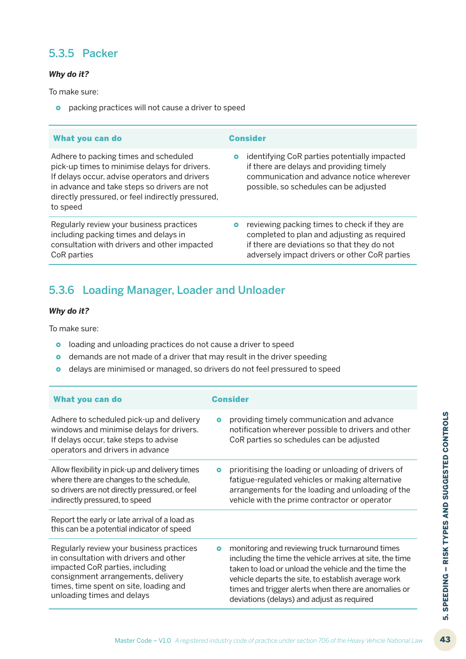### 5.3.5 Packer

### *Why do it?*

To make sure:

**o** packing practices will not cause a driver to speed

| What you can do                                                                                                                                                                                                                                          | <b>Consider</b>                                                                                                                                                                                          |
|----------------------------------------------------------------------------------------------------------------------------------------------------------------------------------------------------------------------------------------------------------|----------------------------------------------------------------------------------------------------------------------------------------------------------------------------------------------------------|
| Adhere to packing times and scheduled<br>pick-up times to minimise delays for drivers.<br>If delays occur, advise operators and drivers<br>in advance and take steps so drivers are not<br>directly pressured, or feel indirectly pressured,<br>to speed | identifying CoR parties potentially impacted<br>$\bullet$<br>if there are delays and providing timely<br>communication and advance notice wherever<br>possible, so schedules can be adjusted             |
| Regularly review your business practices<br>including packing times and delays in<br>consultation with drivers and other impacted<br>CoR parties                                                                                                         | reviewing packing times to check if they are<br>$\bullet$<br>completed to plan and adjusting as required<br>if there are deviations so that they do not<br>adversely impact drivers or other CoR parties |

# 5.3.6 Loading Manager, Loader and Unloader

#### *Why do it?*

- **o** loading and unloading practices do not cause a driver to speed
- **o** demands are not made of a driver that may result in the driver speeding
- **o** delays are minimised or managed, so drivers do not feel pressured to speed

| What you can do                                                                                                                                                                                                                     |           | Consider                                                                                                                                                                                                                                                                                                                         |
|-------------------------------------------------------------------------------------------------------------------------------------------------------------------------------------------------------------------------------------|-----------|----------------------------------------------------------------------------------------------------------------------------------------------------------------------------------------------------------------------------------------------------------------------------------------------------------------------------------|
| Adhere to scheduled pick-up and delivery<br>windows and minimise delays for drivers.<br>If delays occur, take steps to advise<br>operators and drivers in advance                                                                   | $\bullet$ | providing timely communication and advance<br>notification wherever possible to drivers and other<br>CoR parties so schedules can be adjusted                                                                                                                                                                                    |
| Allow flexibility in pick-up and delivery times<br>where there are changes to the schedule,<br>so drivers are not directly pressured, or feel<br>indirectly pressured, to speed                                                     | $\bullet$ | prioritising the loading or unloading of drivers of<br>fatigue-regulated vehicles or making alternative<br>arrangements for the loading and unloading of the<br>vehicle with the prime contractor or operator                                                                                                                    |
| Report the early or late arrival of a load as<br>this can be a potential indicator of speed                                                                                                                                         |           |                                                                                                                                                                                                                                                                                                                                  |
| Regularly review your business practices<br>in consultation with drivers and other<br>impacted CoR parties, including<br>consignment arrangements, delivery<br>times, time spent on site, loading and<br>unloading times and delays | $\bullet$ | monitoring and reviewing truck turnaround times<br>including the time the vehicle arrives at site, the time<br>taken to load or unload the vehicle and the time the<br>vehicle departs the site, to establish average work<br>times and trigger alerts when there are anomalies or<br>deviations (delays) and adjust as required |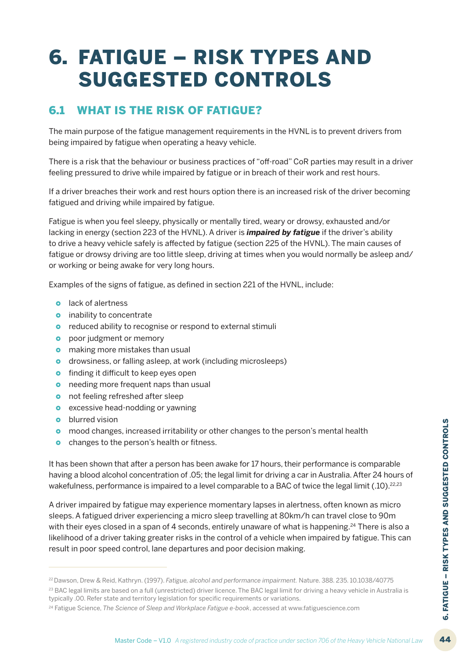# <span id="page-43-0"></span>6. FATIGUE – RISK TYPES AND SUGGESTED CONTROLS

# 6.1 WHAT IS THE RISK OF FATIGUE?

The main purpose of the fatigue management requirements in the HVNL is to prevent drivers from being impaired by fatigue when operating a heavy vehicle.

There is a risk that the behaviour or business practices of "off-road" CoR parties may result in a driver feeling pressured to drive while impaired by fatigue or in breach of their work and rest hours.

If a driver breaches their work and rest hours option there is an increased risk of the driver becoming fatigued and driving while impaired by fatigue.

Fatigue is when you feel sleepy, physically or mentally tired, weary or drowsy, exhausted and/or lacking in energy (section 223 of the HVNL). A driver is *impaired by fatigue* if the driver's ability to drive a heavy vehicle safely is affected by fatigue (section 225 of the HVNL). The main causes of fatigue or drowsy driving are too little sleep, driving at times when you would normally be asleep and/ or working or being awake for very long hours.

Examples of the signs of fatigue, as defined in section 221 of the HVNL, include:

- **o** lack of alertness
- **o** inability to concentrate
- **o** reduced ability to recognise or respond to external stimuli
- **o** poor judgment or memory
- **o** making more mistakes than usual
- **o** drowsiness, or falling asleep, at work (including microsleeps)
- **o** finding it difficult to keep eyes open
- **•** needing more frequent naps than usual
- **o** not feeling refreshed after sleep
- **•** excessive head-nodding or yawning
- **o** blurred vision
- **•** mood changes, increased irritability or other changes to the person's mental health
- **o** changes to the person's health or fitness.

It has been shown that after a person has been awake for 17 hours, their performance is comparable having a blood alcohol concentration of .05; the legal limit for driving a car in Australia. After 24 hours of wakefulness, performance is impaired to a level comparable to a BAC of twice the legal limit (.10).<sup>22,23</sup>

Increased irritability or other changes to the person's mental health<br>
the person's health or fitness.<br>
that after a person has been awake for 17 hours, their performance is comparable<br>
hol concentration of .05; the legal A driver impaired by fatigue may experience momentary lapses in alertness, often known as micro sleeps. A fatigued driver experiencing a micro sleep travelling at 80km/h can travel close to 90m with their eyes closed in a span of 4 seconds, entirely unaware of what is happening. $^{24}$  There is also a likelihood of a driver taking greater risks in the control of a vehicle when impaired by fatigue. This can result in poor speed control, lane departures and poor decision making.

<sup>22</sup> Dawson, Drew & Reid, Kathryn. (1997). *Fatigue, alcohol and performance impairment.* Nature. 388. 235. 10.1038/40775

<sup>&</sup>lt;sup>23</sup> BAC legal limits are based on a full (unrestricted) driver licence. The BAC legal limit for driving a heavy vehicle in Australia is typically .00. Refer state and territory legislation for specific requirements or variations.

<sup>24</sup> Fatigue Science, *The Science of Sleep and Workplace Fatigue e-book*, accessed at www.fatiguescience.com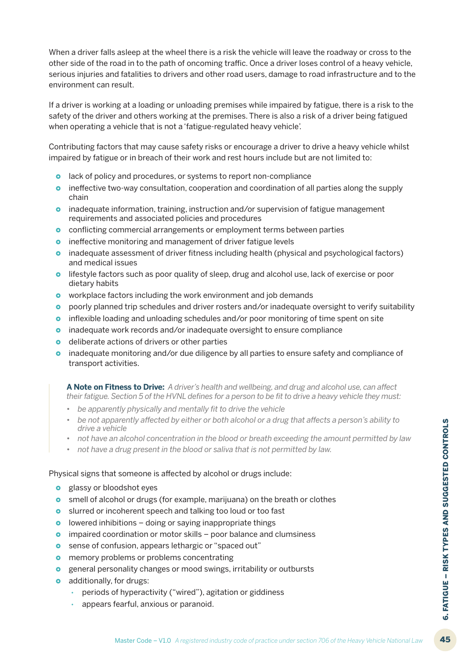When a driver falls asleep at the wheel there is a risk the vehicle will leave the roadway or cross to the other side of the road in to the path of oncoming traffic. Once a driver loses control of a heavy vehicle, serious injuries and fatalities to drivers and other road users, damage to road infrastructure and to the environment can result.

If a driver is working at a loading or unloading premises while impaired by fatigue, there is a risk to the safety of the driver and others working at the premises. There is also a risk of a driver being fatigued when operating a vehicle that is not a 'fatigue-regulated heavy vehicle'.

Contributing factors that may cause safety risks or encourage a driver to drive a heavy vehicle whilst impaired by fatigue or in breach of their work and rest hours include but are not limited to:

- **•** lack of policy and procedures, or systems to report non-compliance
- **•** ineffective two-way consultation, cooperation and coordination of all parties along the supply chain
- **o** inadequate information, training, instruction and/or supervision of fatigue management requirements and associated policies and procedures
- **•** conflicting commercial arrangements or employment terms between parties
- **o** ineffective monitoring and management of driver fatigue levels
- **•** inadequate assessment of driver fitness including health (physical and psychological factors) and medical issues
- **•** lifestyle factors such as poor quality of sleep, drug and alcohol use, lack of exercise or poor dietary habits
- o workplace factors including the work environment and job demands
- **o** poorly planned trip schedules and driver rosters and/or inadequate oversight to verify suitability
- **o** inflexible loading and unloading schedules and/or poor monitoring of time spent on site
- **•** inadequate work records and/or inadequate oversight to ensure compliance
- **o** deliberate actions of drivers or other parties
- **o** inadequate monitoring and/or due diligence by all parties to ensure safety and compliance of transport activities.

**A Note on Fitness to Drive:** *A driver's health and wellbeing, and drug and alcohol use, can affect their fatigue. Section 5 of the HVNL defines for a person to be fit to drive a heavy vehicle they must:*

- *• be apparently physically and mentally fit to drive the vehicle*
- *• be not apparently affected by either or both alcohol or a drug that affects a person's ability to drive a vehicle*
- *• not have an alcohol concentration in the blood or breath exceeding the amount permitted by law*
- *• not have a drug present in the blood or saliva that is not permitted by law.*

#### Physical signs that someone is affected by alcohol or drugs include:

- **o** glassy or bloodshot eyes
- **o** smell of alcohol or drugs (for example, marijuana) on the breath or clothes
- **o** slurred or incoherent speech and talking too loud or too fast
- $\bullet$  lowered inhibitions doing or saying inappropriate things
- **o** impaired coordination or motor skills poor balance and clumsiness
- **o** sense of confusion, appears lethargic or "spaced out"
- **•** memory problems or problems concentrating
- **o** general personality changes or mood swings, irritability or outbursts
- **o** additionally, for drugs:
	- periods of hyperactivity ("wired"), agitation or giddiness
	- appears fearful, anxious or paranoid.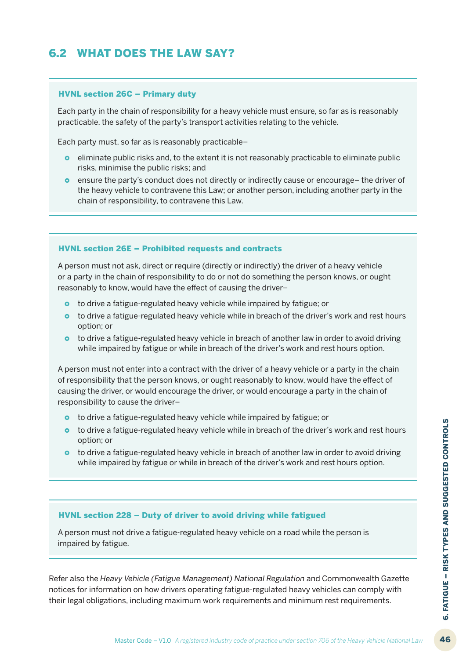### 6.2 WHAT DOES THE LAW SAY?

#### HVNL section 26C – Primary duty

Each party in the chain of responsibility for a heavy vehicle must ensure, so far as is reasonably practicable, the safety of the party's transport activities relating to the vehicle.

Each party must, so far as is reasonably practicable–

- **•** eliminate public risks and, to the extent it is not reasonably practicable to eliminate public risks, minimise the public risks; and
- **•** ensure the party's conduct does not directly or indirectly cause or encourage– the driver of the heavy vehicle to contravene this Law; or another person, including another party in the chain of responsibility, to contravene this Law.

#### HVNL section 26E – Prohibited requests and contracts

A person must not ask, direct or require (directly or indirectly) the driver of a heavy vehicle or a party in the chain of responsibility to do or not do something the person knows, or ought reasonably to know, would have the effect of causing the driver–

- **o** to drive a fatigue-regulated heavy vehicle while impaired by fatigue; or
- o to drive a fatigue-regulated heavy vehicle while in breach of the driver's work and rest hours option; or
- to drive a fatigue-regulated heavy vehicle in breach of another law in order to avoid driving while impaired by fatigue or while in breach of the driver's work and rest hours option.

A person must not enter into a contract with the driver of a heavy vehicle or a party in the chain of responsibility that the person knows, or ought reasonably to know, would have the effect of causing the driver, or would encourage the driver, or would encourage a party in the chain of responsibility to cause the driver–

- **o** to drive a fatigue-regulated heavy vehicle while impaired by fatigue; or
- **o** to drive a fatigue-regulated heavy vehicle while in breach of the driver's work and rest hours option; or
- **•** to drive a fatigue-regulated heavy vehicle in breach of another law in order to avoid driving while impaired by fatigue or while in breach of the driver's work and rest hours option.

#### HVNL section 228 – Duty of driver to avoid driving while fatigued

A person must not drive a fatigue-regulated heavy vehicle on a road while the person is impaired by fatigue.

Refer also the *Heavy Vehicle (Fatigue Management) National Regulation* and Commonwealth Gazette notices for information on how drivers operating fatigue-regulated heavy vehicles can comply with their legal obligations, including maximum work requirements and minimum rest requirements.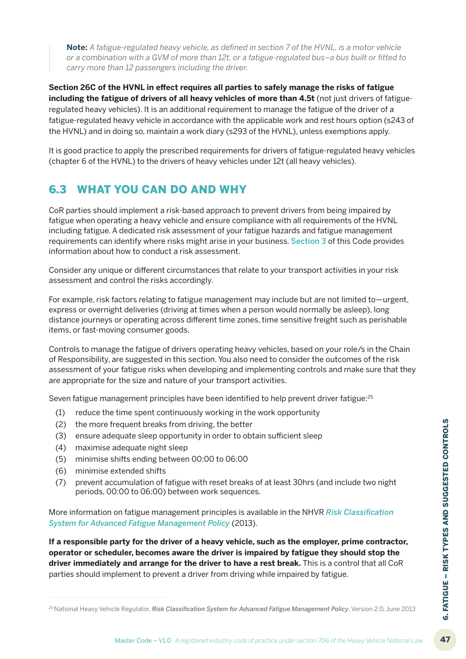<span id="page-46-0"></span>**Note:** *A fatigue-regulated heavy vehicle, as defined in section 7 of the HVNL, is a motor vehicle or a combination with a GVM of more than 12t, or a fatigue-regulated bus–a bus built or fitted to carry more than 12 passengers including the driver.*

**Section 26C of the HVNL in effect requires all parties to safely manage the risks of fatigue including the fatigue of drivers of all heavy vehicles of more than 4.5t** (not just drivers of fatigueregulated heavy vehicles). It is an additional requirement to manage the fatigue of the driver of a fatigue-regulated heavy vehicle in accordance with the applicable work and rest hours option (s243 of the HVNL) and in doing so, maintain a work diary (s293 of the HVNL), unless exemptions apply.

It is good practice to apply the prescribed requirements for drivers of fatigue-regulated heavy vehicles (chapter 6 of the HVNL) to the drivers of heavy vehicles under 12t (all heavy vehicles).

# 6.3 WHAT YOU CAN DO AND WHY

CoR parties should implement a risk-based approach to prevent drivers from being impaired by fatigue when operating a heavy vehicle and ensure compliance with all requirements of the HVNL including fatigue. A dedicated risk assessment of your fatigue hazards and fatigue management requirements can identify where risks might arise in your business. [Section 3](#page-25-0) of this Code provides information about how to conduct a risk assessment.

Consider any unique or different circumstances that relate to your transport activities in your risk assessment and control the risks accordingly.

For example, risk factors relating to fatigue management may include but are not limited to—urgent, express or overnight deliveries (driving at times when a person would normally be asleep), long distance journeys or operating across different time zones, time sensitive freight such as perishable items, or fast-moving consumer goods.

Controls to manage the fatigue of drivers operating heavy vehicles, based on your role/s in the Chain of Responsibility, are suggested in this section. You also need to consider the outcomes of the risk assessment of your fatigue risks when developing and implementing controls and make sure that they are appropriate for the size and nature of your transport activities.

Seven fatigue management principles have been identified to help prevent driver fatigue:<sup>25</sup>

- (1) reduce the time spent continuously working in the work opportunity
- (2) the more frequent breaks from driving, the better
- (3) ensure adequate sleep opportunity in order to obtain sufficient sleep
- (4) maximise adequate night sleep
- (5) minimise shifts ending between 00:00 to 06:00
- (6) minimise extended shifts
- (7) prevent accumulation of fatigue with reset breaks of at least 30hrs (and include two night periods, 00:00 to 06:00) between work sequences.

More information on fatigue management principles is available in the NHVR *[Risk Classification](https://www.nhvr.gov.au/safety-accreditation-compliance/fatigue-management/work-and-rest-requirements/advanced-fatigue-management-afm)  [System for Advanced Fatigue Management Policy](https://www.nhvr.gov.au/safety-accreditation-compliance/fatigue-management/work-and-rest-requirements/advanced-fatigue-management-afm)* (2013).

**If a responsible party for the driver of a heavy vehicle, such as the employer, prime contractor, operator or scheduler, becomes aware the driver is impaired by fatigue they should stop the driver immediately and arrange for the driver to have a rest break.** This is a control that all CoR parties should implement to prevent a driver from driving while impaired by fatigue.

<sup>25</sup> National Heavy Vehicle Regulator, *[Risk Classification System for Advanced Fatigue Management Policy](https://www.nhvr.gov.au/safety-accreditation-compliance/fatigue-management/work-and-rest-requirements/advanced-fatigue-management-afm)*, Version 2.0, June 2013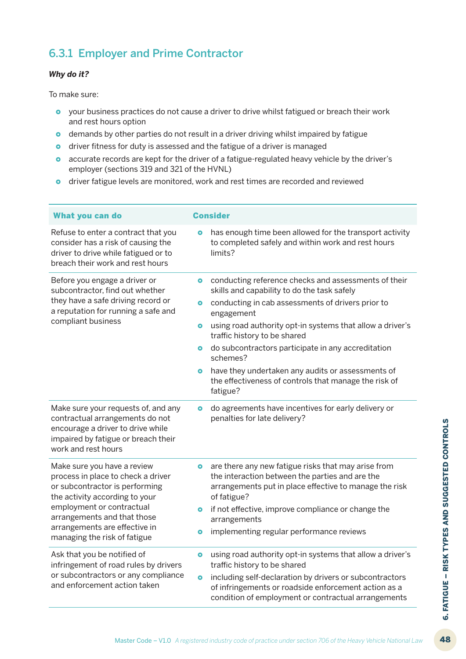# 6.3.1 Employer and Prime Contractor

#### *Why do it?*

- **o** your business practices do not cause a driver to drive whilst fatigued or breach their work and rest hours option
- **o** demands by other parties do not result in a driver driving whilst impaired by fatigue
- **o** driver fitness for duty is assessed and the fatigue of a driver is managed
- **o** accurate records are kept for the driver of a fatigue-regulated heavy vehicle by the driver's employer (sections 319 and 321 of the HVNL)
- **o** driver fatigue levels are monitored, work and rest times are recorded and reviewed

| What you can do                                                                                                                                                                                                                                                    | <b>Consider</b>                                                                                                                                                                                                                                                                                                                                                                                                                                                                                                                  |
|--------------------------------------------------------------------------------------------------------------------------------------------------------------------------------------------------------------------------------------------------------------------|----------------------------------------------------------------------------------------------------------------------------------------------------------------------------------------------------------------------------------------------------------------------------------------------------------------------------------------------------------------------------------------------------------------------------------------------------------------------------------------------------------------------------------|
| Refuse to enter a contract that you<br>consider has a risk of causing the<br>driver to drive while fatigued or to<br>breach their work and rest hours                                                                                                              | has enough time been allowed for the transport activity<br>$\bullet$<br>to completed safely and within work and rest hours<br>limits?                                                                                                                                                                                                                                                                                                                                                                                            |
| Before you engage a driver or<br>subcontractor, find out whether<br>they have a safe driving record or<br>a reputation for running a safe and<br>compliant business                                                                                                | conducting reference checks and assessments of their<br>$\bullet$<br>skills and capability to do the task safely<br>conducting in cab assessments of drivers prior to<br>$\bullet$<br>engagement<br>using road authority opt-in systems that allow a driver's<br>$\bullet$<br>traffic history to be shared<br>do subcontractors participate in any accreditation<br>$\bullet$<br>schemes?<br>have they undertaken any audits or assessments of<br>$\bullet$<br>the effectiveness of controls that manage the risk of<br>fatigue? |
| Make sure your requests of, and any<br>contractual arrangements do not<br>encourage a driver to drive while<br>impaired by fatigue or breach their<br>work and rest hours                                                                                          | do agreements have incentives for early delivery or<br>$\bullet$<br>penalties for late delivery?                                                                                                                                                                                                                                                                                                                                                                                                                                 |
| Make sure you have a review<br>process in place to check a driver<br>or subcontractor is performing<br>the activity according to your<br>employment or contractual<br>arrangements and that those<br>arrangements are effective in<br>managing the risk of fatigue | are there any new fatigue risks that may arise from<br>$\bullet$<br>the interaction between the parties and are the<br>arrangements put in place effective to manage the risk<br>of fatigue?<br>if not effective, improve compliance or change the<br>$\bullet$<br>arrangements<br>implementing regular performance reviews<br>$\bullet$                                                                                                                                                                                         |
| Ask that you be notified of<br>infringement of road rules by drivers<br>or subcontractors or any compliance<br>and enforcement action taken                                                                                                                        | using road authority opt-in systems that allow a driver's<br>$\bullet$<br>traffic history to be shared<br>including self-declaration by drivers or subcontractors<br>$\bullet$<br>of infringements or roadside enforcement action as a<br>condition of employment or contractual arrangements                                                                                                                                                                                                                                    |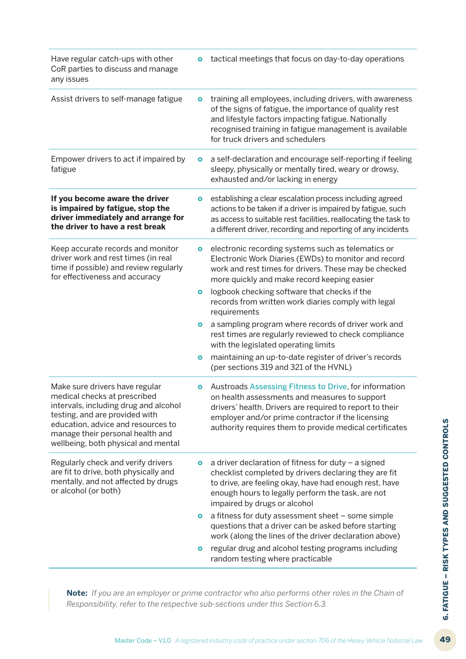| Have regular catch-ups with other<br>CoR parties to discuss and manage<br>any issues                                                                                                                                                                       | $\bullet$                                        | tactical meetings that focus on day-to-day operations                                                                                                                                                                                                                                                                                                                                                                                                                                                                                                       |
|------------------------------------------------------------------------------------------------------------------------------------------------------------------------------------------------------------------------------------------------------------|--------------------------------------------------|-------------------------------------------------------------------------------------------------------------------------------------------------------------------------------------------------------------------------------------------------------------------------------------------------------------------------------------------------------------------------------------------------------------------------------------------------------------------------------------------------------------------------------------------------------------|
| Assist drivers to self-manage fatigue                                                                                                                                                                                                                      | $\bullet$                                        | training all employees, including drivers, with awareness<br>of the signs of fatigue, the importance of quality rest<br>and lifestyle factors impacting fatigue. Nationally<br>recognised training in fatigue management is available<br>for truck drivers and schedulers                                                                                                                                                                                                                                                                                   |
| Empower drivers to act if impaired by<br>fatigue                                                                                                                                                                                                           | $\bullet$                                        | a self-declaration and encourage self-reporting if feeling<br>sleepy, physically or mentally tired, weary or drowsy,<br>exhausted and/or lacking in energy                                                                                                                                                                                                                                                                                                                                                                                                  |
| If you become aware the driver<br>is impaired by fatigue, stop the<br>driver immediately and arrange for<br>the driver to have a rest break                                                                                                                | $\bullet$                                        | establishing a clear escalation process including agreed<br>actions to be taken if a driver is impaired by fatigue, such<br>as access to suitable rest facilities, reallocating the task to<br>a different driver, recording and reporting of any incidents                                                                                                                                                                                                                                                                                                 |
| Keep accurate records and monitor<br>driver work and rest times (in real<br>time if possible) and review regularly<br>for effectiveness and accuracy                                                                                                       | $\bullet$<br>$\bullet$<br>$\bullet$<br>$\bullet$ | electronic recording systems such as telematics or<br>Electronic Work Diaries (EWDs) to monitor and record<br>work and rest times for drivers. These may be checked<br>more quickly and make record keeping easier<br>logbook checking software that checks if the<br>records from written work diaries comply with legal<br>requirements<br>a sampling program where records of driver work and<br>rest times are regularly reviewed to check compliance<br>with the legislated operating limits<br>maintaining an up-to-date register of driver's records |
| Make sure drivers have regular<br>medical checks at prescribed<br>intervals, including drug and alcohol<br>testing, and are provided with<br>education, advice and resources to<br>manage their personal health and<br>wellbeing, both physical and mental | $\bullet$                                        | (per sections 319 and 321 of the HVNL)<br>Austroads Assessing Fitness to Drive, for information<br>on health assessments and measures to support<br>drivers' health. Drivers are required to report to their<br>employer and/or prime contractor if the licensing<br>authority requires them to provide medical certificates                                                                                                                                                                                                                                |
| Regularly check and verify drivers<br>are fit to drive, both physically and<br>mentally, and not affected by drugs<br>or alcohol (or both)                                                                                                                 | $\bullet$<br>$\bullet$<br>$\bullet$              | a driver declaration of fitness for duty $-$ a signed<br>checklist completed by drivers declaring they are fit<br>to drive, are feeling okay, have had enough rest, have<br>enough hours to legally perform the task, are not<br>impaired by drugs or alcohol<br>a fitness for duty assessment sheet - some simple<br>questions that a driver can be asked before starting<br>work (along the lines of the driver declaration above)<br>regular drug and alcohol testing programs including<br>random testing where practicable                             |

**Note:** *If you are an employer or prime contractor who also performs other roles in the Chain of Responsibility, refer to the respective sub-sections under this Section 6.3.*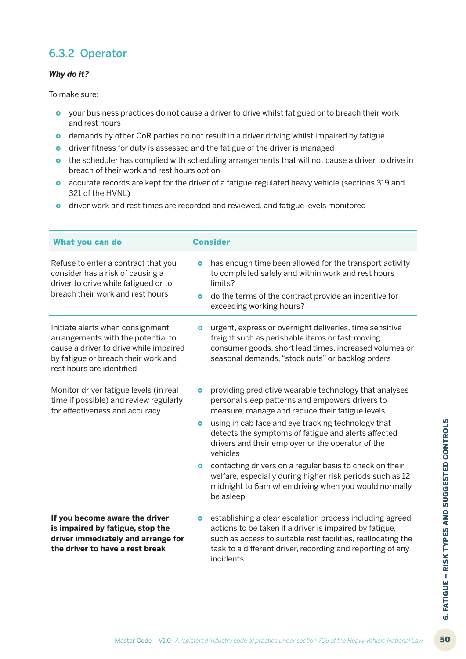# 6.3.2 Operator

#### *Why do it?*

- **o** your business practices do not cause a driver to drive whilst fatigued or to breach their work and rest hours
- **o** demands by other CoR parties do not result in a driver driving whilst impaired by fatigue
- **o** driver fitness for duty is assessed and the fatigue of the driver is managed
- o the scheduler has complied with scheduling arrangements that will not cause a driver to drive in breach of their work and rest hours option
- **o** accurate records are kept for the driver of a fatigue-regulated heavy vehicle (sections 319 and 321 of the HVNL)
- **o** driver work and rest times are recorded and reviewed, and fatigue levels monitored

| What you can do                                                                                                                                                                      | <b>Consider</b>                                                                                                                                                                                                                                                                                                                                                                                                                                                                                                                                                            |
|--------------------------------------------------------------------------------------------------------------------------------------------------------------------------------------|----------------------------------------------------------------------------------------------------------------------------------------------------------------------------------------------------------------------------------------------------------------------------------------------------------------------------------------------------------------------------------------------------------------------------------------------------------------------------------------------------------------------------------------------------------------------------|
| Refuse to enter a contract that you<br>consider has a risk of causing a<br>driver to drive while fatigued or to<br>breach their work and rest hours                                  | has enough time been allowed for the transport activity<br>$\bullet$<br>to completed safely and within work and rest hours<br>limits?<br>do the terms of the contract provide an incentive for<br>$\bullet$<br>exceeding working hours?                                                                                                                                                                                                                                                                                                                                    |
| Initiate alerts when consignment<br>arrangements with the potential to<br>cause a driver to drive while impaired<br>by fatigue or breach their work and<br>rest hours are identified | urgent, express or overnight deliveries, time sensitive<br>$\bullet$<br>freight such as perishable items or fast-moving<br>consumer goods, short lead times, increased volumes or<br>seasonal demands, "stock outs" or backlog orders                                                                                                                                                                                                                                                                                                                                      |
| Monitor driver fatigue levels (in real<br>time if possible) and review regularly<br>for effectiveness and accuracy                                                                   | providing predictive wearable technology that analyses<br>$\bullet$<br>personal sleep patterns and empowers drivers to<br>measure, manage and reduce their fatigue levels<br>using in cab face and eye tracking technology that<br>$\bullet$<br>detects the symptoms of fatigue and alerts affected<br>drivers and their employer or the operator of the<br>vehicles<br><b>o</b> contacting drivers on a regular basis to check on their<br>welfare, especially during higher risk periods such as 12<br>midnight to 6am when driving when you would normally<br>be asleep |
| If you become aware the driver<br>is impaired by fatigue, stop the<br>driver immediately and arrange for<br>the driver to have a rest break                                          | establishing a clear escalation process including agreed<br>$\bullet$<br>actions to be taken if a driver is impaired by fatigue,<br>such as access to suitable rest facilities, reallocating the<br>task to a different driver, recording and reporting of any<br>incidents                                                                                                                                                                                                                                                                                                |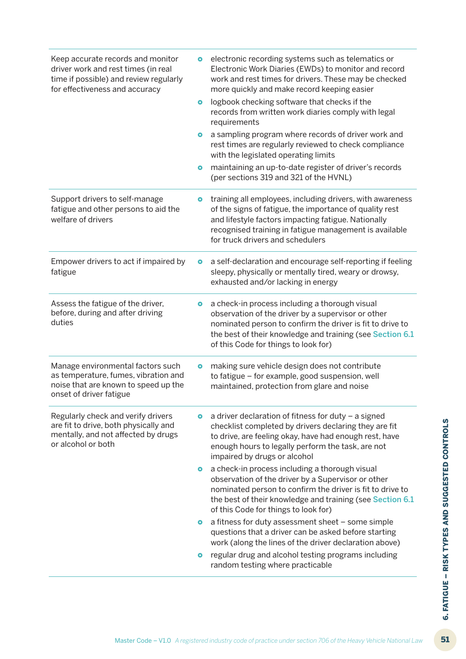| Keep accurate records and monitor<br>driver work and rest times (in real<br>time if possible) and review regularly<br>for effectiveness and accuracy | $\bullet$<br>$\bullet$<br>$\bullet$<br>$\bullet$ | electronic recording systems such as telematics or<br>Electronic Work Diaries (EWDs) to monitor and record<br>work and rest times for drivers. These may be checked<br>more quickly and make record keeping easier<br>logbook checking software that checks if the<br>records from written work diaries comply with legal<br>requirements<br>a sampling program where records of driver work and<br>rest times are regularly reviewed to check compliance<br>with the legislated operating limits<br>maintaining an up-to-date register of driver's records<br>(per sections 319 and 321 of the HVNL) |
|------------------------------------------------------------------------------------------------------------------------------------------------------|--------------------------------------------------|-------------------------------------------------------------------------------------------------------------------------------------------------------------------------------------------------------------------------------------------------------------------------------------------------------------------------------------------------------------------------------------------------------------------------------------------------------------------------------------------------------------------------------------------------------------------------------------------------------|
| Support drivers to self-manage<br>fatigue and other persons to aid the<br>welfare of drivers                                                         | $\bullet$                                        | training all employees, including drivers, with awareness<br>of the signs of fatigue, the importance of quality rest<br>and lifestyle factors impacting fatigue. Nationally<br>recognised training in fatigue management is available<br>for truck drivers and schedulers                                                                                                                                                                                                                                                                                                                             |
| Empower drivers to act if impaired by<br>fatigue                                                                                                     | $\bullet$                                        | a self-declaration and encourage self-reporting if feeling<br>sleepy, physically or mentally tired, weary or drowsy,<br>exhausted and/or lacking in energy                                                                                                                                                                                                                                                                                                                                                                                                                                            |
| Assess the fatigue of the driver,<br>before, during and after driving<br>duties                                                                      | $\bullet$                                        | a check-in process including a thorough visual<br>observation of the driver by a supervisor or other<br>nominated person to confirm the driver is fit to drive to<br>the best of their knowledge and training (see Section 6.1<br>of this Code for things to look for)                                                                                                                                                                                                                                                                                                                                |
| Manage environmental factors such<br>as temperature, fumes, vibration and<br>noise that are known to speed up the<br>onset of driver fatigue         | $\bullet$                                        | making sure vehicle design does not contribute<br>to fatigue - for example, good suspension, well<br>maintained, protection from glare and noise                                                                                                                                                                                                                                                                                                                                                                                                                                                      |
| Regularly check and verify drivers<br>are fit to drive, both physically and<br>mentally, and not affected by drugs<br>or alcohol or both             | $\bullet$                                        | a driver declaration of fitness for duty $-$ a signed<br>checklist completed by drivers declaring they are fit<br>to drive, are feeling okay, have had enough rest, have<br>enough hours to legally perform the task, are not<br>impaired by drugs or alcohol                                                                                                                                                                                                                                                                                                                                         |
|                                                                                                                                                      | $\bullet$                                        | a check-in process including a thorough visual<br>observation of the driver by a Supervisor or other<br>nominated person to confirm the driver is fit to drive to<br>the best of their knowledge and training (see Section 6.1<br>of this Code for things to look for)                                                                                                                                                                                                                                                                                                                                |
|                                                                                                                                                      | $\bullet$                                        | a fitness for duty assessment sheet - some simple<br>questions that a driver can be asked before starting<br>work (along the lines of the driver declaration above)                                                                                                                                                                                                                                                                                                                                                                                                                                   |
|                                                                                                                                                      | $\bullet$                                        | regular drug and alcohol testing programs including<br>random testing where practicable                                                                                                                                                                                                                                                                                                                                                                                                                                                                                                               |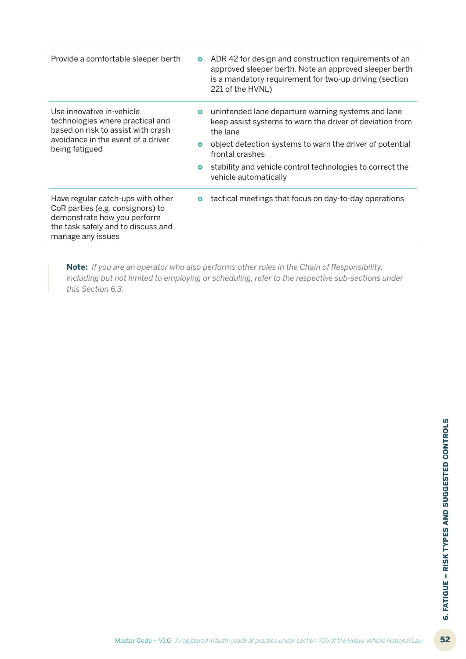| Provide a comfortable sleeper berth                                                                                                                             | $\bullet$ | ADR 42 for design and construction requirements of an<br>approved sleeper berth. Note an approved sleeper berth<br>is a mandatory requirement for two-up driving (section<br>221 of the HVNL) |
|-----------------------------------------------------------------------------------------------------------------------------------------------------------------|-----------|-----------------------------------------------------------------------------------------------------------------------------------------------------------------------------------------------|
| Use innovative in-vehicle<br>technologies where practical and<br>based on risk to assist with crash<br>avoidance in the event of a driver<br>being fatigued     | $\bullet$ | unintended lane departure warning systems and lane<br>keep assist systems to warn the driver of deviation from<br>the lane                                                                    |
|                                                                                                                                                                 | $\bullet$ | object detection systems to warn the driver of potential<br>frontal crashes                                                                                                                   |
|                                                                                                                                                                 | $\bullet$ | stability and vehicle control technologies to correct the<br>vehicle automatically                                                                                                            |
| Have regular catch-ups with other<br>CoR parties (e.g. consignors) to<br>demonstrate how you perform<br>the task safely and to discuss and<br>manage any issues | $\bullet$ | tactical meetings that focus on day-to-day operations                                                                                                                                         |

**Note:** *If you are an operator who also performs other roles in the Chain of Responsibility, including but not limited to employing or scheduling, refer to the respective sub-sections under this Section 6.3.*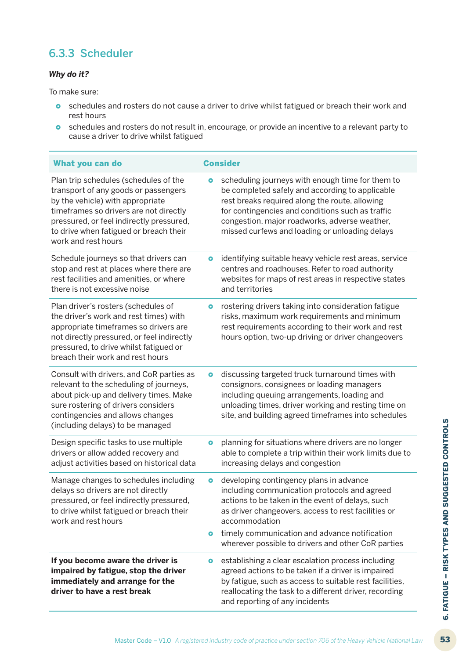# 6.3.3 Scheduler

#### *Why do it?*

- **o** schedules and rosters do not cause a driver to drive whilst fatigued or breach their work and rest hours
- **o** schedules and rosters do not result in, encourage, or provide an incentive to a relevant party to cause a driver to drive whilst fatigued

| What you can do                                                                                                                                                                                                                                                          | <b>Consider</b>        |                                                                                                                                                                                                                                                                                                                            |
|--------------------------------------------------------------------------------------------------------------------------------------------------------------------------------------------------------------------------------------------------------------------------|------------------------|----------------------------------------------------------------------------------------------------------------------------------------------------------------------------------------------------------------------------------------------------------------------------------------------------------------------------|
| Plan trip schedules (schedules of the<br>transport of any goods or passengers<br>by the vehicle) with appropriate<br>timeframes so drivers are not directly<br>pressured, or feel indirectly pressured,<br>to drive when fatigued or breach their<br>work and rest hours | $\bullet$              | scheduling journeys with enough time for them to<br>be completed safely and according to applicable<br>rest breaks required along the route, allowing<br>for contingencies and conditions such as traffic<br>congestion, major roadworks, adverse weather,<br>missed curfews and loading or unloading delays               |
| Schedule journeys so that drivers can<br>stop and rest at places where there are<br>rest facilities and amenities, or where<br>there is not excessive noise                                                                                                              | $\bullet$              | identifying suitable heavy vehicle rest areas, service<br>centres and roadhouses. Refer to road authority<br>websites for maps of rest areas in respective states<br>and territories                                                                                                                                       |
| Plan driver's rosters (schedules of<br>the driver's work and rest times) with<br>appropriate timeframes so drivers are<br>not directly pressured, or feel indirectly<br>pressured, to drive whilst fatigued or<br>breach their work and rest hours                       | O                      | rostering drivers taking into consideration fatigue<br>risks, maximum work requirements and minimum<br>rest requirements according to their work and rest<br>hours option, two-up driving or driver changeovers                                                                                                            |
| Consult with drivers, and CoR parties as<br>relevant to the scheduling of journeys,<br>about pick-up and delivery times. Make<br>sure rostering of drivers considers<br>contingencies and allows changes<br>(including delays) to be managed                             | $\bullet$              | discussing targeted truck turnaround times with<br>consignors, consignees or loading managers<br>including queuing arrangements, loading and<br>unloading times, driver working and resting time on<br>site, and building agreed timeframes into schedules                                                                 |
| Design specific tasks to use multiple<br>drivers or allow added recovery and<br>adjust activities based on historical data                                                                                                                                               | $\bullet$              | planning for situations where drivers are no longer<br>able to complete a trip within their work limits due to<br>increasing delays and congestion                                                                                                                                                                         |
| Manage changes to schedules including<br>delays so drivers are not directly<br>pressured, or feel indirectly pressured,<br>to drive whilst fatigued or breach their<br>work and rest hours                                                                               | $\bullet$<br>$\bullet$ | developing contingency plans in advance<br>including communication protocols and agreed<br>actions to be taken in the event of delays, such<br>as driver changeovers, access to rest facilities or<br>accommodation<br>timely communication and advance notification<br>wherever possible to drivers and other CoR parties |
| If you become aware the driver is<br>impaired by fatigue, stop the driver<br>immediately and arrange for the<br>driver to have a rest break                                                                                                                              | $\bullet$              | establishing a clear escalation process including<br>agreed actions to be taken if a driver is impaired<br>by fatigue, such as access to suitable rest facilities,<br>reallocating the task to a different driver, recording<br>and reporting of any incidents                                                             |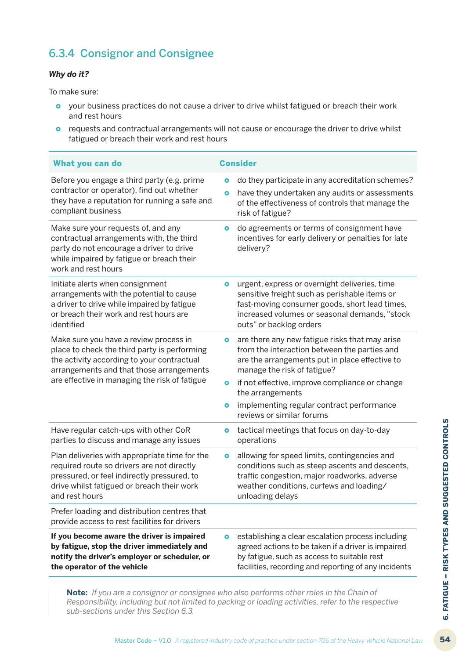# 6.3.4 Consignor and Consignee

#### *Why do it?*

To make sure:

- **o** your business practices do not cause a driver to drive whilst fatigued or breach their work and rest hours
- **o** requests and contractual arrangements will not cause or encourage the driver to drive whilst fatigued or breach their work and rest hours

| What you can do                                                                                                                                                                                                                   | <b>Consider</b>                                                                                                                                                                                                                                                                                                                                                        |
|-----------------------------------------------------------------------------------------------------------------------------------------------------------------------------------------------------------------------------------|------------------------------------------------------------------------------------------------------------------------------------------------------------------------------------------------------------------------------------------------------------------------------------------------------------------------------------------------------------------------|
| Before you engage a third party (e.g. prime<br>contractor or operator), find out whether<br>they have a reputation for running a safe and<br>compliant business                                                                   | do they participate in any accreditation schemes?<br>$\bullet$<br>have they undertaken any audits or assessments<br>$\bullet$<br>of the effectiveness of controls that manage the<br>risk of fatigue?                                                                                                                                                                  |
| Make sure your requests of, and any<br>contractual arrangements with, the third<br>party do not encourage a driver to drive<br>while impaired by fatigue or breach their<br>work and rest hours                                   | do agreements or terms of consignment have<br>$\bullet$<br>incentives for early delivery or penalties for late<br>delivery?                                                                                                                                                                                                                                            |
| Initiate alerts when consignment<br>arrangements with the potential to cause<br>a driver to drive while impaired by fatigue<br>or breach their work and rest hours are<br>identified                                              | urgent, express or overnight deliveries, time<br>$\bullet$<br>sensitive freight such as perishable items or<br>fast-moving consumer goods, short lead times,<br>increased volumes or seasonal demands, "stock<br>outs" or backlog orders                                                                                                                               |
| Make sure you have a review process in<br>place to check the third party is performing<br>the activity according to your contractual<br>arrangements and that those arrangements<br>are effective in managing the risk of fatigue | are there any new fatigue risks that may arise<br>$\bullet$<br>from the interaction between the parties and<br>are the arrangements put in place effective to<br>manage the risk of fatigue?<br>if not effective, improve compliance or change<br>$\bullet$<br>the arrangements<br>implementing regular contract performance<br>$\bullet$<br>reviews or similar forums |
| Have regular catch-ups with other CoR<br>parties to discuss and manage any issues                                                                                                                                                 | tactical meetings that focus on day-to-day<br>$\bullet$<br>operations                                                                                                                                                                                                                                                                                                  |
| Plan deliveries with appropriate time for the<br>required route so drivers are not directly<br>pressured, or feel indirectly pressured, to<br>drive whilst fatigued or breach their work<br>and rest hours                        | allowing for speed limits, contingencies and<br>$\bullet$<br>conditions such as steep ascents and descents,<br>traffic congestion, major roadworks, adverse<br>weather conditions, curfews and loading/<br>unloading delays                                                                                                                                            |
| Prefer loading and distribution centres that<br>provide access to rest facilities for drivers                                                                                                                                     |                                                                                                                                                                                                                                                                                                                                                                        |
| If you become aware the driver is impaired<br>by fatigue, stop the driver immediately and<br>notify the driver's employer or scheduler, or<br>the operator of the vehicle                                                         | establishing a clear escalation process including<br>$\bullet$<br>agreed actions to be taken if a driver is impaired<br>by fatigue, such as access to suitable rest<br>facilities, recording and reporting of any incidents                                                                                                                                            |

**Note:** *If you are a consignor or consignee who also performs other roles in the Chain of Responsibility, including but not limited to packing or loading activities, refer to the respective sub-sections under this Section 6.3.*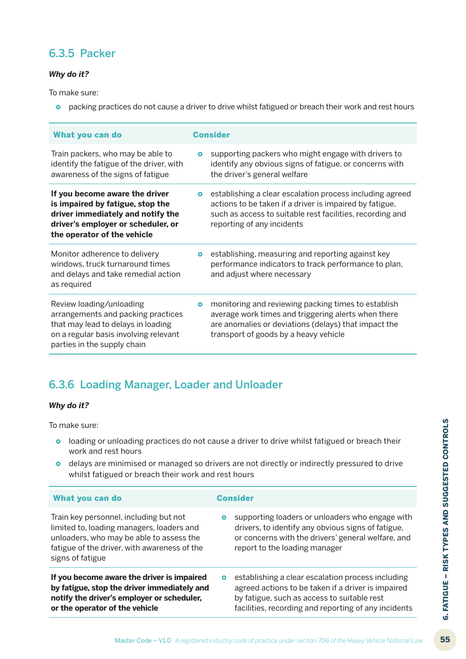### 6.3.5 Packer

#### *Why do it?*

To make sure:

**o** packing practices do not cause a driver to drive whilst fatigued or breach their work and rest hours

| What you can do                                                                                                                                                              |           | <b>Consider</b>                                                                                                                                                                                                |
|------------------------------------------------------------------------------------------------------------------------------------------------------------------------------|-----------|----------------------------------------------------------------------------------------------------------------------------------------------------------------------------------------------------------------|
| Train packers, who may be able to<br>identify the fatigue of the driver, with<br>awareness of the signs of fatigue                                                           | $\bullet$ | supporting packers who might engage with drivers to<br>identify any obvious signs of fatigue, or concerns with<br>the driver's general welfare                                                                 |
| If you become aware the driver<br>is impaired by fatigue, stop the<br>driver immediately and notify the<br>driver's employer or scheduler, or<br>the operator of the vehicle | $\bullet$ | establishing a clear escalation process including agreed<br>actions to be taken if a driver is impaired by fatigue,<br>such as access to suitable rest facilities, recording and<br>reporting of any incidents |
| Monitor adherence to delivery<br>windows, truck turnaround times<br>and delays and take remedial action<br>as required                                                       | $\bullet$ | establishing, measuring and reporting against key<br>performance indicators to track performance to plan,<br>and adjust where necessary                                                                        |
| Review loading/unloading<br>arrangements and packing practices<br>that may lead to delays in loading<br>on a regular basis involving relevant<br>parties in the supply chain | $\bullet$ | monitoring and reviewing packing times to establish<br>average work times and triggering alerts when there<br>are anomalies or deviations (delays) that impact the<br>transport of goods by a heavy vehicle    |

# 6.3.6 Loading Manager, Loader and Unloader

#### *Why do it?*

- **•** loading or unloading practices do not cause a driver to drive whilst fatigued or breach their work and rest hours
- o delays are minimised or managed so drivers are not directly or indirectly pressured to drive whilst fatigued or breach their work and rest hours

| What you can do                                                                                                                                                                                     |           | <b>Consider</b>                                                                                                                                                                                                |
|-----------------------------------------------------------------------------------------------------------------------------------------------------------------------------------------------------|-----------|----------------------------------------------------------------------------------------------------------------------------------------------------------------------------------------------------------------|
| Train key personnel, including but not<br>limited to, loading managers, loaders and<br>unloaders, who may be able to assess the<br>fatigue of the driver, with awareness of the<br>signs of fatigue |           | supporting loaders or unloaders who engage with<br>drivers, to identify any obvious signs of fatigue,<br>or concerns with the drivers' general welfare, and<br>report to the loading manager                   |
| If you become aware the driver is impaired<br>by fatigue, stop the driver immediately and<br>notify the driver's employer or scheduler,<br>or the operator of the vehicle                           | $\bullet$ | establishing a clear escalation process including<br>agreed actions to be taken if a driver is impaired<br>by fatigue, such as access to suitable rest<br>facilities, recording and reporting of any incidents |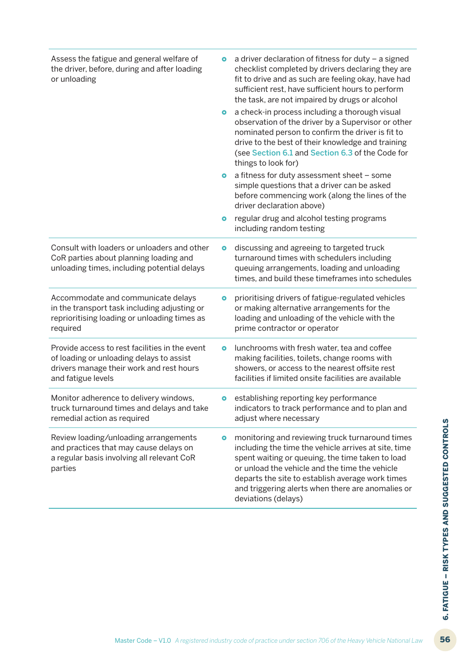| Assess the fatigue and general welfare of<br>the driver, before, during and after loading<br>or unloading                                                    | $\bullet$<br>$\bullet$<br>$\bullet$<br>$\bullet$ | a driver declaration of fitness for duty $-$ a signed<br>checklist completed by drivers declaring they are<br>fit to drive and as such are feeling okay, have had<br>sufficient rest, have sufficient hours to perform<br>the task, are not impaired by drugs or alcohol<br>a check-in process including a thorough visual<br>observation of the driver by a Supervisor or other<br>nominated person to confirm the driver is fit to<br>drive to the best of their knowledge and training<br>(see Section 6.1 and Section 6.3 of the Code for<br>things to look for)<br>a fitness for duty assessment sheet - some<br>simple questions that a driver can be asked<br>before commencing work (along the lines of the<br>driver declaration above)<br>regular drug and alcohol testing programs<br>including random testing |
|--------------------------------------------------------------------------------------------------------------------------------------------------------------|--------------------------------------------------|---------------------------------------------------------------------------------------------------------------------------------------------------------------------------------------------------------------------------------------------------------------------------------------------------------------------------------------------------------------------------------------------------------------------------------------------------------------------------------------------------------------------------------------------------------------------------------------------------------------------------------------------------------------------------------------------------------------------------------------------------------------------------------------------------------------------------|
| Consult with loaders or unloaders and other<br>CoR parties about planning loading and<br>unloading times, including potential delays                         | $\bullet$                                        | discussing and agreeing to targeted truck<br>turnaround times with schedulers including<br>queuing arrangements, loading and unloading<br>times, and build these timeframes into schedules                                                                                                                                                                                                                                                                                                                                                                                                                                                                                                                                                                                                                                |
| Accommodate and communicate delays<br>in the transport task including adjusting or<br>reprioritising loading or unloading times as<br>required               | $\bullet$                                        | prioritising drivers of fatigue-regulated vehicles<br>or making alternative arrangements for the<br>loading and unloading of the vehicle with the<br>prime contractor or operator                                                                                                                                                                                                                                                                                                                                                                                                                                                                                                                                                                                                                                         |
| Provide access to rest facilities in the event<br>of loading or unloading delays to assist<br>drivers manage their work and rest hours<br>and fatigue levels | $\bullet$                                        | lunchrooms with fresh water, tea and coffee<br>making facilities, toilets, change rooms with<br>showers, or access to the nearest offsite rest<br>facilities if limited onsite facilities are available                                                                                                                                                                                                                                                                                                                                                                                                                                                                                                                                                                                                                   |
| Monitor adherence to delivery windows,<br>truck turnaround times and delays and take<br>remedial action as required                                          | o                                                | establishing reporting key performance<br>indicators to track performance and to plan and<br>adjust where necessary                                                                                                                                                                                                                                                                                                                                                                                                                                                                                                                                                                                                                                                                                                       |
| Review loading/unloading arrangements<br>and practices that may cause delays on<br>a regular basis involving all relevant CoR<br>parties                     | $\bullet$                                        | monitoring and reviewing truck turnaround times<br>including the time the vehicle arrives at site, time<br>spent waiting or queuing, the time taken to load<br>or unload the vehicle and the time the vehicle<br>departs the site to establish average work times<br>and triggering alerts when there are anomalies or<br>deviations (delays)                                                                                                                                                                                                                                                                                                                                                                                                                                                                             |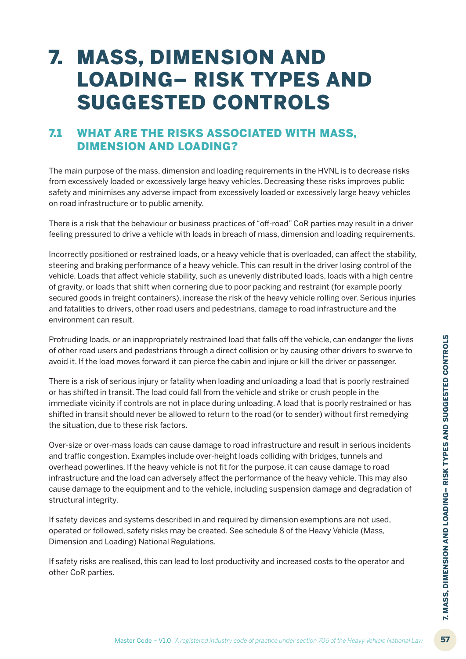# <span id="page-56-0"></span>7. MASS, DIMENSION AND LOADING– RISK TYPES AND SUGGESTED CONTROLS

### 7.1 WHAT ARE THE RISKS ASSOCIATED WITH MASS, DIMENSION AND LOADING?

The main purpose of the mass, dimension and loading requirements in the HVNL is to decrease risks from excessively loaded or excessively large heavy vehicles. Decreasing these risks improves public safety and minimises any adverse impact from excessively loaded or excessively large heavy vehicles on road infrastructure or to public amenity.

There is a risk that the behaviour or business practices of "off-road" CoR parties may result in a driver feeling pressured to drive a vehicle with loads in breach of mass, dimension and loading requirements.

Incorrectly positioned or restrained loads, or a heavy vehicle that is overloaded, can affect the stability, steering and braking performance of a heavy vehicle. This can result in the driver losing control of the vehicle. Loads that affect vehicle stability, such as unevenly distributed loads, loads with a high centre of gravity, or loads that shift when cornering due to poor packing and restraint (for example poorly secured goods in freight containers), increase the risk of the heavy vehicle rolling over. Serious injuries and fatalities to drivers, other road users and pedestrians, damage to road infrastructure and the environment can result.

Protruding loads, or an inappropriately restrained load that falls off the vehicle, can endanger the lives of other road users and pedestrians through a direct collision or by causing other drivers to swerve to avoid it. If the load moves forward it can pierce the cabin and injure or kill the driver or passenger.

There is a risk of serious injury or fatality when loading and unloading a load that is poorly restrained or has shifted in transit. The load could fall from the vehicle and strike or crush people in the immediate vicinity if controls are not in place during unloading. A load that is poorly restrained or has shifted in transit should never be allowed to return to the road (or to sender) without first remedying the situation, due to these risk factors.

Over-size or over-mass loads can cause damage to road infrastructure and result in serious incidents and traffic congestion. Examples include over-height loads colliding with bridges, tunnels and overhead powerlines. If the heavy vehicle is not fit for the purpose, it can cause damage to road infrastructure and the load can adversely affect the performance of the heavy vehicle. This may also cause damage to the equipment and to the vehicle, including suspension damage and degradation of structural integrity.

If safety devices and systems described in and required by dimension exemptions are not used, operated or followed, safety risks may be created. See schedule 8 of the Heavy Vehicle (Mass, Dimension and Loading) National Regulations.

If safety risks are realised, this can lead to lost productivity and increased costs to the operator and other CoR parties.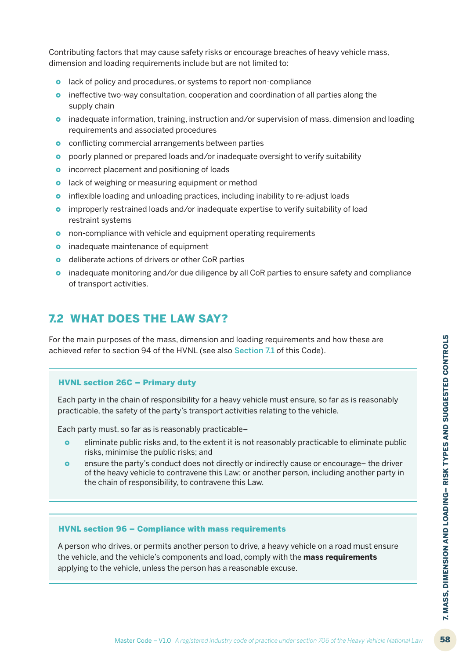Contributing factors that may cause safety risks or encourage breaches of heavy vehicle mass, dimension and loading requirements include but are not limited to:

- **o** lack of policy and procedures, or systems to report non-compliance
- **•** ineffective two-way consultation, cooperation and coordination of all parties along the supply chain
- **•** inadequate information, training, instruction and/or supervision of mass, dimension and loading requirements and associated procedures
- **o** conflicting commercial arrangements between parties
- **•** poorly planned or prepared loads and/or inadequate oversight to verify suitability
- **•** incorrect placement and positioning of loads
- **o** lack of weighing or measuring equipment or method
- **o** inflexible loading and unloading practices, including inability to re-adjust loads
- **o** improperly restrained loads and/or inadequate expertise to verify suitability of load restraint systems
- **o** non-compliance with vehicle and equipment operating requirements
- **o** inadequate maintenance of equipment
- **•** deliberate actions of drivers or other CoR parties
- **o** inadequate monitoring and/or due diligence by all CoR parties to ensure safety and compliance of transport activities.

### 7.2 WHAT DOES THE LAW SAY?

For the main purposes of the mass, dimension and loading requirements and how these are achieved refer to section 94 of the HVNL (see also [Section 7.1](#page-56-0) of this Code).

#### HVNL section 26C – Primary duty

Each party in the chain of responsibility for a heavy vehicle must ensure, so far as is reasonably practicable, the safety of the party's transport activities relating to the vehicle.

Each party must, so far as is reasonably practicable–

- **•** eliminate public risks and, to the extent it is not reasonably practicable to eliminate public risks, minimise the public risks; and
- **•** ensure the party's conduct does not directly or indirectly cause or encourage– the driver of the heavy vehicle to contravene this Law; or another person, including another party in the chain of responsibility, to contravene this Law.

#### HVNL section 96 – Compliance with mass requirements

A person who drives, or permits another person to drive, a heavy vehicle on a road must ensure the vehicle, and the vehicle's components and load, comply with the **mass requirements** applying to the vehicle, unless the person has a reasonable excuse.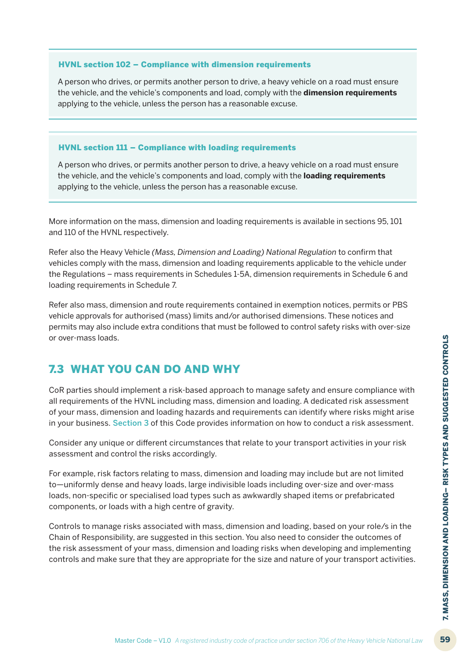#### HVNL section 102 – Compliance with dimension requirements

A person who drives, or permits another person to drive, a heavy vehicle on a road must ensure the vehicle, and the vehicle's components and load, comply with the **dimension requirements** applying to the vehicle, unless the person has a reasonable excuse.

#### HVNL section 111 – Compliance with loading requirements

A person who drives, or permits another person to drive, a heavy vehicle on a road must ensure the vehicle, and the vehicle's components and load, comply with the **loading requirements** applying to the vehicle, unless the person has a reasonable excuse.

More information on the mass, dimension and loading requirements is available in sections 95, 101 and 110 of the HVNL respectively.

Refer also the Heavy Vehicle *(Mass, Dimension and Loading) National Regulation* to confirm that vehicles comply with the mass, dimension and loading requirements applicable to the vehicle under the Regulations – mass requirements in Schedules 1-5A, dimension requirements in Schedule 6 and loading requirements in Schedule 7.

Refer also mass, dimension and route requirements contained in exemption notices, permits or PBS vehicle approvals for authorised (mass) limits and/or authorised dimensions. These notices and permits may also include extra conditions that must be followed to control safety risks with over-size or over-mass loads.

### 7.3 WHAT YOU CAN DO AND WHY

CoR parties should implement a risk-based approach to manage safety and ensure compliance with all requirements of the HVNL including mass, dimension and loading. A dedicated risk assessment of your mass, dimension and loading hazards and requirements can identify where risks might arise in your business. [Section 3](#page-25-0) of this Code provides information on how to conduct a risk assessment.

Consider any unique or different circumstances that relate to your transport activities in your risk assessment and control the risks accordingly.

For example, risk factors relating to mass, dimension and loading may include but are not limited to—uniformly dense and heavy loads, large indivisible loads including over-size and over-mass loads, non-specific or specialised load types such as awkwardly shaped items or prefabricated components, or loads with a high centre of gravity.

Controls to manage risks associated with mass, dimension and loading, based on your role/s in the Chain of Responsibility, are suggested in this section. You also need to consider the outcomes of the risk assessment of your mass, dimension and loading risks when developing and implementing controls and make sure that they are appropriate for the size and nature of your transport activities.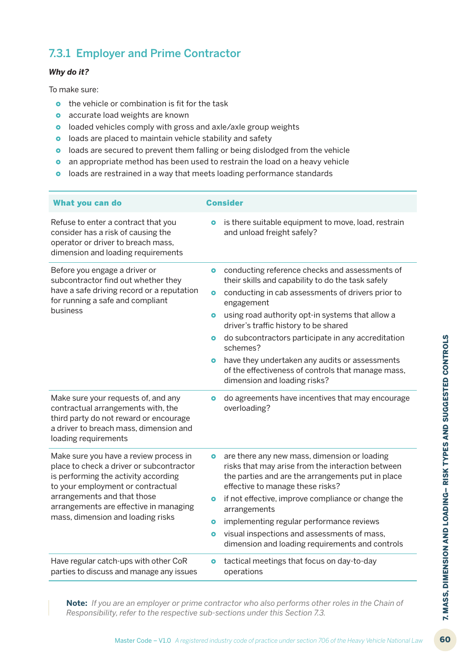# 7.3.1 Employer and Prime Contractor

#### *Why do it?*

To make sure:

- $\bullet$  the vehicle or combination is fit for the task
- **o** accurate load weights are known
- **o** loaded vehicles comply with gross and axle/axle group weights
- **o** loads are placed to maintain vehicle stability and safety
- **o** loads are secured to prevent them falling or being dislodged from the vehicle
- **o** an appropriate method has been used to restrain the load on a heavy vehicle
- **o** loads are restrained in a way that meets loading performance standards

| What you can do                                                                                                                                                                                                                                                               | <b>Consider</b>                                                                                                                                                                                                                                                                                                                                                                                                                                                                                                                   |  |
|-------------------------------------------------------------------------------------------------------------------------------------------------------------------------------------------------------------------------------------------------------------------------------|-----------------------------------------------------------------------------------------------------------------------------------------------------------------------------------------------------------------------------------------------------------------------------------------------------------------------------------------------------------------------------------------------------------------------------------------------------------------------------------------------------------------------------------|--|
| Refuse to enter a contract that you<br>consider has a risk of causing the<br>operator or driver to breach mass,<br>dimension and loading requirements                                                                                                                         | is there suitable equipment to move, load, restrain<br>$\bullet$<br>and unload freight safely?                                                                                                                                                                                                                                                                                                                                                                                                                                    |  |
| Before you engage a driver or<br>subcontractor find out whether they<br>have a safe driving record or a reputation<br>for running a safe and compliant<br>business                                                                                                            | conducting reference checks and assessments of<br>$\bullet$<br>their skills and capability to do the task safely<br>conducting in cab assessments of drivers prior to<br>engagement<br>using road authority opt-in systems that allow a<br>$\bullet$<br>driver's traffic history to be shared<br>do subcontractors participate in any accreditation<br>$\bullet$<br>schemes?<br>have they undertaken any audits or assessments<br>$\bullet$<br>of the effectiveness of controls that manage mass,<br>dimension and loading risks? |  |
| Make sure your requests of, and any<br>contractual arrangements with, the<br>third party do not reward or encourage<br>a driver to breach mass, dimension and<br>loading requirements                                                                                         | do agreements have incentives that may encourage<br>$\bullet$<br>overloading?                                                                                                                                                                                                                                                                                                                                                                                                                                                     |  |
| Make sure you have a review process in<br>place to check a driver or subcontractor<br>is performing the activity according<br>to your employment or contractual<br>arrangements and that those<br>arrangements are effective in managing<br>mass, dimension and loading risks | are there any new mass, dimension or loading<br>$\bullet$<br>risks that may arise from the interaction between<br>the parties and are the arrangements put in place<br>effective to manage these risks?<br>if not effective, improve compliance or change the<br>$\bullet$<br>arrangements<br>implementing regular performance reviews<br>$\bullet$<br>visual inspections and assessments of mass,<br>$\bullet$<br>dimension and loading requirements and controls                                                                |  |
| Have regular catch-ups with other CoR<br>parties to discuss and manage any issues                                                                                                                                                                                             | tactical meetings that focus on day-to-day<br>$\bullet$<br>operations                                                                                                                                                                                                                                                                                                                                                                                                                                                             |  |

**Note:** *If you are an employer or prime contractor who also performs other roles in the Chain of Responsibility, refer to the respective sub-sections under this Section 7.3.*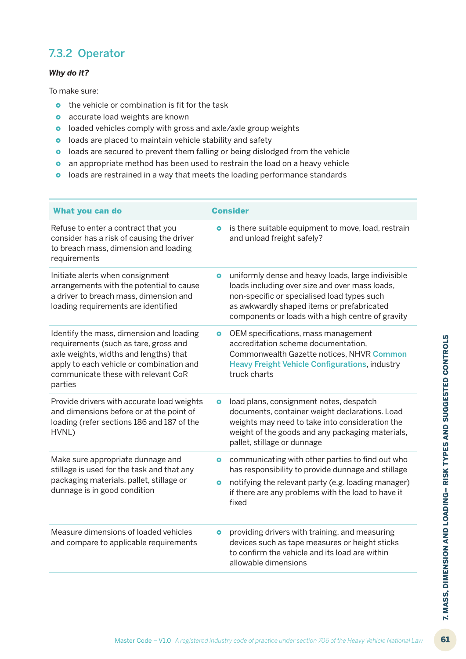## 7.3.2 Operator

#### *Why do it?*

- **o** the vehicle or combination is fit for the task
- **o** accurate load weights are known
- **o** loaded vehicles comply with gross and axle/axle group weights
- **o** loads are placed to maintain vehicle stability and safety
- **o** loads are secured to prevent them falling or being dislodged from the vehicle
- **o** an appropriate method has been used to restrain the load on a heavy vehicle
- o loads are restrained in a way that meets the loading performance standards

| What you can do                                                                                                                                                                                                           |                        | <b>Consider</b>                                                                                                                                                                                                                                        |
|---------------------------------------------------------------------------------------------------------------------------------------------------------------------------------------------------------------------------|------------------------|--------------------------------------------------------------------------------------------------------------------------------------------------------------------------------------------------------------------------------------------------------|
| Refuse to enter a contract that you<br>consider has a risk of causing the driver<br>to breach mass, dimension and loading<br>requirements                                                                                 | $\bullet$              | is there suitable equipment to move, load, restrain<br>and unload freight safely?                                                                                                                                                                      |
| Initiate alerts when consignment<br>arrangements with the potential to cause<br>a driver to breach mass, dimension and<br>loading requirements are identified                                                             | $\bullet$              | uniformly dense and heavy loads, large indivisible<br>loads including over size and over mass loads,<br>non-specific or specialised load types such<br>as awkwardly shaped items or prefabricated<br>components or loads with a high centre of gravity |
| Identify the mass, dimension and loading<br>requirements (such as tare, gross and<br>axle weights, widths and lengths) that<br>apply to each vehicle or combination and<br>communicate these with relevant CoR<br>parties | $\bullet$              | OEM specifications, mass management<br>accreditation scheme documentation,<br>Commonwealth Gazette notices, NHVR Common<br><b>Heavy Freight Vehicle Configurations, industry</b><br>truck charts                                                       |
| Provide drivers with accurate load weights<br>and dimensions before or at the point of<br>loading (refer sections 186 and 187 of the<br>HVNL)                                                                             | $\bullet$              | load plans, consignment notes, despatch<br>documents, container weight declarations. Load<br>weights may need to take into consideration the<br>weight of the goods and any packaging materials,<br>pallet, stillage or dunnage                        |
| Make sure appropriate dunnage and<br>stillage is used for the task and that any<br>packaging materials, pallet, stillage or<br>dunnage is in good condition                                                               | $\bullet$<br>$\bullet$ | communicating with other parties to find out who<br>has responsibility to provide dunnage and stillage<br>notifying the relevant party (e.g. loading manager)<br>if there are any problems with the load to have it<br>fixed                           |
| Measure dimensions of loaded vehicles<br>and compare to applicable requirements                                                                                                                                           | $\bullet$              | providing drivers with training, and measuring<br>devices such as tape measures or height sticks<br>to confirm the vehicle and its load are within<br>allowable dimensions                                                                             |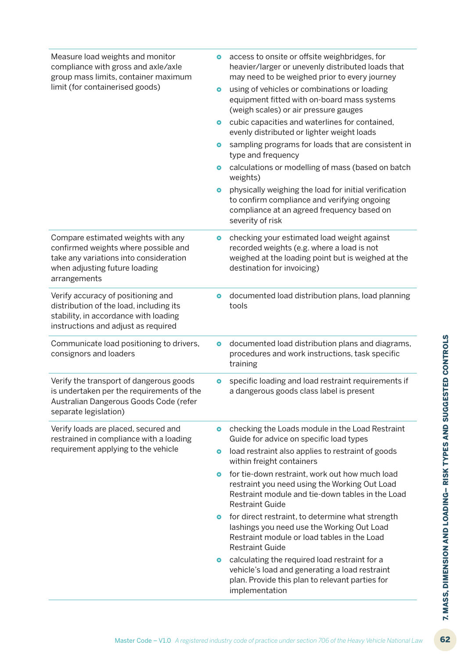| Measure load weights and monitor<br>compliance with gross and axle/axle<br>group mass limits, container maximum<br>limit (for containerised goods)                    | $\bullet$<br>$\bullet$<br>$\bullet$<br>$\bullet$<br>$\bullet$<br>$\bullet$ | access to onsite or offsite weighbridges, for<br>heavier/larger or unevenly distributed loads that<br>may need to be weighed prior to every journey<br>using of vehicles or combinations or loading<br>equipment fitted with on-board mass systems<br>(weigh scales) or air pressure gauges<br>cubic capacities and waterlines for contained,<br>evenly distributed or lighter weight loads<br>sampling programs for loads that are consistent in<br>type and frequency<br>calculations or modelling of mass (based on batch<br>weights)<br>physically weighing the load for initial verification<br>to confirm compliance and verifying ongoing<br>compliance at an agreed frequency based on<br>severity of risk |
|-----------------------------------------------------------------------------------------------------------------------------------------------------------------------|----------------------------------------------------------------------------|--------------------------------------------------------------------------------------------------------------------------------------------------------------------------------------------------------------------------------------------------------------------------------------------------------------------------------------------------------------------------------------------------------------------------------------------------------------------------------------------------------------------------------------------------------------------------------------------------------------------------------------------------------------------------------------------------------------------|
| Compare estimated weights with any<br>confirmed weights where possible and<br>take any variations into consideration<br>when adjusting future loading<br>arrangements | $\bullet$                                                                  | checking your estimated load weight against<br>recorded weights (e.g. where a load is not<br>weighed at the loading point but is weighed at the<br>destination for invoicing)                                                                                                                                                                                                                                                                                                                                                                                                                                                                                                                                      |
| Verify accuracy of positioning and<br>distribution of the load, including its<br>stability, in accordance with loading<br>instructions and adjust as required         | $\bullet$                                                                  | documented load distribution plans, load planning<br>tools                                                                                                                                                                                                                                                                                                                                                                                                                                                                                                                                                                                                                                                         |
| Communicate load positioning to drivers,<br>consignors and loaders                                                                                                    | $\bullet$                                                                  | documented load distribution plans and diagrams,<br>procedures and work instructions, task specific<br>training                                                                                                                                                                                                                                                                                                                                                                                                                                                                                                                                                                                                    |
| Verify the transport of dangerous goods<br>is undertaken per the requirements of the<br>Australian Dangerous Goods Code (refer<br>separate legislation)               | $\bullet$                                                                  | specific loading and load restraint requirements if<br>a dangerous goods class label is present                                                                                                                                                                                                                                                                                                                                                                                                                                                                                                                                                                                                                    |
| Verify loads are placed, secured and<br>restrained in compliance with a loading<br>requirement applying to the vehicle                                                | $\bullet$                                                                  | checking the Loads module in the Load Restraint<br>Guide for advice on specific load types                                                                                                                                                                                                                                                                                                                                                                                                                                                                                                                                                                                                                         |
|                                                                                                                                                                       | $\bullet$                                                                  | load restraint also applies to restraint of goods<br>within freight containers                                                                                                                                                                                                                                                                                                                                                                                                                                                                                                                                                                                                                                     |
|                                                                                                                                                                       | $\bullet$                                                                  | for tie-down restraint, work out how much load<br>restraint you need using the Working Out Load<br>Restraint module and tie-down tables in the Load<br><b>Restraint Guide</b>                                                                                                                                                                                                                                                                                                                                                                                                                                                                                                                                      |
|                                                                                                                                                                       | $\bullet$                                                                  | for direct restraint, to determine what strength<br>lashings you need use the Working Out Load<br>Restraint module or load tables in the Load<br><b>Restraint Guide</b>                                                                                                                                                                                                                                                                                                                                                                                                                                                                                                                                            |
|                                                                                                                                                                       | $\bullet$                                                                  | calculating the required load restraint for a<br>vehicle's load and generating a load restraint<br>plan. Provide this plan to relevant parties for<br>implementation                                                                                                                                                                                                                                                                                                                                                                                                                                                                                                                                               |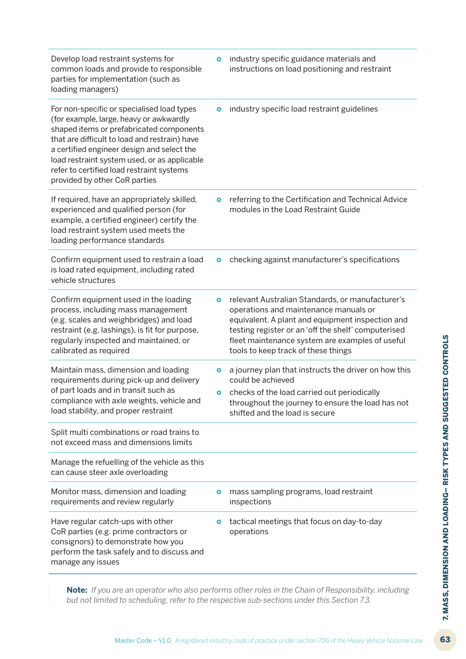| Develop load restraint systems for<br>common loads and provide to responsible<br>parties for implementation (such as<br>loading managers)                                                                                                                                                                                                                      | $\bullet$              | industry specific guidance materials and<br>instructions on load positioning and restraint                                                                                                                                                                                                     |
|----------------------------------------------------------------------------------------------------------------------------------------------------------------------------------------------------------------------------------------------------------------------------------------------------------------------------------------------------------------|------------------------|------------------------------------------------------------------------------------------------------------------------------------------------------------------------------------------------------------------------------------------------------------------------------------------------|
| For non-specific or specialised load types<br>(for example, large, heavy or awkwardly<br>shaped items or prefabricated components<br>that are difficult to load and restrain) have<br>a certified engineer design and select the<br>load restraint system used, or as applicable<br>refer to certified load restraint systems<br>provided by other CoR parties | $\bullet$              | industry specific load restraint guidelines                                                                                                                                                                                                                                                    |
| If required, have an appropriately skilled,<br>experienced and qualified person (for<br>example, a certified engineer) certify the<br>load restraint system used meets the<br>loading performance standards                                                                                                                                                    | $\bullet$              | referring to the Certification and Technical Advice<br>modules in the Load Restraint Guide                                                                                                                                                                                                     |
| Confirm equipment used to restrain a load<br>is load rated equipment, including rated<br>vehicle structures                                                                                                                                                                                                                                                    | $\bullet$              | checking against manufacturer's specifications                                                                                                                                                                                                                                                 |
| Confirm equipment used in the loading<br>process, including mass management<br>(e.g. scales and weighbridges) and load<br>restraint (e.g. lashings), is fit for purpose,<br>regularly inspected and maintained, or<br>calibrated as required                                                                                                                   | $\bullet$              | relevant Australian Standards, or manufacturer's<br>operations and maintenance manuals or<br>equivalent. A plant and equipment inspection and<br>testing register or an 'off the shelf' computerised<br>fleet maintenance system are examples of useful<br>tools to keep track of these things |
| Maintain mass, dimension and loading<br>requirements during pick-up and delivery<br>of part loads and in transit such as<br>compliance with axle weights, vehicle and<br>load stability, and proper restraint                                                                                                                                                  | $\bullet$<br>$\bullet$ | a journey plan that instructs the driver on how this<br>could be achieved<br>checks of the load carried out periodically<br>throughout the journey to ensure the load has not<br>shifted and the load is secure                                                                                |
| Split multi combinations or road trains to<br>not exceed mass and dimensions limits                                                                                                                                                                                                                                                                            |                        |                                                                                                                                                                                                                                                                                                |
| Manage the refuelling of the vehicle as this<br>can cause steer axle overloading                                                                                                                                                                                                                                                                               |                        |                                                                                                                                                                                                                                                                                                |
| Monitor mass, dimension and loading<br>requirements and review regularly                                                                                                                                                                                                                                                                                       | $\bullet$              | mass sampling programs, load restraint<br>inspections                                                                                                                                                                                                                                          |
| Have regular catch-ups with other<br>CoR parties (e.g. prime contractors or<br>consignors) to demonstrate how you<br>perform the task safely and to discuss and<br>manage any issues                                                                                                                                                                           | $\bullet$              | tactical meetings that focus on day-to-day<br>operations                                                                                                                                                                                                                                       |

**Note:** *If you are an operator who also performs other roles in the Chain of Responsibility, including but not limited to scheduling, refer to the respective sub-sections under this Section 7.3.*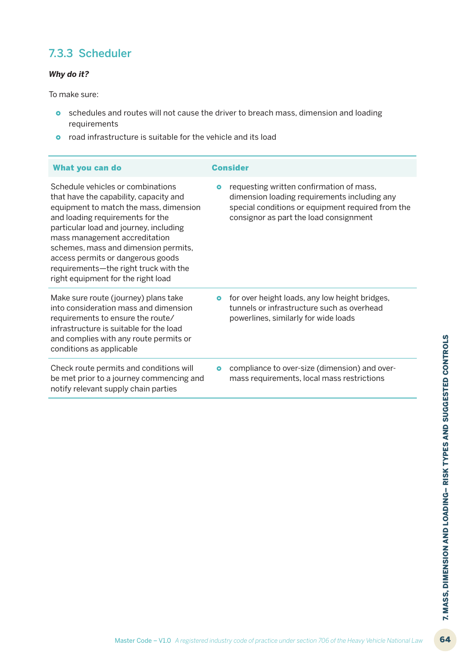### 7.3.3 Scheduler

#### *Why do it?*

- **o** schedules and routes will not cause the driver to breach mass, dimension and loading requirements
- **o** road infrastructure is suitable for the vehicle and its load

| What you can do                                                                                                                                                                                                                                                                                                                                                                                  |           | <b>Consider</b>                                                                                                                                                                         |
|--------------------------------------------------------------------------------------------------------------------------------------------------------------------------------------------------------------------------------------------------------------------------------------------------------------------------------------------------------------------------------------------------|-----------|-----------------------------------------------------------------------------------------------------------------------------------------------------------------------------------------|
| Schedule vehicles or combinations<br>that have the capability, capacity and<br>equipment to match the mass, dimension<br>and loading requirements for the<br>particular load and journey, including<br>mass management accreditation<br>schemes, mass and dimension permits,<br>access permits or dangerous goods<br>requirements-the right truck with the<br>right equipment for the right load | $\bullet$ | requesting written confirmation of mass,<br>dimension loading requirements including any<br>special conditions or equipment required from the<br>consignor as part the load consignment |
| Make sure route (journey) plans take<br>into consideration mass and dimension<br>requirements to ensure the route/<br>infrastructure is suitable for the load<br>and complies with any route permits or<br>conditions as applicable                                                                                                                                                              | $\bullet$ | for over height loads, any low height bridges,<br>tunnels or infrastructure such as overhead<br>powerlines, similarly for wide loads                                                    |
| Check route permits and conditions will<br>be met prior to a journey commencing and<br>notify relevant supply chain parties                                                                                                                                                                                                                                                                      | $\bullet$ | compliance to over-size (dimension) and over-<br>mass requirements, local mass restrictions                                                                                             |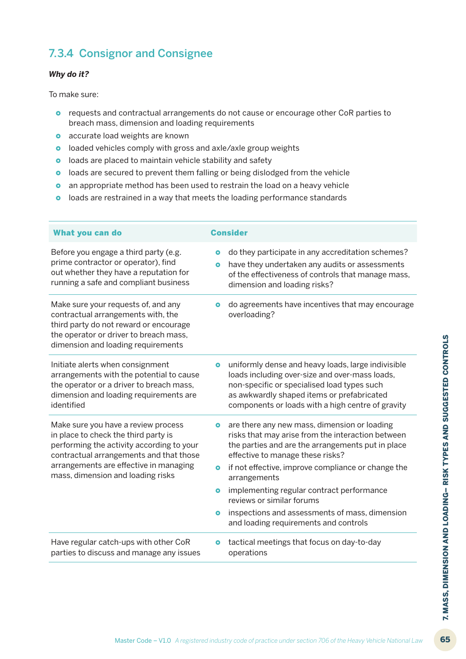### 7.3.4 Consignor and Consignee

#### *Why do it?*

- **o** requests and contractual arrangements do not cause or encourage other CoR parties to breach mass, dimension and loading requirements
- **o** accurate load weights are known
- o loaded vehicles comply with gross and axle/axle group weights
- **o** loads are placed to maintain vehicle stability and safety
- **•** loads are secured to prevent them falling or being dislodged from the vehicle
- **•** an appropriate method has been used to restrain the load on a heavy vehicle
- o loads are restrained in a way that meets the loading performance standards

| What you can do                                                                                                                                                                                                                                    | <b>Consider</b>                                                                                                                                                                                                                                                                                                                                                                                                                                                                           |  |
|----------------------------------------------------------------------------------------------------------------------------------------------------------------------------------------------------------------------------------------------------|-------------------------------------------------------------------------------------------------------------------------------------------------------------------------------------------------------------------------------------------------------------------------------------------------------------------------------------------------------------------------------------------------------------------------------------------------------------------------------------------|--|
| Before you engage a third party (e.g.<br>prime contractor or operator), find<br>out whether they have a reputation for<br>running a safe and compliant business                                                                                    | do they participate in any accreditation schemes?<br>$\bullet$<br>have they undertaken any audits or assessments<br>$\bullet$<br>of the effectiveness of controls that manage mass,<br>dimension and loading risks?                                                                                                                                                                                                                                                                       |  |
| Make sure your requests of, and any<br>contractual arrangements with, the<br>third party do not reward or encourage<br>the operator or driver to breach mass,<br>dimension and loading requirements                                                | do agreements have incentives that may encourage<br>O<br>overloading?                                                                                                                                                                                                                                                                                                                                                                                                                     |  |
| Initiate alerts when consignment<br>arrangements with the potential to cause<br>the operator or a driver to breach mass,<br>dimension and loading requirements are<br>identified                                                                   | uniformly dense and heavy loads, large indivisible<br>$\bullet$<br>loads including over-size and over-mass loads,<br>non-specific or specialised load types such<br>as awkwardly shaped items or prefabricated<br>components or loads with a high centre of gravity                                                                                                                                                                                                                       |  |
| Make sure you have a review process<br>in place to check the third party is<br>performing the activity according to your<br>contractual arrangements and that those<br>arrangements are effective in managing<br>mass, dimension and loading risks | are there any new mass, dimension or loading<br>$\bullet$<br>risks that may arise from the interaction between<br>the parties and are the arrangements put in place<br>effective to manage these risks?<br>if not effective, improve compliance or change the<br>$\bullet$<br>arrangements<br>implementing regular contract performance<br>$\bullet$<br>reviews or similar forums<br>inspections and assessments of mass, dimension<br>$\bullet$<br>and loading requirements and controls |  |
| Have regular catch-ups with other CoR<br>parties to discuss and manage any issues                                                                                                                                                                  | tactical meetings that focus on day-to-day<br>۰<br>operations                                                                                                                                                                                                                                                                                                                                                                                                                             |  |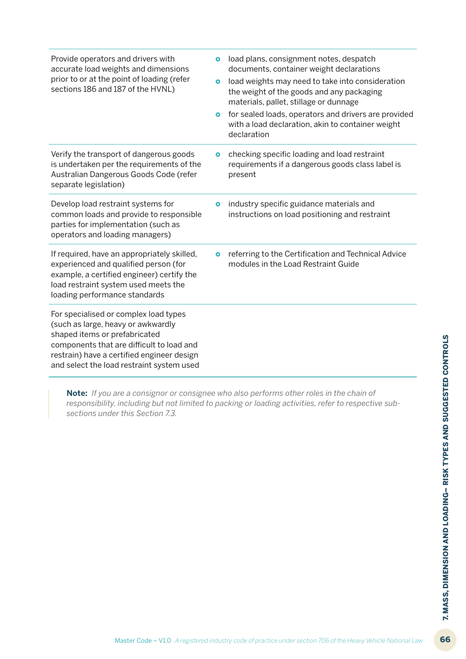| Provide operators and drivers with<br>accurate load weights and dimensions<br>prior to or at the point of loading (refer<br>sections 186 and 187 of the HVNL)                                                                                        | O<br>$\bullet$<br>$\bullet$ | load plans, consignment notes, despatch<br>documents, container weight declarations<br>load weights may need to take into consideration<br>the weight of the goods and any packaging<br>materials, pallet, stillage or dunnage<br>for sealed loads, operators and drivers are provided<br>with a load declaration, akin to container weight<br>declaration |
|------------------------------------------------------------------------------------------------------------------------------------------------------------------------------------------------------------------------------------------------------|-----------------------------|------------------------------------------------------------------------------------------------------------------------------------------------------------------------------------------------------------------------------------------------------------------------------------------------------------------------------------------------------------|
| Verify the transport of dangerous goods<br>is undertaken per the requirements of the<br>Australian Dangerous Goods Code (refer<br>separate legislation)                                                                                              | $\bullet$                   | checking specific loading and load restraint<br>requirements if a dangerous goods class label is<br>present                                                                                                                                                                                                                                                |
| Develop load restraint systems for<br>common loads and provide to responsible<br>parties for implementation (such as<br>operators and loading managers)                                                                                              | $\bullet$                   | industry specific guidance materials and<br>instructions on load positioning and restraint                                                                                                                                                                                                                                                                 |
| If required, have an appropriately skilled,<br>experienced and qualified person (for<br>example, a certified engineer) certify the<br>load restraint system used meets the<br>loading performance standards                                          | $\bullet$                   | referring to the Certification and Technical Advice<br>modules in the Load Restraint Guide                                                                                                                                                                                                                                                                 |
| For specialised or complex load types<br>(such as large, heavy or awkwardly<br>shaped items or prefabricated<br>components that are difficult to load and<br>restrain) have a certified engineer design<br>and select the load restraint system used |                             |                                                                                                                                                                                                                                                                                                                                                            |

**Note:** *If you are a consignor or consignee who also performs other roles in the chain of responsibility, including but not limited to packing or loading activities, refer to respective subsections under this Section 7.3.*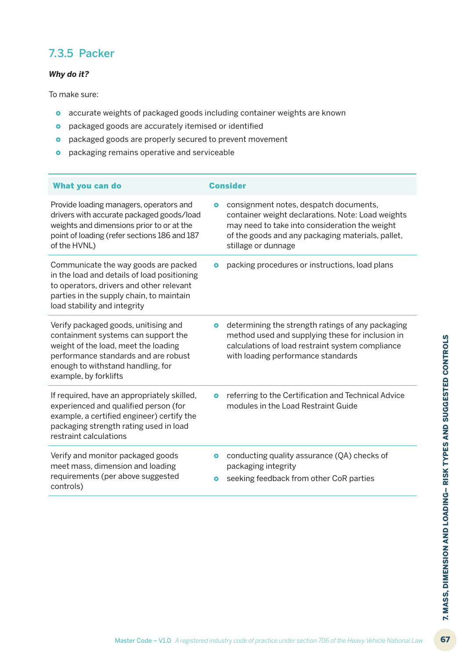### 7.3.5 Packer

#### *Why do it?*

- **o** accurate weights of packaged goods including container weights are known
- **o** packaged goods are accurately itemised or identified
- **o** packaged goods are properly secured to prevent movement
- **o** packaging remains operative and serviceable

| What you can do                                                                                                                                                                                                           |                        | <b>Consider</b>                                                                                                                                                                                                           |
|---------------------------------------------------------------------------------------------------------------------------------------------------------------------------------------------------------------------------|------------------------|---------------------------------------------------------------------------------------------------------------------------------------------------------------------------------------------------------------------------|
| Provide loading managers, operators and<br>drivers with accurate packaged goods/load<br>weights and dimensions prior to or at the<br>point of loading (refer sections 186 and 187<br>of the HVNL)                         | $\bullet$              | consignment notes, despatch documents,<br>container weight declarations. Note: Load weights<br>may need to take into consideration the weight<br>of the goods and any packaging materials, pallet,<br>stillage or dunnage |
| Communicate the way goods are packed<br>in the load and details of load positioning<br>to operators, drivers and other relevant<br>parties in the supply chain, to maintain<br>load stability and integrity               | $\bullet$              | packing procedures or instructions, load plans                                                                                                                                                                            |
| Verify packaged goods, unitising and<br>containment systems can support the<br>weight of the load, meet the loading<br>performance standards and are robust<br>enough to withstand handling, for<br>example, by forklifts | $\bullet$              | determining the strength ratings of any packaging<br>method used and supplying these for inclusion in<br>calculations of load restraint system compliance<br>with loading performance standards                           |
| If required, have an appropriately skilled,<br>experienced and qualified person (for<br>example, a certified engineer) certify the<br>packaging strength rating used in load<br>restraint calculations                    | $\bullet$              | referring to the Certification and Technical Advice<br>modules in the Load Restraint Guide                                                                                                                                |
| Verify and monitor packaged goods<br>meet mass, dimension and loading<br>requirements (per above suggested<br>controls)                                                                                                   | $\bullet$<br>$\bullet$ | conducting quality assurance (QA) checks of<br>packaging integrity<br>seeking feedback from other CoR parties                                                                                                             |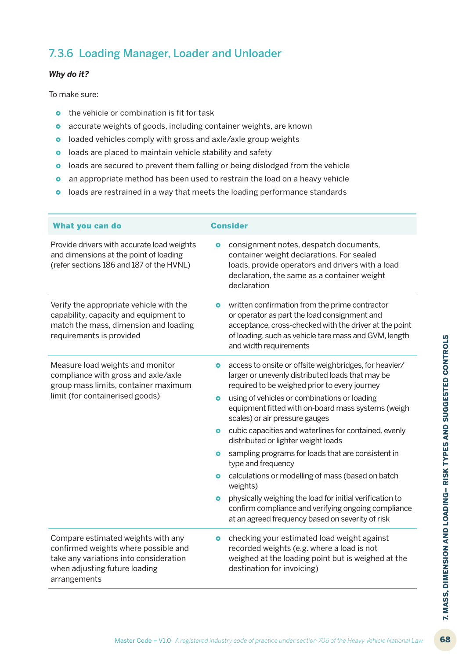# 7.3.6 Loading Manager, Loader and Unloader

#### *Why do it?*

- $\bullet$  the vehicle or combination is fit for task
- **o** accurate weights of goods, including container weights, are known
- **o** loaded vehicles comply with gross and axle/axle group weights
- **o** loads are placed to maintain vehicle stability and safety
- **o** loads are secured to prevent them falling or being dislodged from the vehicle
- **o** an appropriate method has been used to restrain the load on a heavy vehicle
- **o** loads are restrained in a way that meets the loading performance standards

| What you can do                                                                                                                                                       | <b>Consider</b>                                                                                                                                                                                                                                                                                                                                                                                                                                                                                                                                                                                                                                                                                                                                                                                       |
|-----------------------------------------------------------------------------------------------------------------------------------------------------------------------|-------------------------------------------------------------------------------------------------------------------------------------------------------------------------------------------------------------------------------------------------------------------------------------------------------------------------------------------------------------------------------------------------------------------------------------------------------------------------------------------------------------------------------------------------------------------------------------------------------------------------------------------------------------------------------------------------------------------------------------------------------------------------------------------------------|
| Provide drivers with accurate load weights<br>and dimensions at the point of loading<br>(refer sections 186 and 187 of the HVNL)                                      | consignment notes, despatch documents,<br>$\bullet$<br>container weight declarations. For sealed<br>loads, provide operators and drivers with a load<br>declaration, the same as a container weight<br>declaration                                                                                                                                                                                                                                                                                                                                                                                                                                                                                                                                                                                    |
| Verify the appropriate vehicle with the<br>capability, capacity and equipment to<br>match the mass, dimension and loading<br>requirements is provided                 | written confirmation from the prime contractor<br>$\bullet$<br>or operator as part the load consignment and<br>acceptance, cross-checked with the driver at the point<br>of loading, such as vehicle tare mass and GVM, length<br>and width requirements                                                                                                                                                                                                                                                                                                                                                                                                                                                                                                                                              |
| Measure load weights and monitor<br>compliance with gross and axle/axle<br>group mass limits, container maximum<br>limit (for containerised goods)                    | access to onsite or offsite weighbridges, for heavier/<br>$\bullet$<br>larger or unevenly distributed loads that may be<br>required to be weighed prior to every journey<br>using of vehicles or combinations or loading<br>$\bullet$<br>equipment fitted with on-board mass systems (weigh<br>scales) or air pressure gauges<br>cubic capacities and waterlines for contained, evenly<br>$\bullet$<br>distributed or lighter weight loads<br>sampling programs for loads that are consistent in<br>$\bullet$<br>type and frequency<br>calculations or modelling of mass (based on batch<br>$\bullet$<br>weights)<br>physically weighing the load for initial verification to<br>$\bullet$<br>confirm compliance and verifying ongoing compliance<br>at an agreed frequency based on severity of risk |
| Compare estimated weights with any<br>confirmed weights where possible and<br>take any variations into consideration<br>when adjusting future loading<br>arrangements | checking your estimated load weight against<br>$\bullet$<br>recorded weights (e.g. where a load is not<br>weighed at the loading point but is weighed at the<br>destination for invoicing)                                                                                                                                                                                                                                                                                                                                                                                                                                                                                                                                                                                                            |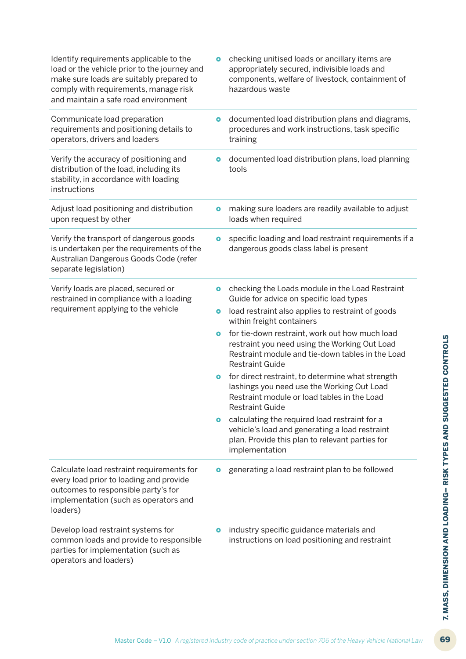| Identify requirements applicable to the<br>load or the vehicle prior to the journey and<br>make sure loads are suitably prepared to<br>comply with requirements, manage risk<br>and maintain a safe road environment | $\bullet$              | checking unitised loads or ancillary items are<br>appropriately secured, indivisible loads and<br>components, welfare of livestock, containment of<br>hazardous waste                                      |
|----------------------------------------------------------------------------------------------------------------------------------------------------------------------------------------------------------------------|------------------------|------------------------------------------------------------------------------------------------------------------------------------------------------------------------------------------------------------|
| Communicate load preparation<br>requirements and positioning details to<br>operators, drivers and loaders                                                                                                            | $\bullet$              | documented load distribution plans and diagrams,<br>procedures and work instructions, task specific<br>training                                                                                            |
| Verify the accuracy of positioning and<br>distribution of the load, including its<br>stability, in accordance with loading<br>instructions                                                                           | $\bullet$              | documented load distribution plans, load planning<br>tools                                                                                                                                                 |
| Adjust load positioning and distribution<br>upon request by other                                                                                                                                                    | $\bullet$              | making sure loaders are readily available to adjust<br>loads when required                                                                                                                                 |
| Verify the transport of dangerous goods<br>is undertaken per the requirements of the<br>Australian Dangerous Goods Code (refer<br>separate legislation)                                                              | $\bullet$              | specific loading and load restraint requirements if a<br>dangerous goods class label is present                                                                                                            |
| Verify loads are placed, secured or<br>restrained in compliance with a loading<br>requirement applying to the vehicle                                                                                                | $\bullet$<br>$\bullet$ | checking the Loads module in the Load Restraint<br>Guide for advice on specific load types<br>load restraint also applies to restraint of goods                                                            |
|                                                                                                                                                                                                                      | $\bullet$              | within freight containers<br>for tie-down restraint, work out how much load<br>restraint you need using the Working Out Load<br>Restraint module and tie-down tables in the Load<br><b>Restraint Guide</b> |
|                                                                                                                                                                                                                      | $\bullet$              | for direct restraint, to determine what strength<br>lashings you need use the Working Out Load<br>Restraint module or load tables in the Load<br><b>Restraint Guide</b>                                    |
|                                                                                                                                                                                                                      | $\bullet$              | calculating the required load restraint for a<br>vehicle's load and generating a load restraint<br>plan. Provide this plan to relevant parties for<br>implementation                                       |
| Calculate load restraint requirements for<br>every load prior to loading and provide<br>outcomes to responsible party's for<br>implementation (such as operators and<br>loaders)                                     | $\bullet$              | generating a load restraint plan to be followed                                                                                                                                                            |
| Develop load restraint systems for<br>common loads and provide to responsible<br>parties for implementation (such as<br>operators and loaders)                                                                       | $\bullet$              | industry specific guidance materials and<br>instructions on load positioning and restraint                                                                                                                 |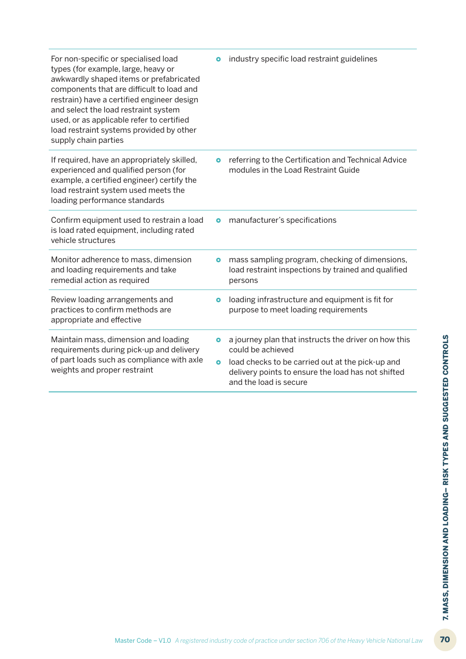| For non-specific or specialised load<br>types (for example, large, heavy or<br>awkwardly shaped items or prefabricated<br>components that are difficult to load and<br>restrain) have a certified engineer design<br>and select the load restraint system<br>used, or as applicable refer to certified<br>load restraint systems provided by other<br>supply chain parties | ۰         | industry specific load restraint guidelines                                                                                      |
|----------------------------------------------------------------------------------------------------------------------------------------------------------------------------------------------------------------------------------------------------------------------------------------------------------------------------------------------------------------------------|-----------|----------------------------------------------------------------------------------------------------------------------------------|
| If required, have an appropriately skilled,<br>experienced and qualified person (for<br>example, a certified engineer) certify the<br>load restraint system used meets the<br>loading performance standards                                                                                                                                                                | $\bullet$ | referring to the Certification and Technical Advice<br>modules in the Load Restraint Guide                                       |
| Confirm equipment used to restrain a load<br>is load rated equipment, including rated<br>vehicle structures                                                                                                                                                                                                                                                                | $\bullet$ | manufacturer's specifications                                                                                                    |
| Monitor adherence to mass, dimension<br>and loading requirements and take<br>remedial action as required                                                                                                                                                                                                                                                                   | O         | mass sampling program, checking of dimensions,<br>load restraint inspections by trained and qualified<br>persons                 |
| Review loading arrangements and<br>practices to confirm methods are<br>appropriate and effective                                                                                                                                                                                                                                                                           | $\bullet$ | loading infrastructure and equipment is fit for<br>purpose to meet loading requirements                                          |
| Maintain mass, dimension and loading<br>requirements during pick-up and delivery<br>of part loads such as compliance with axle<br>weights and proper restraint                                                                                                                                                                                                             | $\bullet$ | a journey plan that instructs the driver on how this<br>could be achieved                                                        |
|                                                                                                                                                                                                                                                                                                                                                                            | $\bullet$ | load checks to be carried out at the pick-up and<br>delivery points to ensure the load has not shifted<br>and the load is secure |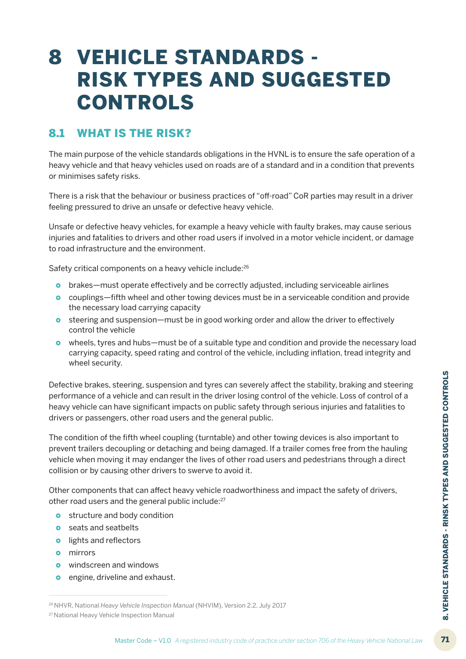# 8 VEHICLE STANDARDS - RISK TYPES AND SUGGESTED CONTROLS

### 8.1 WHAT IS THE RISK?

The main purpose of the vehicle standards obligations in the HVNL is to ensure the safe operation of a heavy vehicle and that heavy vehicles used on roads are of a standard and in a condition that prevents or minimises safety risks.

There is a risk that the behaviour or business practices of "off-road" CoR parties may result in a driver feeling pressured to drive an unsafe or defective heavy vehicle.

Unsafe or defective heavy vehicles, for example a heavy vehicle with faulty brakes, may cause serious injuries and fatalities to drivers and other road users if involved in a motor vehicle incident, or damage to road infrastructure and the environment.

Safety critical components on a heavy vehicle include:<sup>26</sup>

- **•** brakes—must operate effectively and be correctly adjusted, including serviceable airlines
- **•** couplings—fifth wheel and other towing devices must be in a serviceable condition and provide the necessary load carrying capacity
- **o** steering and suspension—must be in good working order and allow the driver to effectively control the vehicle
- **•** wheels, tyres and hubs—must be of a suitable type and condition and provide the necessary load carrying capacity, speed rating and control of the vehicle, including inflation, tread integrity and wheel security.

Defective brakes, steering, suspension and tyres can severely affect the stability, braking and steering performance of a vehicle and can result in the driver losing control of the vehicle. Loss of control of a heavy vehicle can have significant impacts on public safety through serious injuries and fatalities to drivers or passengers, other road users and the general public.

The condition of the fifth wheel coupling (turntable) and other towing devices is also important to prevent trailers decoupling or detaching and being damaged. If a trailer comes free from the hauling vehicle when moving it may endanger the lives of other road users and pedestrians through a direct collision or by causing other drivers to swerve to avoid it.

Other components that can affect heavy vehicle roadworthiness and impact the safety of drivers, other road users and the general public include:<sup>27</sup>

- **o** structure and body condition
- **o** seats and seatbelts
- **o** lights and reflectors
- **o** mirrors
- **o** windscreen and windows
- **•** engine, driveline and exhaust.

<sup>26</sup> NHVR, National *Heavy Vehicle Inspection Manual* (NHVIM), Version 2.2, July 2017

<sup>27</sup> National Heavy Vehicle Inspection Manual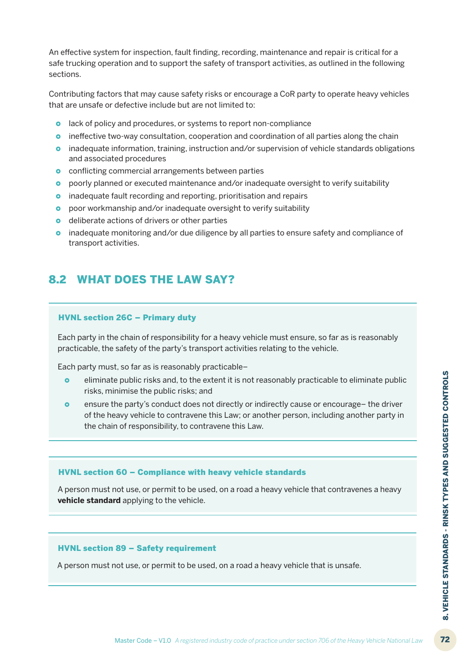An effective system for inspection, fault finding, recording, maintenance and repair is critical for a safe trucking operation and to support the safety of transport activities, as outlined in the following sections.

Contributing factors that may cause safety risks or encourage a CoR party to operate heavy vehicles that are unsafe or defective include but are not limited to:

- **o** lack of policy and procedures, or systems to report non-compliance
- **•** ineffective two-way consultation, cooperation and coordination of all parties along the chain
- **o** inadequate information, training, instruction and/or supervision of vehicle standards obligations and associated procedures
- **•** conflicting commercial arrangements between parties
- **•** poorly planned or executed maintenance and/or inadequate oversight to verify suitability
- **o** inadequate fault recording and reporting, prioritisation and repairs
- **o** poor workmanship and/or inadequate oversight to verify suitability
- **o** deliberate actions of drivers or other parties
- **•** inadequate monitoring and/or due diligence by all parties to ensure safety and compliance of transport activities.

### 8.2 WHAT DOES THE LAW SAY?

#### HVNL section 26C – Primary duty

Each party in the chain of responsibility for a heavy vehicle must ensure, so far as is reasonably practicable, the safety of the party's transport activities relating to the vehicle.

Each party must, so far as is reasonably practicable–

- **•** eliminate public risks and, to the extent it is not reasonably practicable to eliminate public risks, minimise the public risks; and
- **•** ensure the party's conduct does not directly or indirectly cause or encourage– the driver of the heavy vehicle to contravene this Law; or another person, including another party in the chain of responsibility, to contravene this Law.

#### HVNL section 60 – Compliance with heavy vehicle standards

A person must not use, or permit to be used, on a road a heavy vehicle that contravenes a heavy **vehicle standard** applying to the vehicle.

#### HVNL section 89 – Safety requirement

A person must not use, or permit to be used, on a road a heavy vehicle that is unsafe.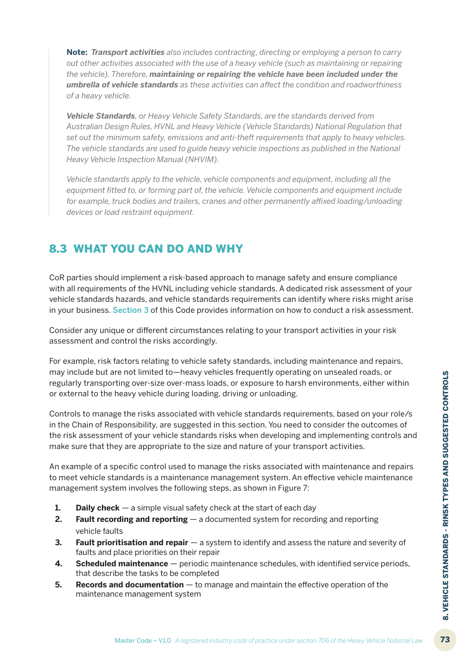**Note:** *Transport activities also includes contracting, directing or employing a person to carry out other activities associated with the use of a heavy vehicle (such as maintaining or repairing the vehicle). Therefore, maintaining or repairing the vehicle have been included under the umbrella of vehicle standards as these activities can affect the condition and roadworthiness of a heavy vehicle.*

*Vehicle Standards, or Heavy Vehicle Safety Standards, are the standards derived from Australian Design Rules, HVNL and Heavy Vehicle (Vehicle Standards) National Regulation that set out the minimum safety, emissions and anti-theft requirements that apply to heavy vehicles. The vehicle standards are used to guide heavy vehicle inspections as published in the National Heavy Vehicle Inspection Manual (NHVIM).*

*Vehicle standards apply to the vehicle, vehicle components and equipment, including all the equipment fitted to, or forming part of, the vehicle. Vehicle components and equipment include for example, truck bodies and trailers, cranes and other permanently affixed loading/unloading devices or load restraint equipment.*

## 8.3 WHAT YOU CAN DO AND WHY

CoR parties should implement a risk-based approach to manage safety and ensure compliance with all requirements of the HVNL including vehicle standards. A dedicated risk assessment of your vehicle standards hazards, and vehicle standards requirements can identify where risks might arise in your business. [Section 3](#page-25-0) of this Code provides information on how to conduct a risk assessment.

Consider any unique or different circumstances relating to your transport activities in your risk assessment and control the risks accordingly.

For example, risk factors relating to vehicle safety standards, including maintenance and repairs, may include but are not limited to—heavy vehicles frequently operating on unsealed roads, or regularly transporting over-size over-mass loads, or exposure to harsh environments, either within or external to the heavy vehicle during loading, driving or unloading.

Controls to manage the risks associated with vehicle standards requirements, based on your role/s in the Chain of Responsibility, are suggested in this section. You need to consider the outcomes of the risk assessment of your vehicle standards risks when developing and implementing controls and make sure that they are appropriate to the size and nature of your transport activities.

An example of a specific control used to manage the risks associated with maintenance and repairs to meet vehicle standards is a maintenance management system. An effective vehicle maintenance management system involves the following steps, as shown in Figure 7:

- **1. Daily check**  a simple visual safety check at the start of each day
- **2. Fault recording and reporting** a documented system for recording and reporting vehicle faults
- **3. Fault prioritisation and repair** a system to identify and assess the nature and severity of faults and place priorities on their repair
- **4. Scheduled maintenance**  periodic maintenance schedules, with identified service periods, that describe the tasks to be completed
- **5. Records and documentation** to manage and maintain the effective operation of the maintenance management system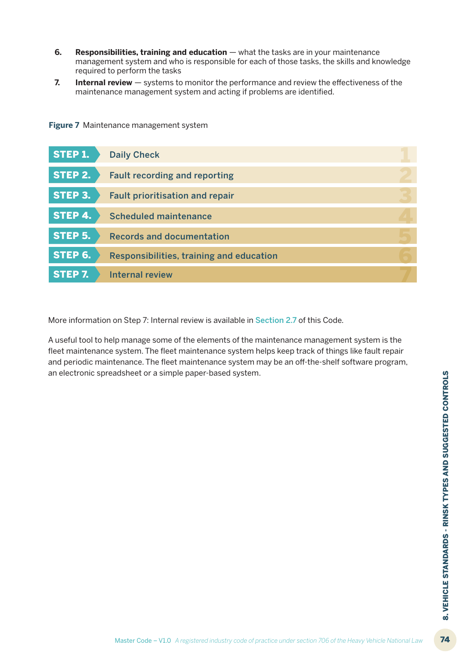- **6.** Responsibilities, training and education what the tasks are in your maintenance management system and who is responsible for each of those tasks, the skills and knowledge required to perform the tasks
- **7. Internal review** systems to monitor the performance and review the effectiveness of the maintenance management system and acting if problems are identified.

#### **Figure 7** Maintenance management system

| <b>STEP 1.</b> | <b>Daily Check</b>                       |  |
|----------------|------------------------------------------|--|
| STEP 2.        | <b>Fault recording and reporting</b>     |  |
| STEP 3.        | <b>Fault prioritisation and repair</b>   |  |
| STEP 4.        | <b>Scheduled maintenance</b>             |  |
| STEP 5.        | <b>Records and documentation</b>         |  |
| STEP 6.        | Responsibilities, training and education |  |
| STEP 7.        | <b>Internal review</b>                   |  |

More information on Step 7: Internal review is available in [Section 2.7](#page-23-0) of this Code.

A useful tool to help manage some of the elements of the maintenance management system is the fleet maintenance system. The fleet maintenance system helps keep track of things like fault repair and periodic maintenance. The fleet maintenance system may be an off-the-shelf software program, an electronic spreadsheet or a simple paper-based system.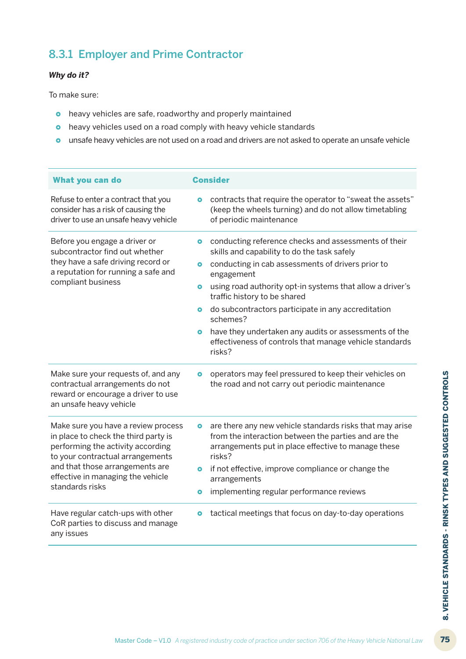## 8.3.1 Employer and Prime Contractor

### *Why do it?*

- **o** heavy vehicles are safe, roadworthy and properly maintained
- **o** heavy vehicles used on a road comply with heavy vehicle standards
- o unsafe heavy vehicles are not used on a road and drivers are not asked to operate an unsafe vehicle

| What you can do                                                                                                                                                                                                                                 | <b>Consider</b>                                                                                                                                                                                                                                                                                                                                                                                                                                                                                                                      |
|-------------------------------------------------------------------------------------------------------------------------------------------------------------------------------------------------------------------------------------------------|--------------------------------------------------------------------------------------------------------------------------------------------------------------------------------------------------------------------------------------------------------------------------------------------------------------------------------------------------------------------------------------------------------------------------------------------------------------------------------------------------------------------------------------|
| Refuse to enter a contract that you<br>consider has a risk of causing the<br>driver to use an unsafe heavy vehicle                                                                                                                              | contracts that require the operator to "sweat the assets"<br>O<br>(keep the wheels turning) and do not allow timetabling<br>of periodic maintenance                                                                                                                                                                                                                                                                                                                                                                                  |
| Before you engage a driver or<br>subcontractor find out whether<br>they have a safe driving record or<br>a reputation for running a safe and<br>compliant business                                                                              | conducting reference checks and assessments of their<br>$\bullet$<br>skills and capability to do the task safely<br>conducting in cab assessments of drivers prior to<br>$\bullet$<br>engagement<br>using road authority opt-in systems that allow a driver's<br>$\bullet$<br>traffic history to be shared<br>do subcontractors participate in any accreditation<br>$\bullet$<br>schemes?<br>have they undertaken any audits or assessments of the<br>$\bullet$<br>effectiveness of controls that manage vehicle standards<br>risks? |
| Make sure your requests of, and any<br>contractual arrangements do not<br>reward or encourage a driver to use<br>an unsafe heavy vehicle                                                                                                        | operators may feel pressured to keep their vehicles on<br>$\bullet$<br>the road and not carry out periodic maintenance                                                                                                                                                                                                                                                                                                                                                                                                               |
| Make sure you have a review process<br>in place to check the third party is<br>performing the activity according<br>to your contractual arrangements<br>and that those arrangements are<br>effective in managing the vehicle<br>standards risks | are there any new vehicle standards risks that may arise<br>$\bullet$<br>from the interaction between the parties and are the<br>arrangements put in place effective to manage these<br>risks?<br>if not effective, improve compliance or change the<br>$\bullet$<br>arrangements<br>implementing regular performance reviews<br>$\bullet$                                                                                                                                                                                           |
| Have regular catch-ups with other<br>CoR parties to discuss and manage<br>any issues                                                                                                                                                            | tactical meetings that focus on day-to-day operations<br>$\bullet$                                                                                                                                                                                                                                                                                                                                                                                                                                                                   |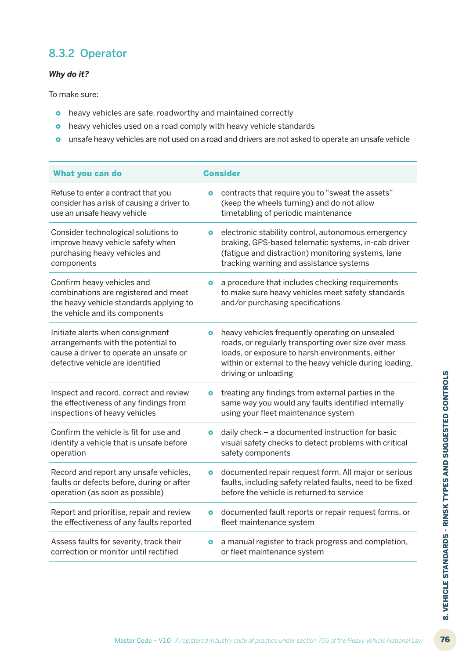### 8.3.2 Operator

### *Why do it?*

- **o** heavy vehicles are safe, roadworthy and maintained correctly
- **o** heavy vehicles used on a road comply with heavy vehicle standards
- **o** unsafe heavy vehicles are not used on a road and drivers are not asked to operate an unsafe vehicle

| What you can do                                                                                                                                      | <b>Consider</b>                                                                                                                                                                                                                                             |
|------------------------------------------------------------------------------------------------------------------------------------------------------|-------------------------------------------------------------------------------------------------------------------------------------------------------------------------------------------------------------------------------------------------------------|
| Refuse to enter a contract that you<br>consider has a risk of causing a driver to<br>use an unsafe heavy vehicle                                     | contracts that require you to "sweat the assets"<br>$\bullet$<br>(keep the wheels turning) and do not allow<br>timetabling of periodic maintenance                                                                                                          |
| Consider technological solutions to<br>improve heavy vehicle safety when<br>purchasing heavy vehicles and<br>components                              | electronic stability control, autonomous emergency<br>$\bullet$<br>braking, GPS-based telematic systems, in-cab driver<br>(fatigue and distraction) monitoring systems, lane<br>tracking warning and assistance systems                                     |
| Confirm heavy vehicles and<br>combinations are registered and meet<br>the heavy vehicle standards applying to<br>the vehicle and its components      | a procedure that includes checking requirements<br>۰<br>to make sure heavy vehicles meet safety standards<br>and/or purchasing specifications                                                                                                               |
| Initiate alerts when consignment<br>arrangements with the potential to<br>cause a driver to operate an unsafe or<br>defective vehicle are identified | heavy vehicles frequently operating on unsealed<br>$\bullet$<br>roads, or regularly transporting over size over mass<br>loads, or exposure to harsh environments, either<br>within or external to the heavy vehicle during loading,<br>driving or unloading |
| Inspect and record, correct and review<br>the effectiveness of any findings from<br>inspections of heavy vehicles                                    | treating any findings from external parties in the<br>$\bullet$<br>same way you would any faults identified internally<br>using your fleet maintenance system                                                                                               |
| Confirm the vehicle is fit for use and<br>identify a vehicle that is unsafe before<br>operation                                                      | daily check - a documented instruction for basic<br>$\bullet$<br>visual safety checks to detect problems with critical<br>safety components                                                                                                                 |
| Record and report any unsafe vehicles,<br>faults or defects before, during or after<br>operation (as soon as possible)                               | documented repair request form. All major or serious<br>$\bullet$<br>faults, including safety related faults, need to be fixed<br>before the vehicle is returned to service                                                                                 |
| Report and prioritise, repair and review<br>the effectiveness of any faults reported                                                                 | documented fault reports or repair request forms, or<br>$\bullet$<br>fleet maintenance system                                                                                                                                                               |
| Assess faults for severity, track their<br>correction or monitor until rectified                                                                     | a manual register to track progress and completion,<br>O<br>or fleet maintenance system                                                                                                                                                                     |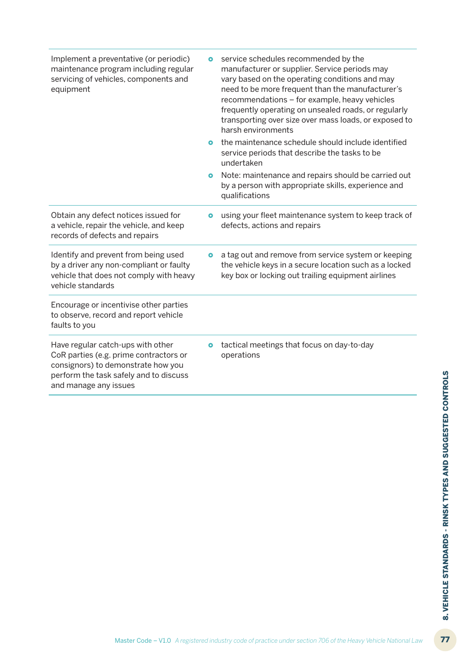| Implement a preventative (or periodic)<br>maintenance program including regular<br>servicing of vehicles, components and<br>equipment                                                | $\bullet$ | service schedules recommended by the<br>manufacturer or supplier. Service periods may<br>vary based on the operating conditions and may<br>need to be more frequent than the manufacturer's<br>recommendations - for example, heavy vehicles<br>frequently operating on unsealed roads, or regularly<br>transporting over size over mass loads, or exposed to<br>harsh environments |
|--------------------------------------------------------------------------------------------------------------------------------------------------------------------------------------|-----------|-------------------------------------------------------------------------------------------------------------------------------------------------------------------------------------------------------------------------------------------------------------------------------------------------------------------------------------------------------------------------------------|
|                                                                                                                                                                                      | $\bullet$ | the maintenance schedule should include identified<br>service periods that describe the tasks to be<br>undertaken                                                                                                                                                                                                                                                                   |
|                                                                                                                                                                                      | $\bullet$ | Note: maintenance and repairs should be carried out<br>by a person with appropriate skills, experience and<br>qualifications                                                                                                                                                                                                                                                        |
| Obtain any defect notices issued for<br>a vehicle, repair the vehicle, and keep<br>records of defects and repairs                                                                    | $\bullet$ | using your fleet maintenance system to keep track of<br>defects, actions and repairs                                                                                                                                                                                                                                                                                                |
| Identify and prevent from being used<br>by a driver any non-compliant or faulty<br>vehicle that does not comply with heavy<br>vehicle standards                                      | O         | a tag out and remove from service system or keeping<br>the vehicle keys in a secure location such as a locked<br>key box or locking out trailing equipment airlines                                                                                                                                                                                                                 |
| Encourage or incentivise other parties<br>to observe, record and report vehicle<br>faults to you                                                                                     |           |                                                                                                                                                                                                                                                                                                                                                                                     |
| Have regular catch-ups with other<br>CoR parties (e.g. prime contractors or<br>consignors) to demonstrate how you<br>perform the task safely and to discuss<br>and manage any issues | $\bullet$ | tactical meetings that focus on day-to-day<br>operations                                                                                                                                                                                                                                                                                                                            |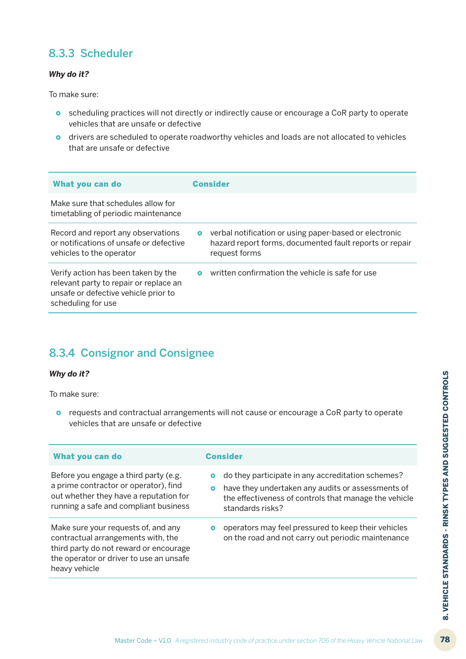### 8.3.3 Scheduler

### *Why do it?*

To make sure:

- o scheduling practices will not directly or indirectly cause or encourage a CoR party to operate vehicles that are unsafe or defective
- **o** drivers are scheduled to operate roadworthy vehicles and loads are not allocated to vehicles that are unsafe or defective

| <b>Consider</b>                                                                                                                                 |
|-------------------------------------------------------------------------------------------------------------------------------------------------|
|                                                                                                                                                 |
| verbal notification or using paper-based or electronic<br>$\bullet$<br>hazard report forms, documented fault reports or repair<br>request forms |
| written confirmation the vehicle is safe for use<br>$\bullet$                                                                                   |
|                                                                                                                                                 |

### 8.3.4 Consignor and Consignee

### *Why do it?*

To make sure:

**o** requests and contractual arrangements will not cause or encourage a CoR party to operate vehicles that are unsafe or defective

| What you can do                                                                                                                                                                 | <b>Consider</b>                                                                                                                                                                                               |
|---------------------------------------------------------------------------------------------------------------------------------------------------------------------------------|---------------------------------------------------------------------------------------------------------------------------------------------------------------------------------------------------------------|
| Before you engage a third party (e.g.<br>a prime contractor or operator), find<br>out whether they have a reputation for<br>running a safe and compliant business               | do they participate in any accreditation schemes?<br>$\bullet$<br>have they undertaken any audits or assessments of<br>$\bullet$<br>the effectiveness of controls that manage the vehicle<br>standards risks? |
| Make sure your requests of, and any<br>contractual arrangements with, the<br>third party do not reward or encourage<br>the operator or driver to use an unsafe<br>heavy vehicle | operators may feel pressured to keep their vehicles<br>$\bullet$<br>on the road and not carry out periodic maintenance                                                                                        |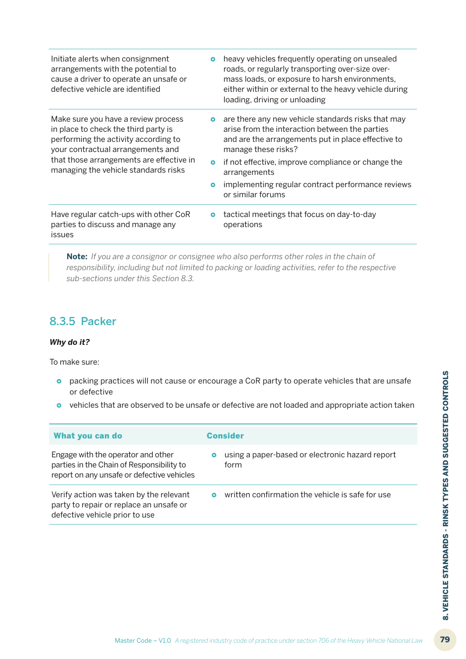| Initiate alerts when consignment<br>arrangements with the potential to<br>cause a driver to operate an unsafe or<br>defective vehicle are identified                                                                                         | $\bullet$                           | heavy vehicles frequently operating on unsealed<br>roads, or regularly transporting over-size over-<br>mass loads, or exposure to harsh environments,<br>either within or external to the heavy vehicle during<br>loading, driving or unloading                                                                                   |
|----------------------------------------------------------------------------------------------------------------------------------------------------------------------------------------------------------------------------------------------|-------------------------------------|-----------------------------------------------------------------------------------------------------------------------------------------------------------------------------------------------------------------------------------------------------------------------------------------------------------------------------------|
| Make sure you have a review process<br>in place to check the third party is<br>performing the activity according to<br>your contractual arrangements and<br>that those arrangements are effective in<br>managing the vehicle standards risks | $\bullet$<br>$\bullet$<br>$\bullet$ | are there any new vehicle standards risks that may<br>arise from the interaction between the parties<br>and are the arrangements put in place effective to<br>manage these risks?<br>if not effective, improve compliance or change the<br>arrangements<br>implementing regular contract performance reviews<br>or similar forums |
| Have regular catch-ups with other CoR<br>parties to discuss and manage any<br><i>issues</i>                                                                                                                                                  | $\bullet$                           | tactical meetings that focus on day-to-day<br>operations                                                                                                                                                                                                                                                                          |

**Note:** *If you are a consignor or consignee who also performs other roles in the chain of responsibility, including but not limited to packing or loading activities, refer to the respective sub-sections under this Section 8.3.*

### 8.3.5 Packer

#### *Why do it?*

- **o** packing practices will not cause or encourage a CoR party to operate vehicles that are unsafe or defective
- **o** vehicles that are observed to be unsafe or defective are not loaded and appropriate action taken

| What you can do                                                                                                               | Consider                                                             |
|-------------------------------------------------------------------------------------------------------------------------------|----------------------------------------------------------------------|
| Engage with the operator and other<br>parties in the Chain of Responsibility to<br>report on any unsafe or defective vehicles | using a paper-based or electronic hazard report<br>$\bullet$<br>form |
| Verify action was taken by the relevant<br>party to repair or replace an unsafe or<br>defective vehicle prior to use          | written confirmation the vehicle is safe for use<br>$\bullet$        |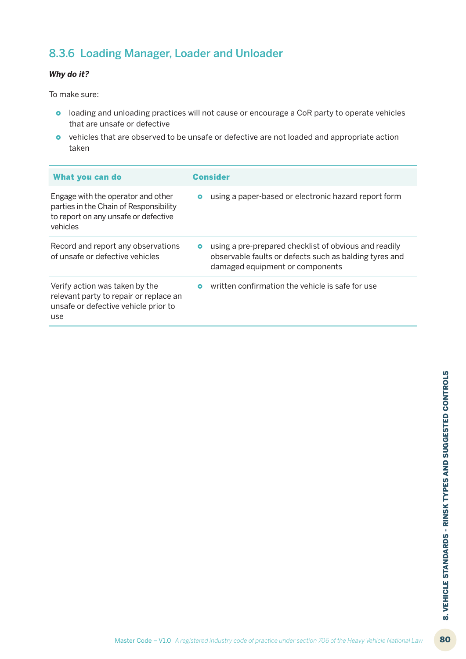# 8.3.6 Loading Manager, Loader and Unloader

### *Why do it?*

- **o** loading and unloading practices will not cause or encourage a CoR party to operate vehicles that are unsafe or defective
- **o** vehicles that are observed to be unsafe or defective are not loaded and appropriate action taken

| What you can do                                                                                                                  | Consider                                                                                                                                                        |
|----------------------------------------------------------------------------------------------------------------------------------|-----------------------------------------------------------------------------------------------------------------------------------------------------------------|
| Engage with the operator and other<br>parties in the Chain of Responsibility<br>to report on any unsafe or defective<br>vehicles | using a paper-based or electronic hazard report form<br>$\bullet$                                                                                               |
| Record and report any observations<br>of unsafe or defective vehicles                                                            | using a pre-prepared checklist of obvious and readily<br>$\bullet$<br>observable faults or defects such as balding tyres and<br>damaged equipment or components |
| Verify action was taken by the<br>relevant party to repair or replace an<br>unsafe or defective vehicle prior to<br>use          | written confirmation the vehicle is safe for use<br>$\bullet$                                                                                                   |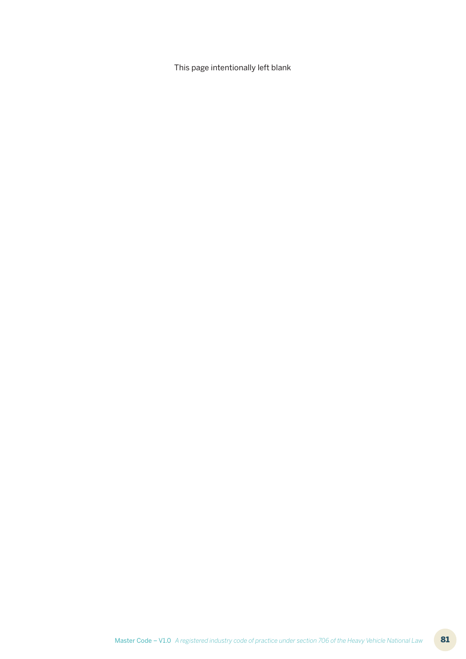This page intentionally left blank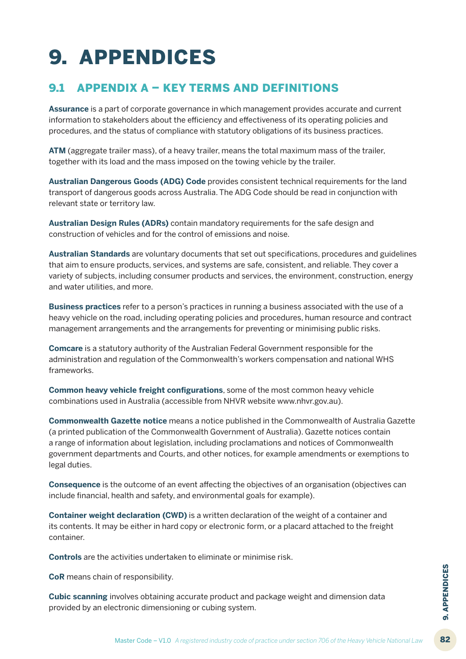# 9. APPENDICES

### 9.1 APPENDIX A – KEY TERMS AND DEFINITIONS

**Assurance** is a part of corporate governance in which management provides accurate and current information to stakeholders about the efficiency and effectiveness of its operating policies and procedures, and the status of compliance with statutory obligations of its business practices.

**ATM** (aggregate trailer mass), of a heavy trailer, means the total maximum mass of the trailer, together with its load and the mass imposed on the towing vehicle by the trailer.

**Australian Dangerous Goods (ADG) Code** provides consistent technical requirements for the land transport of dangerous goods across Australia. The ADG Code should be read in conjunction with relevant state or territory law.

**Australian Design Rules (ADRs)** contain mandatory requirements for the safe design and construction of vehicles and for the control of emissions and noise.

**Australian Standards** are voluntary documents that set out specifications, procedures and guidelines that aim to ensure products, services, and systems are safe, consistent, and reliable. They cover a variety of subjects, including consumer products and services, the environment, construction, energy and water utilities, and more.

**Business practices** refer to a person's practices in running a business associated with the use of a heavy vehicle on the road, including operating policies and procedures, human resource and contract management arrangements and the arrangements for preventing or minimising public risks.

**Comcare** is a statutory authority of the Australian Federal Government responsible for the administration and regulation of the Commonwealth's workers compensation and national WHS frameworks.

**Common heavy vehicle freight configurations**, some of the most common heavy vehicle combinations used in Australia (accessible from NHVR website www.nhvr.gov.au).

**Commonwealth Gazette notice** means a notice published in the Commonwealth of Australia Gazette (a printed publication of the Commonwealth Government of Australia). Gazette notices contain a range of information about legislation, including proclamations and notices of Commonwealth government departments and Courts, and other notices, for example amendments or exemptions to legal duties.

**Consequence** is the outcome of an event affecting the objectives of an organisation (objectives can include financial, health and safety, and environmental goals for example).

**Container weight declaration (CWD)** is a written declaration of the weight of a container and its contents. It may be either in hard copy or electronic form, or a placard attached to the freight container.

**Controls** are the activities undertaken to eliminate or minimise risk.

**CoR** means chain of responsibility.

**Cubic scanning** involves obtaining accurate product and package weight and dimension data provided by an electronic dimensioning or cubing system.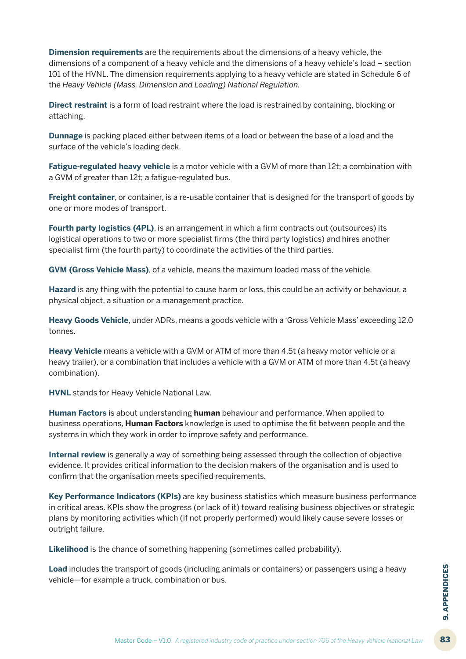**Dimension requirements** are the requirements about the dimensions of a heavy vehicle, the dimensions of a component of a heavy vehicle and the dimensions of a heavy vehicle's load – section 101 of the HVNL. The dimension requirements applying to a heavy vehicle are stated in Schedule 6 of the *Heavy Vehicle (Mass, Dimension and Loading) National Regulation.*

**Direct restraint** is a form of load restraint where the load is restrained by containing, blocking or attaching.

**Dunnage** is packing placed either between items of a load or between the base of a load and the surface of the vehicle's loading deck.

**Fatigue-regulated heavy vehicle** is a motor vehicle with a GVM of more than 12t; a combination with a GVM of greater than 12t; a fatigue-regulated bus.

**Freight container**, or container, is a re-usable container that is designed for the transport of goods by one or more modes of transport.

**Fourth party logistics (4PL)**, is an arrangement in which a firm contracts out (outsources) its logistical operations to two or more specialist firms (the third party logistics) and hires another specialist firm (the fourth party) to coordinate the activities of the third parties.

**GVM (Gross Vehicle Mass)**, of a vehicle, means the maximum loaded mass of the vehicle.

**Hazard** is any thing with the potential to cause harm or loss, this could be an activity or behaviour, a physical object, a situation or a management practice.

**Heavy Goods Vehicle**, under ADRs, means a goods vehicle with a 'Gross Vehicle Mass' exceeding 12.0 tonnes.

**Heavy Vehicle** means a vehicle with a GVM or ATM of more than 4.5t (a heavy motor vehicle or a heavy trailer), or a combination that includes a vehicle with a GVM or ATM of more than 4.5t (a heavy combination).

**HVNL** stands for Heavy Vehicle National Law.

**Human Factors** is about understanding **human** behaviour and performance. When applied to business operations, **Human Factors** knowledge is used to optimise the fit between people and the systems in which they work in order to improve safety and performance.

**Internal review** is generally a way of something being assessed through the collection of objective evidence. It provides critical information to the decision makers of the organisation and is used to confirm that the organisation meets specified requirements.

**Key Performance Indicators (KPIs)** are key business statistics which measure business performance in critical areas. KPIs show the progress (or lack of it) toward realising business objectives or strategic plans by monitoring activities which (if not properly performed) would likely cause severe losses or outright failure.

**Likelihood** is the chance of something happening (sometimes called probability).

**Load** includes the transport of goods (including animals or containers) or passengers using a heavy vehicle—for example a truck, combination or bus.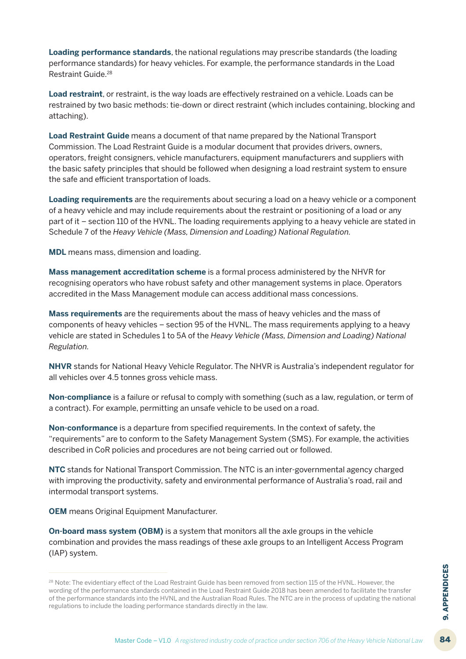**Loading performance standards**, the national regulations may prescribe standards (the loading performance standards) for heavy vehicles. For example, the performance standards in the Load Restraint Guide. 28

**Load restraint**, or restraint, is the way loads are effectively restrained on a vehicle. Loads can be restrained by two basic methods: tie-down or direct restraint (which includes containing, blocking and attaching).

**Load Restraint Guide** means a document of that name prepared by the National Transport Commission. The Load Restraint Guide is a modular document that provides drivers, owners, operators, freight consigners, vehicle manufacturers, equipment manufacturers and suppliers with the basic safety principles that should be followed when designing a load restraint system to ensure the safe and efficient transportation of loads.

**Loading requirements** are the requirements about securing a load on a heavy vehicle or a component of a heavy vehicle and may include requirements about the restraint or positioning of a load or any part of it – section 110 of the HVNL. The loading requirements applying to a heavy vehicle are stated in Schedule 7 of the *Heavy Vehicle (Mass, Dimension and Loading) National Regulation.*

**MDL** means mass, dimension and loading.

**Mass management accreditation scheme** is a formal process administered by the NHVR for recognising operators who have robust safety and other management systems in place. Operators accredited in the Mass Management module can access additional mass concessions.

**Mass requirements** are the requirements about the mass of heavy vehicles and the mass of components of heavy vehicles – section 95 of the HVNL. The mass requirements applying to a heavy vehicle are stated in Schedules 1 to 5A of the *Heavy Vehicle (Mass, Dimension and Loading) National Regulation.*

**NHVR** stands for National Heavy Vehicle Regulator. The NHVR is Australia's independent regulator for all vehicles over 4.5 tonnes gross vehicle mass.

**Non-compliance** is a failure or refusal to comply with something (such as a law, regulation, or term of a contract). For example, permitting an unsafe vehicle to be used on a road.

**Non-conformance** is a departure from specified requirements. In the context of safety, the "requirements" are to conform to the Safety Management System (SMS). For example, the activities described in CoR policies and procedures are not being carried out or followed.

**NTC** stands for National Transport Commission. The NTC is an inter-governmental agency charged with improving the productivity, safety and environmental performance of Australia's road, rail and intermodal transport systems.

**OEM** means Original Equipment Manufacturer.

**On-board mass system (OBM)** is a system that monitors all the axle groups in the vehicle combination and provides the mass readings of these axle groups to an Intelligent Access Program (IAP) system.

<sup>&</sup>lt;sup>28</sup> Note: The evidentiary effect of the Load Restraint Guide has been removed from section 115 of the HVNL. However, the wording of the performance standards contained in the Load Restraint Guide 2018 has been amended to facilitate the transfer of the performance standards into the HVNL and the Australian Road Rules. The NTC are in the process of updating the national regulations to include the loading performance standards directly in the law.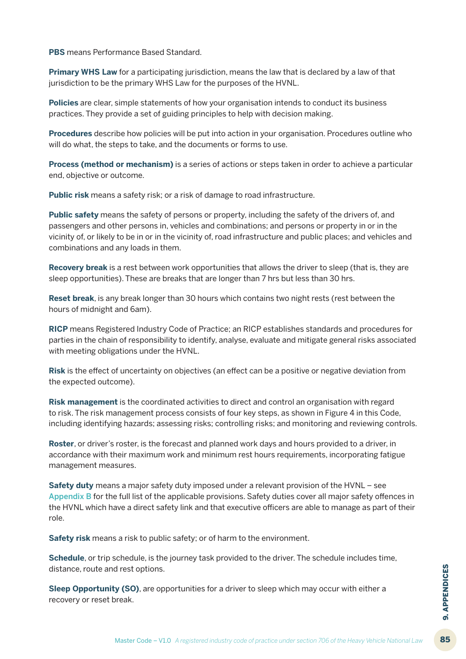**PBS** means Performance Based Standard.

**Primary WHS Law** for a participating jurisdiction, means the law that is declared by a law of that jurisdiction to be the primary WHS Law for the purposes of the HVNL.

**Policies** are clear, simple statements of how your organisation intends to conduct its business practices. They provide a set of guiding principles to help with decision making.

**Procedures** describe how policies will be put into action in your organisation. Procedures outline who will do what, the steps to take, and the documents or forms to use.

**Process (method or mechanism)** is a series of actions or steps taken in order to achieve a particular end, objective or outcome.

**Public risk** means a safety risk; or a risk of damage to road infrastructure.

**Public safety** means the safety of persons or property, including the safety of the drivers of, and passengers and other persons in, vehicles and combinations; and persons or property in or in the vicinity of, or likely to be in or in the vicinity of, road infrastructure and public places; and vehicles and combinations and any loads in them.

**Recovery break** is a rest between work opportunities that allows the driver to sleep (that is, they are sleep opportunities). These are breaks that are longer than 7 hrs but less than 30 hrs.

**Reset break**, is any break longer than 30 hours which contains two night rests (rest between the hours of midnight and 6am).

**RICP** means Registered Industry Code of Practice; an RICP establishes standards and procedures for parties in the chain of responsibility to identify, analyse, evaluate and mitigate general risks associated with meeting obligations under the HVNL.

**Risk** is the effect of uncertainty on objectives (an effect can be a positive or negative deviation from the expected outcome).

**Risk management** is the coordinated activities to direct and control an organisation with regard to risk. The risk management process consists of four key steps, as shown in Figure 4 in this Code, including identifying hazards; assessing risks; controlling risks; and monitoring and reviewing controls.

**Roster**, or driver's roster, is the forecast and planned work days and hours provided to a driver, in accordance with their maximum work and minimum rest hours requirements, incorporating fatigue management measures.

**Safety duty** means a major safety duty imposed under a relevant provision of the HVNL – see [Appendix B](#page-86-0) for the full list of the applicable provisions. Safety duties cover all major safety offences in the HVNL which have a direct safety link and that executive officers are able to manage as part of their role.

**Safety risk** means a risk to public safety; or of harm to the environment.

**Schedule**, or trip schedule, is the journey task provided to the driver. The schedule includes time, distance, route and rest options.

**Sleep Opportunity (SO)**, are opportunities for a driver to sleep which may occur with either a recovery or reset break.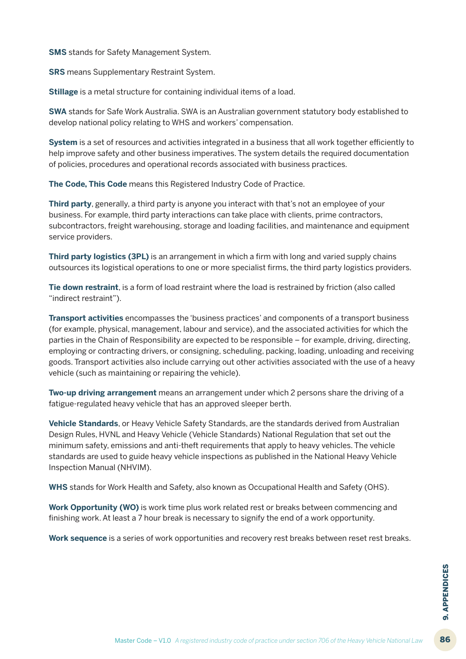**SMS** stands for Safety Management System.

**SRS** means Supplementary Restraint System.

**Stillage** is a metal structure for containing individual items of a load.

**SWA** stands for Safe Work Australia. SWA is an Australian government statutory body established to develop national policy relating to WHS and workers' compensation.

**System** is a set of resources and activities integrated in a business that all work together efficiently to help improve safety and other business imperatives. The system details the required documentation of policies, procedures and operational records associated with business practices.

**The Code, This Code** means this Registered Industry Code of Practice.

**Third party**, generally, a third party is anyone you interact with that's not an employee of your business. For example, third party interactions can take place with clients, prime contractors, subcontractors, freight warehousing, storage and loading facilities, and maintenance and equipment service providers.

**Third party logistics (3PL)** is an arrangement in which a firm with long and varied supply chains outsources its logistical operations to one or more specialist firms, the third party logistics providers.

**Tie down restraint**, is a form of load restraint where the load is restrained by friction (also called "indirect restraint").

**Transport activities** encompasses the 'business practices' and components of a transport business (for example, physical, management, labour and service), and the associated activities for which the parties in the Chain of Responsibility are expected to be responsible – for example, driving, directing, employing or contracting drivers, or consigning, scheduling, packing, loading, unloading and receiving goods. Transport activities also include carrying out other activities associated with the use of a heavy vehicle (such as maintaining or repairing the vehicle).

**Two-up driving arrangement** means an arrangement under which 2 persons share the driving of a fatigue-regulated heavy vehicle that has an approved sleeper berth.

**Vehicle Standards**, or Heavy Vehicle Safety Standards, are the standards derived from Australian Design Rules, HVNL and Heavy Vehicle (Vehicle Standards) National Regulation that set out the minimum safety, emissions and anti-theft requirements that apply to heavy vehicles. The vehicle standards are used to guide heavy vehicle inspections as published in the National Heavy Vehicle Inspection Manual (NHVIM).

**WHS** stands for Work Health and Safety, also known as Occupational Health and Safety (OHS).

**Work Opportunity (WO)** is work time plus work related rest or breaks between commencing and finishing work. At least a 7 hour break is necessary to signify the end of a work opportunity.

**Work sequence** is a series of work opportunities and recovery rest breaks between reset rest breaks.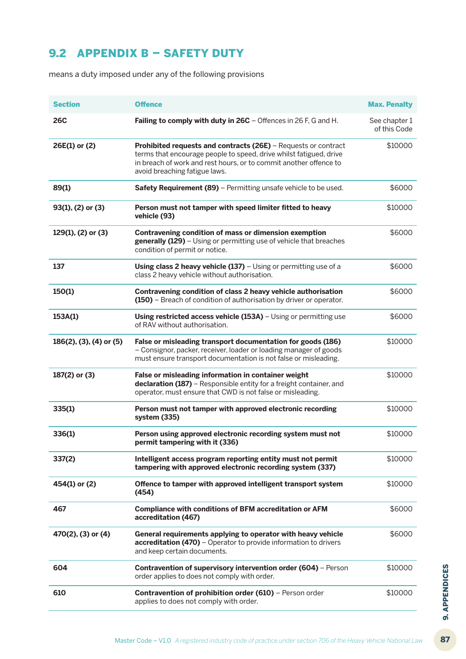### <span id="page-86-0"></span>9.2 APPENDIX B – SAFETY DUTY

means a duty imposed under any of the following provisions

| <b>Section</b>          | <b>Offence</b>                                                                                                                                                                                                                             | <b>Max. Penalty</b>           |
|-------------------------|--------------------------------------------------------------------------------------------------------------------------------------------------------------------------------------------------------------------------------------------|-------------------------------|
| <b>26C</b>              | Failing to comply with duty in 26C - Offences in 26 F, G and H.                                                                                                                                                                            | See chapter 1<br>of this Code |
| 26E(1) or (2)           | Prohibited requests and contracts (26E) - Requests or contract<br>terms that encourage people to speed, drive whilst fatigued, drive<br>in breach of work and rest hours, or to commit another offence to<br>avoid breaching fatigue laws. | \$10000                       |
| 89(1)                   | Safety Requirement (89) - Permitting unsafe vehicle to be used.                                                                                                                                                                            | \$6000                        |
| $93(1), (2)$ or $(3)$   | Person must not tamper with speed limiter fitted to heavy<br>vehicle (93)                                                                                                                                                                  | \$10000                       |
| $129(1)$ , (2) or (3)   | Contravening condition of mass or dimension exemption<br>generally (129) - Using or permitting use of vehicle that breaches<br>condition of permit or notice.                                                                              | \$6000                        |
| 137                     | Using class 2 heavy vehicle $(137)$ – Using or permitting use of a<br>class 2 heavy vehicle without authorisation.                                                                                                                         | \$6000                        |
| 150(1)                  | Contravening condition of class 2 heavy vehicle authorisation<br>(150) - Breach of condition of authorisation by driver or operator.                                                                                                       | \$6000                        |
| 153A(1)                 | Using restricted access vehicle (153A) - Using or permitting use<br>of RAV without authorisation.                                                                                                                                          | \$6000                        |
| 186(2), (3), (4) or (5) | False or misleading transport documentation for goods (186)<br>- Consignor, packer, receiver, loader or loading manager of goods<br>must ensure transport documentation is not false or misleading.                                        | \$10000                       |
| 187(2) or (3)           | False or misleading information in container weight<br>declaration (187) - Responsible entity for a freight container, and<br>operator, must ensure that CWD is not false or misleading.                                                   | \$10000                       |
| 335(1)                  | Person must not tamper with approved electronic recording<br>system (335)                                                                                                                                                                  | \$10000                       |
| 336(1)                  | Person using approved electronic recording system must not<br>permit tampering with it (336)                                                                                                                                               | \$10000                       |
| 337(2)                  | Intelligent access program reporting entity must not permit<br>tampering with approved electronic recording system (337)                                                                                                                   | \$10000                       |
| 454(1) or (2)           | Offence to tamper with approved intelligent transport system<br>(454)                                                                                                                                                                      | \$10000                       |
| 467                     | <b>Compliance with conditions of BFM accreditation or AFM</b><br>accreditation (467)                                                                                                                                                       | \$6000                        |
| 470(2), (3) or (4)      | General requirements applying to operator with heavy vehicle<br>accreditation (470) - Operator to provide information to drivers<br>and keep certain documents.                                                                            | \$6000                        |
| 604                     | Contravention of supervisory intervention order (604) - Person<br>order applies to does not comply with order.                                                                                                                             | \$10000                       |
| 610                     | Contravention of prohibition order (610) - Person order<br>applies to does not comply with order.                                                                                                                                          | \$10000                       |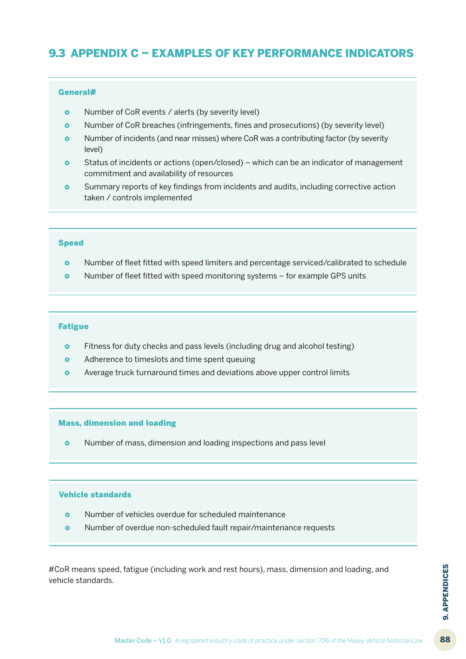### 9.3 APPENDIX C – EXAMPLES OF KEY PERFORMANCE INDICATORS

#### General#

- **•** Number of CoR events / alerts (by severity level)
- **•** Number of CoR breaches (infringements, fines and prosecutions) (by severity level)
- **•** Number of incidents (and near misses) where CoR was a contributing factor (by severity level)
- **•** Status of incidents or actions (open/closed) which can be an indicator of management commitment and availability of resources
- **•** Summary reports of key findings from incidents and audits, including corrective action taken / controls implemented

#### Speed

- **•** Number of fleet fitted with speed limiters and percentage serviced/calibrated to schedule
- **•** Number of fleet fitted with speed monitoring systems for example GPS units

#### Fatigue

- **•** Fitness for duty checks and pass levels (including drug and alcohol testing)
- **•** Adherence to timeslots and time spent queuing
- **•** Average truck turnaround times and deviations above upper control limits

#### Mass, dimension and loading

**•** Number of mass, dimension and loading inspections and pass level

#### Vehicle standards

- **•** Number of vehicles overdue for scheduled maintenance
- **•** Number of overdue non-scheduled fault repair/maintenance requests

#CoR means speed, fatigue (including work and rest hours), mass, dimension and loading, and vehicle standards.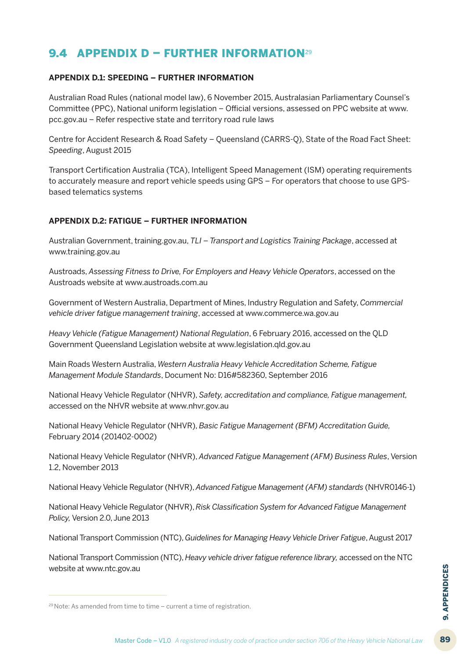### 9.4 APPENDIX D – FURTHER INFORMATION<sup>29</sup>

#### **APPENDIX D.1: SPEEDING – FURTHER INFORMATION**

Australian Road Rules (national model law), 6 November 2015, Australasian Parliamentary Counsel's Committee (PPC), National uniform legislation – Official versions, assessed on PPC website at www. pcc.gov.au – Refer respective state and territory road rule laws

Centre for Accident Research & Road Safety – Queensland (CARRS-Q), State of the Road Fact Sheet: *Speeding*, August 2015

Transport Certification Australia (TCA), Intelligent Speed Management (ISM) operating requirements to accurately measure and report vehicle speeds using GPS – For operators that choose to use GPSbased telematics systems

### **APPENDIX D.2: FATIGUE – FURTHER INFORMATION**

Australian Government, training.gov.au, *TLI – Transport and Logistics Training Package*, accessed at www.training.gov.au

Austroads, *Assessing Fitness to Drive, For Employers and Heavy Vehicle Operators*, accessed on the Austroads website at www.austroads.com.au

Government of Western Australia, Department of Mines, Industry Regulation and Safety, *Commercial vehicle driver fatigue management training*, accessed at www.commerce.wa.gov.au

*Heavy Vehicle (Fatigue Management) National Regulation*, 6 February 2016, accessed on the QLD Government Queensland Legislation website at www.legislation.qld.gov.au

Main Roads Western Australia, *Western Australia Heavy Vehicle Accreditation Scheme, Fatigue Management Module Standards*, Document No: D16#582360, September 2016

National Heavy Vehicle Regulator (NHVR), *Safety, accreditation and compliance, Fatigue management,*  accessed on the NHVR website at www.nhvr.gov.au

National Heavy Vehicle Regulator (NHVR), *Basic Fatigue Management (BFM) Accreditation Guide,*  February 2014 (201402-0002)

National Heavy Vehicle Regulator (NHVR), *Advanced Fatigue Management (AFM) Business Rules*, Version 1.2, November 2013

National Heavy Vehicle Regulator (NHVR), *Advanced Fatigue Management (AFM) standards* (NHVR0146-1)

National Heavy Vehicle Regulator (NHVR), *Risk Classification System for Advanced Fatigue Management Policy,* Version 2.0, June 2013

National Transport Commission (NTC), *Guidelines for Managing Heavy Vehicle Driver Fatigue*, August 2017

National Transport Commission (NTC), *Heavy vehicle driver fatigue reference library,* accessed on the NTC website at www.ntc.gov.au

 $29$  Note: As amended from time to time – current a time of registration.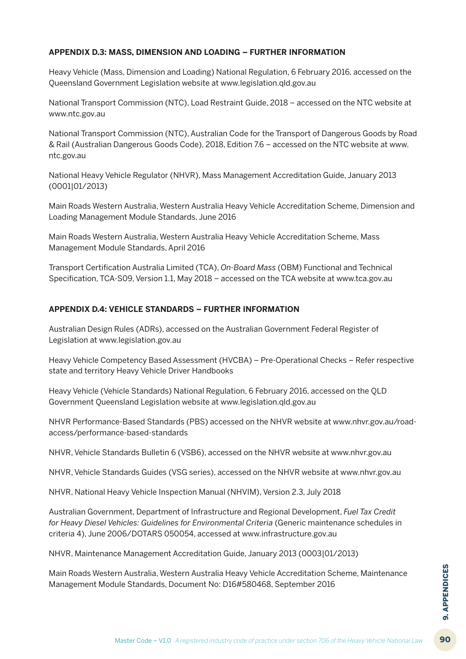### **APPENDIX D.3: MASS, DIMENSION AND LOADING – FURTHER INFORMATION**

Heavy Vehicle (Mass, Dimension and Loading) National Regulation, 6 February 2016, accessed on the Queensland Government Legislation website at www.legislation.qld.gov.au

National Transport Commission (NTC), Load Restraint Guide, 2018 – accessed on the NTC website at www.ntc.gov.au

National Transport Commission (NTC), Australian Code for the Transport of Dangerous Goods by Road & Rail (Australian Dangerous Goods Code), 2018, Edition 7.6 – accessed on the NTC website at www. ntc.gov.au

National Heavy Vehicle Regulator (NHVR), Mass Management Accreditation Guide, January 2013 (0001|01/2013)

Main Roads Western Australia, Western Australia Heavy Vehicle Accreditation Scheme, Dimension and Loading Management Module Standards, June 2016

Main Roads Western Australia, Western Australia Heavy Vehicle Accreditation Scheme, Mass Management Module Standards, April 2016

Transport Certification Australia Limited (TCA), *On-Board Mass* (OBM) Functional and Technical Specification, TCA-S09, Version 1.1, May 2018 – accessed on the TCA website at www.tca.gov.au

#### **APPENDIX D.4: VEHICLE STANDARDS – FURTHER INFORMATION**

Australian Design Rules (ADRs), accessed on the Australian Government Federal Register of Legislation at www.legislation.gov.au

Heavy Vehicle Competency Based Assessment (HVCBA) – Pre-Operational Checks – Refer respective state and territory Heavy Vehicle Driver Handbooks

Heavy Vehicle (Vehicle Standards) National Regulation, 6 February 2016, accessed on the QLD Government Queensland Legislation website at www.legislation.qld.gov.au

NHVR Performance-Based Standards (PBS) accessed on the NHVR website at www.nhvr.gov.au/roadaccess/performance-based-standards

NHVR, Vehicle Standards Bulletin 6 (VSB6), accessed on the NHVR website at www.nhvr.gov.au

NHVR, Vehicle Standards Guides (VSG series), accessed on the NHVR website at www.nhvr.gov.au

NHVR, National Heavy Vehicle Inspection Manual (NHVIM), Version 2.3, July 2018

Australian Government, Department of Infrastructure and Regional Development, *Fuel Tax Credit for Heavy Diesel Vehicles: Guidelines for Environmental Criteria* (Generic maintenance schedules in criteria 4), June 2006/DOTARS 050054, accessed at www.infrastructure.gov.au

NHVR, Maintenance Management Accreditation Guide, January 2013 (0003|01/2013)

Main Roads Western Australia, Western Australia Heavy Vehicle Accreditation Scheme, Maintenance Management Module Standards, Document No: D16#580468, September 2016